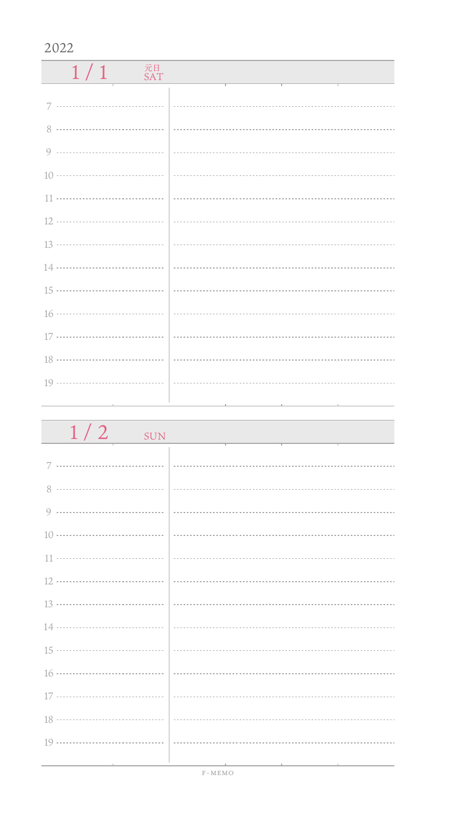| 元日<br>1/1<br><b>SAT</b> |  |
|-------------------------|--|
|                         |  |
|                         |  |
|                         |  |
|                         |  |
|                         |  |
|                         |  |
|                         |  |
|                         |  |
|                         |  |
|                         |  |
|                         |  |
|                         |  |
|                         |  |
|                         |  |

| $1/2$ sun                       |  |
|---------------------------------|--|
|                                 |  |
|                                 |  |
|                                 |  |
|                                 |  |
|                                 |  |
|                                 |  |
|                                 |  |
|                                 |  |
|                                 |  |
|                                 |  |
|                                 |  |
|                                 |  |
|                                 |  |
|                                 |  |
| the contract of the contract of |  |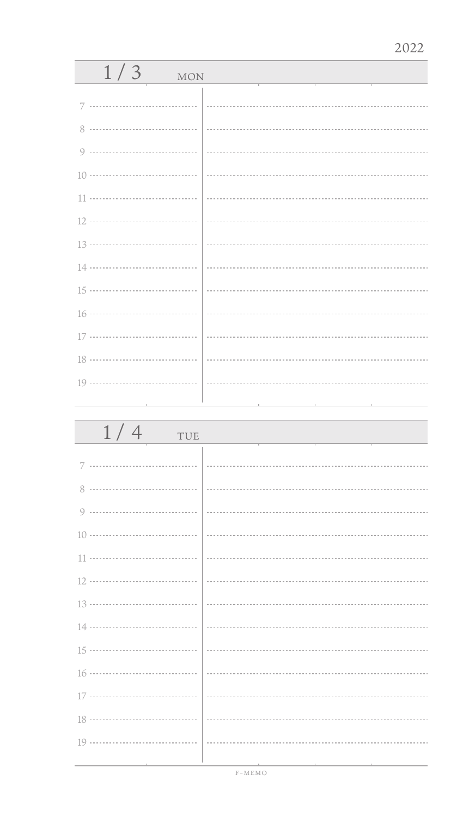| 1/3<br><b>MON</b> |  |  |
|-------------------|--|--|
|                   |  |  |
| 7                 |  |  |
| 8                 |  |  |
| $\circ$           |  |  |
|                   |  |  |
| 11                |  |  |
| 12                |  |  |
| 13 ………………………………   |  |  |
| 14 ………………………………   |  |  |
| 15 ………………………………   |  |  |
| 16 ………………………………   |  |  |
| 17 ………………………………   |  |  |
| 18 ………………………………   |  |  |
|                   |  |  |
|                   |  |  |
|                   |  |  |
| 1/4<br>TUE        |  |  |
|                   |  |  |
| 7                 |  |  |
| 8                 |  |  |

|  | $\overline{1}$ |
|--|----------------|
|  |                |
|  |                |
|  |                |
|  |                |
|  |                |
|  |                |
|  |                |
|  |                |
|  |                |
|  |                |
|  |                |
|  |                |
|  |                |
|  |                |
|  |                |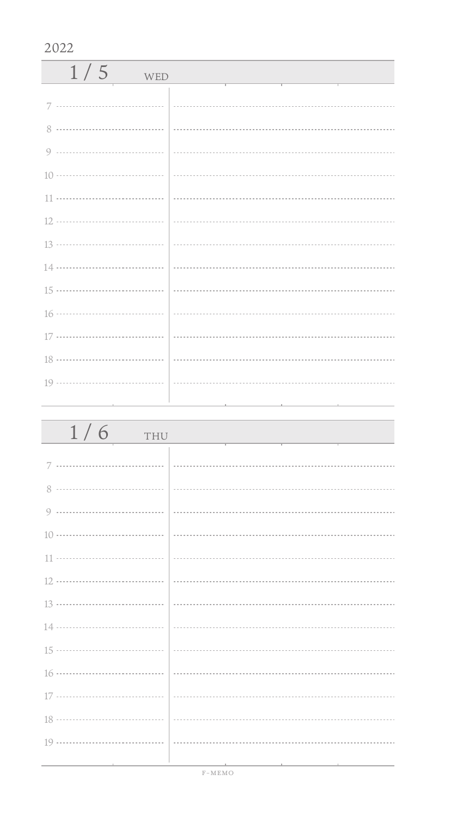| 1/5<br>WED |  |
|------------|--|
|            |  |
|            |  |
|            |  |
|            |  |
|            |  |
|            |  |
|            |  |
|            |  |
|            |  |
|            |  |
|            |  |
|            |  |
|            |  |
|            |  |

| 1/6<br>THU                        |                                              |
|-----------------------------------|----------------------------------------------|
|                                   |                                              |
|                                   |                                              |
|                                   |                                              |
|                                   |                                              |
|                                   |                                              |
|                                   |                                              |
|                                   |                                              |
|                                   |                                              |
|                                   |                                              |
|                                   |                                              |
|                                   |                                              |
|                                   |                                              |
|                                   |                                              |
| the control of the control of the | the control of the control of the control of |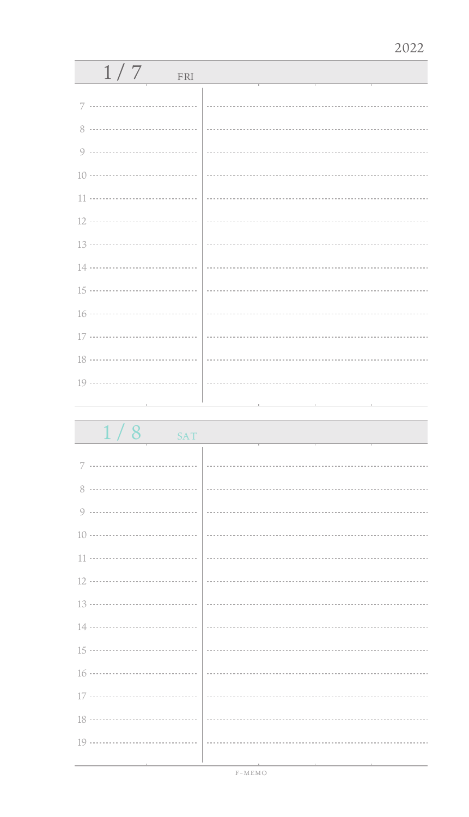| 1/7<br>FRI                        |  |
|-----------------------------------|--|
|                                   |  |
|                                   |  |
|                                   |  |
|                                   |  |
|                                   |  |
|                                   |  |
|                                   |  |
|                                   |  |
|                                   |  |
|                                   |  |
|                                   |  |
|                                   |  |
|                                   |  |
|                                   |  |
| the control of the control of the |  |

1/8 SAT 7 ................................. 8 .................................. 0 .................................. 10 11 ÷. 12 13 14 ................................... 15 ................................... . . . . . . . . . . 16 17 .................................. 18 ă, 19 ..................................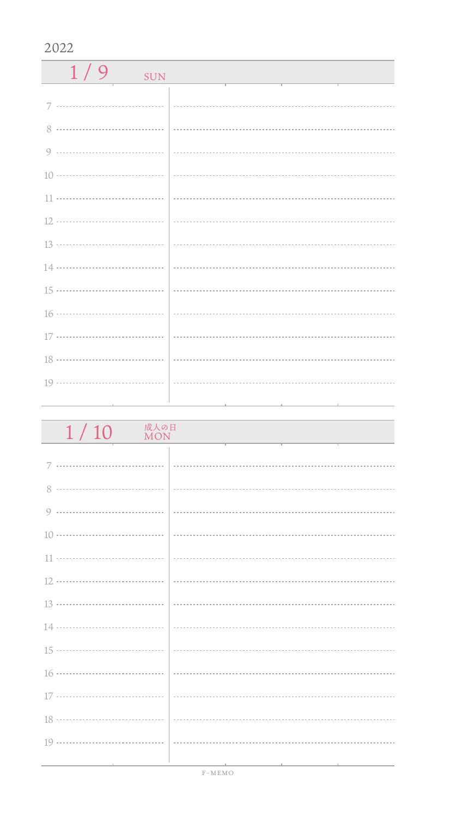| $1/9$ SUN | <u> 1990 - Jan Stein Stein, fransk politiker (</u> |
|-----------|----------------------------------------------------|
|           |                                                    |
|           |                                                    |
|           |                                                    |
|           |                                                    |
|           |                                                    |
|           |                                                    |
|           |                                                    |
|           |                                                    |
|           |                                                    |
|           |                                                    |
|           |                                                    |
|           |                                                    |
|           |                                                    |
|           |                                                    |

| 成人の日<br>1/10<br><b>MON</b>                   |                                                                                                 |
|----------------------------------------------|-------------------------------------------------------------------------------------------------|
|                                              |                                                                                                 |
|                                              |                                                                                                 |
|                                              |                                                                                                 |
|                                              |                                                                                                 |
|                                              |                                                                                                 |
|                                              |                                                                                                 |
|                                              |                                                                                                 |
|                                              |                                                                                                 |
|                                              |                                                                                                 |
|                                              |                                                                                                 |
|                                              |                                                                                                 |
|                                              |                                                                                                 |
|                                              |                                                                                                 |
|                                              |                                                                                                 |
| the control of the control of the control of | the contract of the contract of the contract of the contract of the contract of the contract of |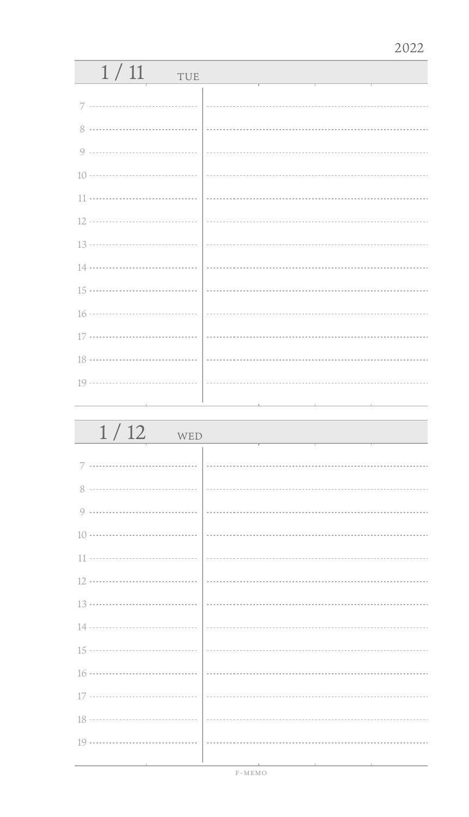| 1/11<br>TUE                   |  |
|-------------------------------|--|
|                               |  |
| 7                             |  |
|                               |  |
|                               |  |
|                               |  |
|                               |  |
|                               |  |
|                               |  |
|                               |  |
|                               |  |
|                               |  |
|                               |  |
|                               |  |
|                               |  |
| the control of the control of |  |

| 1/12<br>WED |  |
|-------------|--|
|             |  |
|             |  |
|             |  |
|             |  |
|             |  |
|             |  |
|             |  |
|             |  |
|             |  |
|             |  |
|             |  |
|             |  |
|             |  |
|             |  |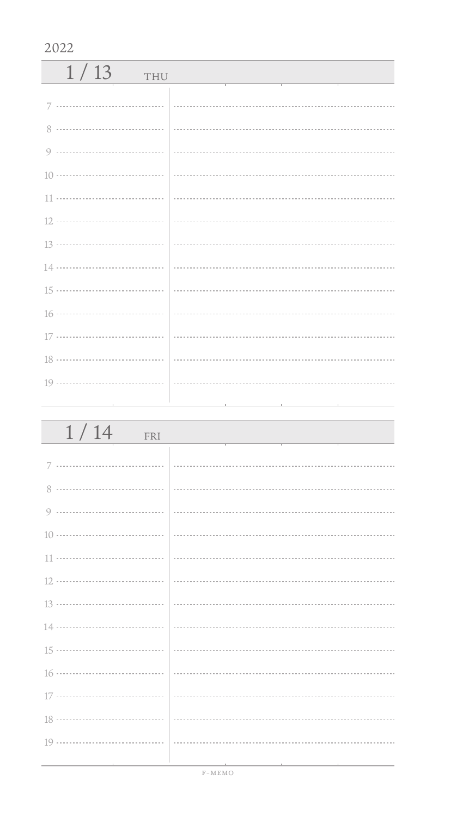| 1/13<br>THU |  |
|-------------|--|
| 7           |  |
|             |  |
|             |  |
|             |  |
|             |  |
|             |  |
|             |  |
|             |  |
|             |  |
|             |  |
|             |  |
|             |  |
|             |  |

| 1/14<br>FRI |  |
|-------------|--|
|             |  |
|             |  |
|             |  |
|             |  |
|             |  |
|             |  |
|             |  |
|             |  |
|             |  |
|             |  |
|             |  |
|             |  |
|             |  |
|             |  |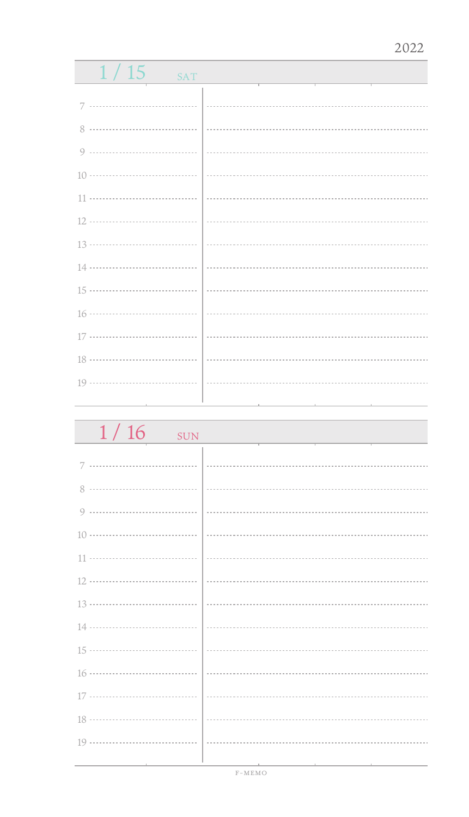| 1/15<br>SAT |  |
|-------------|--|
|             |  |
| 8           |  |
| 9           |  |
|             |  |
|             |  |
|             |  |
|             |  |
|             |  |
|             |  |
|             |  |
|             |  |
|             |  |
|             |  |
|             |  |

| 1/16<br><b>SUN</b>                                                         |  |
|----------------------------------------------------------------------------|--|
|                                                                            |  |
| 7                                                                          |  |
| 8                                                                          |  |
| 9                                                                          |  |
| $10 \cdots \cdots \cdots \cdots \cdots \cdots \cdots \cdots \cdots \cdots$ |  |
| 11                                                                         |  |
|                                                                            |  |
|                                                                            |  |
|                                                                            |  |
|                                                                            |  |
|                                                                            |  |
| 17                                                                         |  |
|                                                                            |  |
| 19                                                                         |  |
|                                                                            |  |

F-MEMO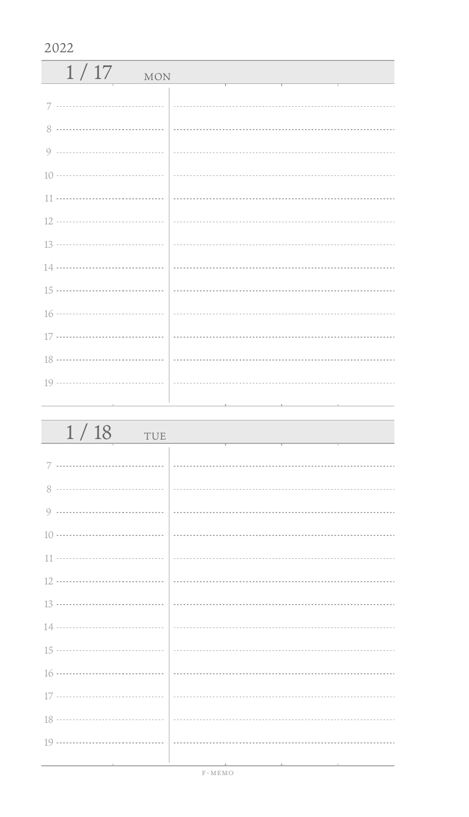| 1/17<br><b>MON</b> |  |
|--------------------|--|
|                    |  |
|                    |  |
|                    |  |
|                    |  |
|                    |  |
|                    |  |
|                    |  |
|                    |  |
|                    |  |
|                    |  |
|                    |  |
|                    |  |
|                    |  |

| 1/18<br>TUE |  |
|-------------|--|
|             |  |
|             |  |
|             |  |
|             |  |
|             |  |
|             |  |
|             |  |
|             |  |
|             |  |
|             |  |
|             |  |
|             |  |
|             |  |
|             |  |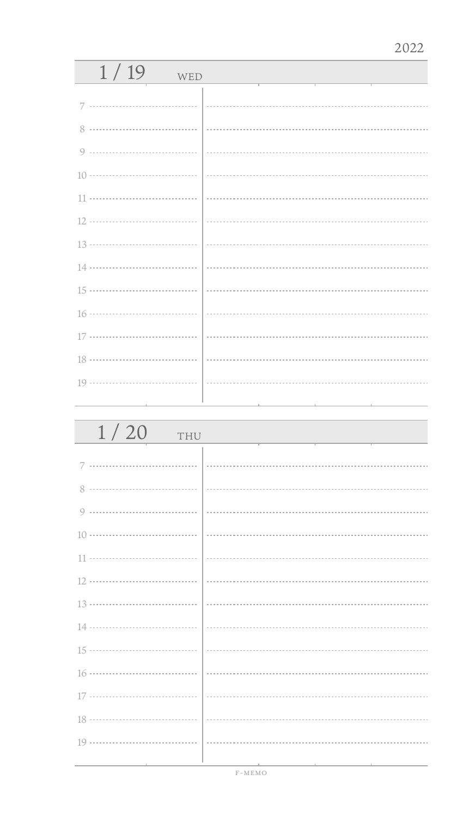| 1/19<br>WED |  |
|-------------|--|
| 7           |  |
| 8           |  |
|             |  |
|             |  |
|             |  |
|             |  |
|             |  |
|             |  |
|             |  |
|             |  |
|             |  |
|             |  |
|             |  |
|             |  |

| 1/20<br>THU |  |
|-------------|--|
|             |  |
| 8           |  |
| 9           |  |
|             |  |
|             |  |
|             |  |
|             |  |
|             |  |
|             |  |
|             |  |
|             |  |
|             |  |
|             |  |
|             |  |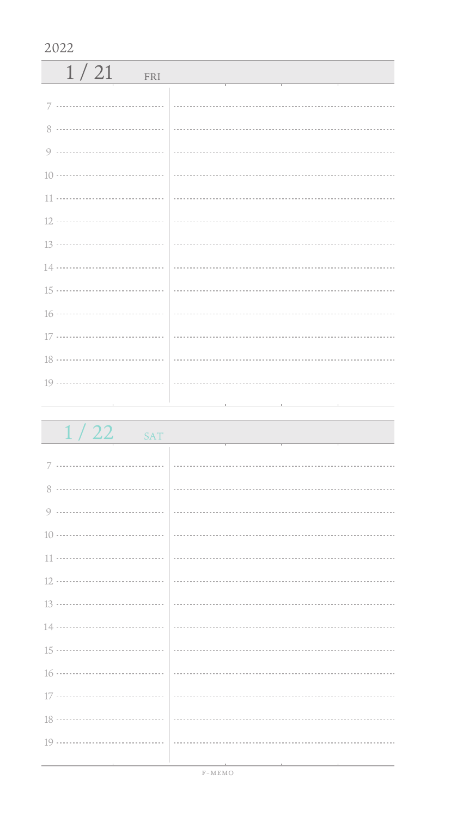| 1/21<br>FRI |  |
|-------------|--|
|             |  |
|             |  |
|             |  |
|             |  |
|             |  |
|             |  |
|             |  |
|             |  |
|             |  |
|             |  |
|             |  |
|             |  |
|             |  |
|             |  |

| 1/22<br><b>SAT</b> |  |
|--------------------|--|
|                    |  |
|                    |  |
| 8                  |  |
|                    |  |
|                    |  |
|                    |  |
|                    |  |
|                    |  |
|                    |  |
|                    |  |
|                    |  |
|                    |  |
|                    |  |
|                    |  |
|                    |  |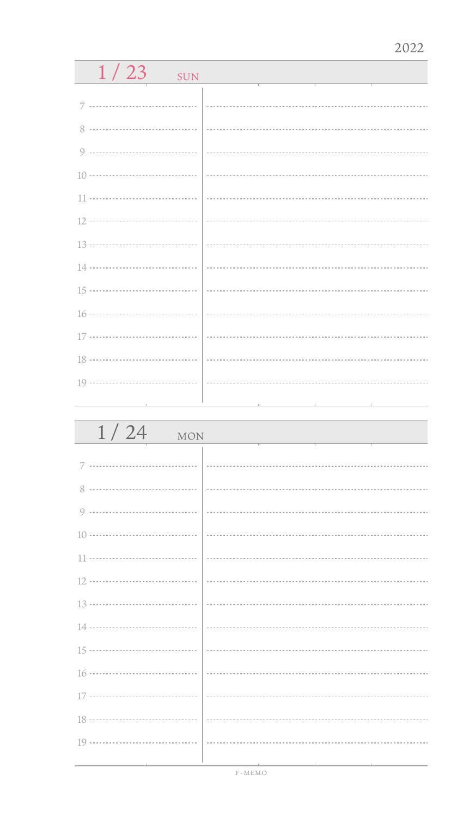| 1/23<br><b>SUN</b> |  |  |
|--------------------|--|--|
|                    |  |  |
| 7                  |  |  |
| 8                  |  |  |
| <br>Q              |  |  |
| 10 ………………………………    |  |  |
|                    |  |  |
| 12 ………………………………    |  |  |
|                    |  |  |
| 14                 |  |  |
| 15 ………………………………    |  |  |
|                    |  |  |
| 17 ………………………………    |  |  |
| 18                 |  |  |
| 19                 |  |  |
|                    |  |  |
|                    |  |  |
| 1/24<br><b>MON</b> |  |  |
|                    |  |  |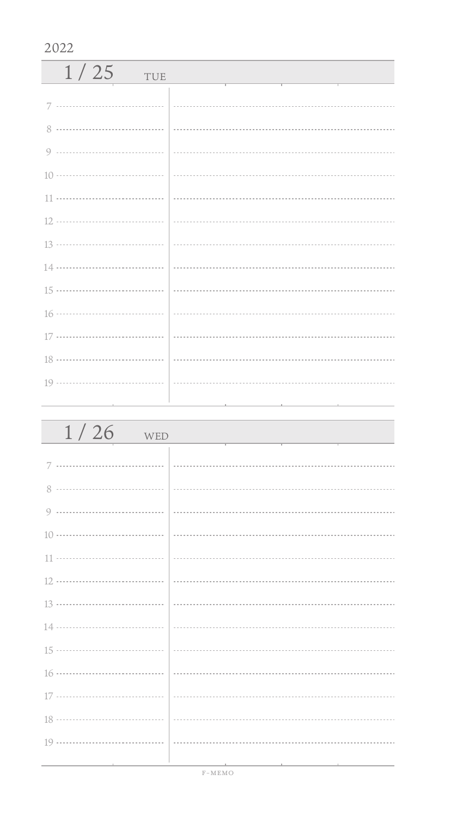| 1/25<br>TUE |  |
|-------------|--|
|             |  |
| 8           |  |
|             |  |
|             |  |
|             |  |
|             |  |
|             |  |
|             |  |
|             |  |
|             |  |
|             |  |
|             |  |
|             |  |
|             |  |

| $1/26$ WED                        |  |
|-----------------------------------|--|
|                                   |  |
|                                   |  |
|                                   |  |
|                                   |  |
|                                   |  |
|                                   |  |
|                                   |  |
|                                   |  |
|                                   |  |
|                                   |  |
|                                   |  |
|                                   |  |
|                                   |  |
|                                   |  |
| the control of the control of the |  |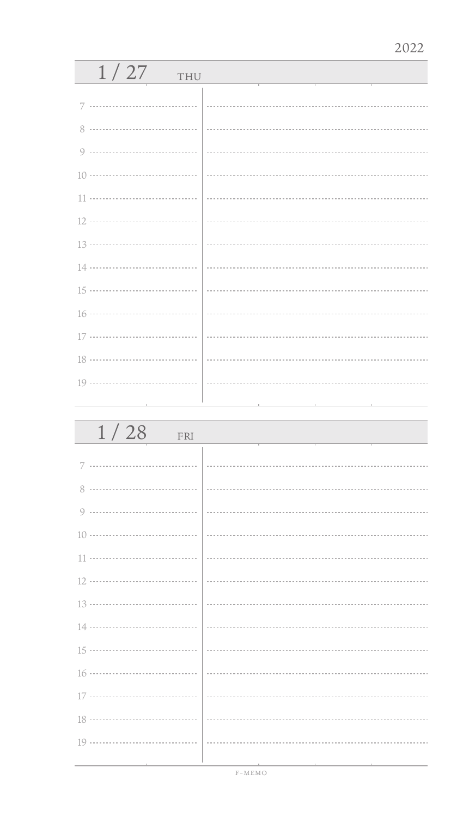| 1/27<br>THU |  |  |  |
|-------------|--|--|--|
| 7           |  |  |  |
| 8           |  |  |  |
| 9           |  |  |  |
|             |  |  |  |
| 11          |  |  |  |
|             |  |  |  |
|             |  |  |  |
|             |  |  |  |
|             |  |  |  |
|             |  |  |  |
|             |  |  |  |
|             |  |  |  |
|             |  |  |  |

| 1/28<br>FRI |  |
|-------------|--|
| 7           |  |
| 8           |  |
| 9           |  |
|             |  |
|             |  |
|             |  |
|             |  |
|             |  |
|             |  |
|             |  |
|             |  |
|             |  |
|             |  |
|             |  |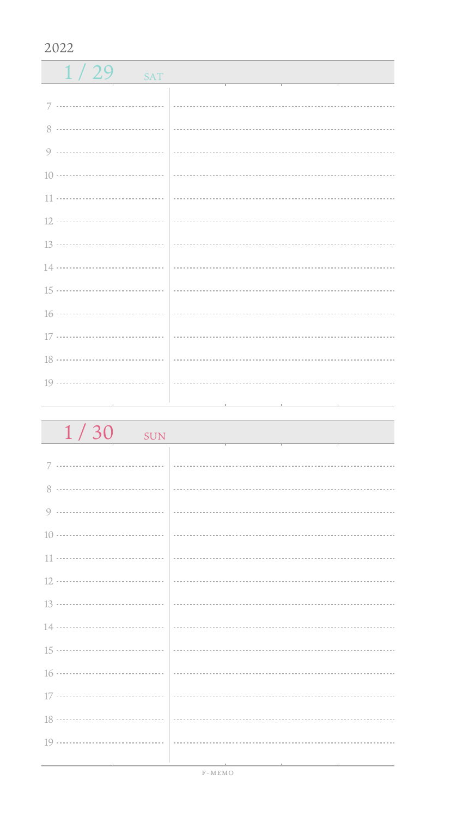$1 / 29$  sat 7 ................................. 0 ------------------------------------ 11 .................................. 16 ................................... 17 ................................. 18 ................................... J. 19 .................................. 

| 1/30<br><b>SUN</b>              |  |
|---------------------------------|--|
|                                 |  |
|                                 |  |
|                                 |  |
|                                 |  |
|                                 |  |
|                                 |  |
|                                 |  |
|                                 |  |
|                                 |  |
|                                 |  |
|                                 |  |
|                                 |  |
|                                 |  |
|                                 |  |
| the contract of the contract of |  |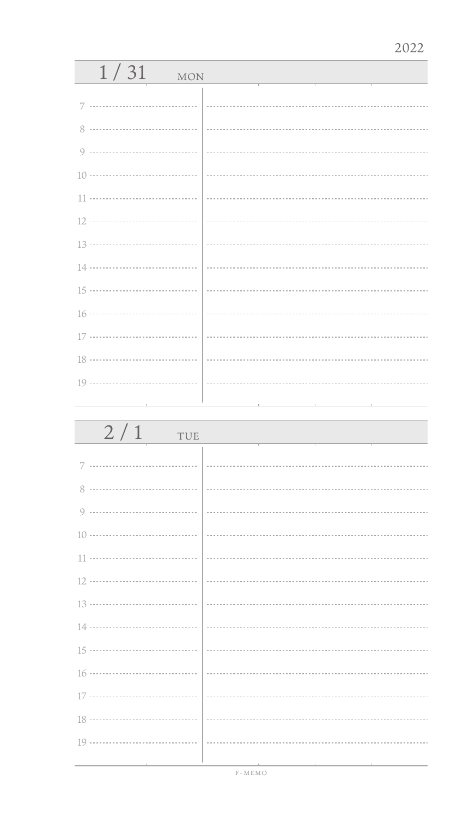| 1/31<br><b>MON</b> |   |  |  |  |
|--------------------|---|--|--|--|
| 7                  |   |  |  |  |
| 8                  |   |  |  |  |
| 9                  |   |  |  |  |
|                    |   |  |  |  |
| 11                 |   |  |  |  |
|                    |   |  |  |  |
|                    |   |  |  |  |
|                    |   |  |  |  |
|                    |   |  |  |  |
|                    |   |  |  |  |
|                    | . |  |  |  |
|                    |   |  |  |  |
|                    |   |  |  |  |
|                    |   |  |  |  |

| 2/1<br>TUE |  |
|------------|--|
| 7          |  |
| 8          |  |
|            |  |
|            |  |
|            |  |
|            |  |
|            |  |
|            |  |
|            |  |
|            |  |
|            |  |
|            |  |
|            |  |
|            |  |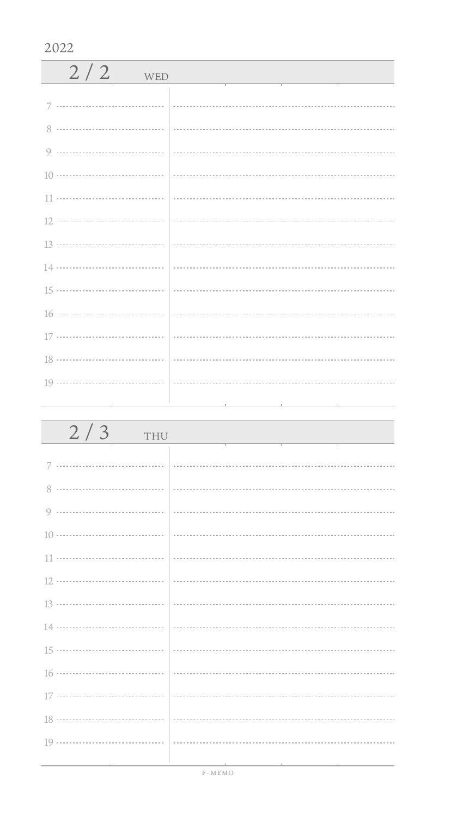| $2/2$ WED |  |
|-----------|--|
|           |  |
|           |  |
|           |  |
|           |  |
|           |  |
|           |  |
|           |  |
|           |  |
|           |  |
|           |  |
|           |  |
|           |  |
|           |  |
|           |  |

| 2/3<br>THU                      |                                                                                                                 |
|---------------------------------|-----------------------------------------------------------------------------------------------------------------|
|                                 |                                                                                                                 |
|                                 |                                                                                                                 |
|                                 |                                                                                                                 |
|                                 |                                                                                                                 |
|                                 |                                                                                                                 |
|                                 |                                                                                                                 |
|                                 |                                                                                                                 |
|                                 |                                                                                                                 |
|                                 |                                                                                                                 |
|                                 |                                                                                                                 |
|                                 |                                                                                                                 |
|                                 |                                                                                                                 |
|                                 |                                                                                                                 |
| the contract of the contract of | the contract of the contract of the contract of the contract of the contract of the contract of the contract of |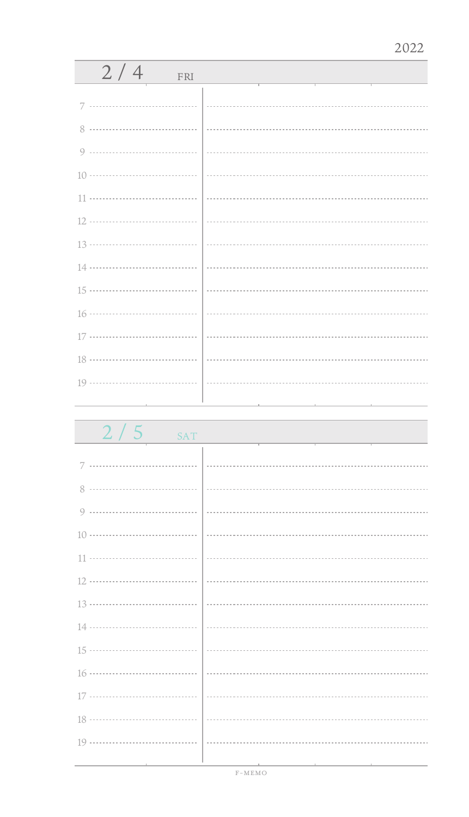| 2/4<br>FRI |  |
|------------|--|
|            |  |
|            |  |
|            |  |
|            |  |
|            |  |
|            |  |
|            |  |
|            |  |
|            |  |
|            |  |
|            |  |
|            |  |
|            |  |
|            |  |
|            |  |

 $2/5$ 

| × |  |  |
|---|--|--|

|  | <b>CONTRACT</b> |  |
|--|-----------------|--|
|  |                 |  |

| c<br>$\sum$ |  |
|-------------|--|
|             |  |

| $\sim$ |  |
|--------|--|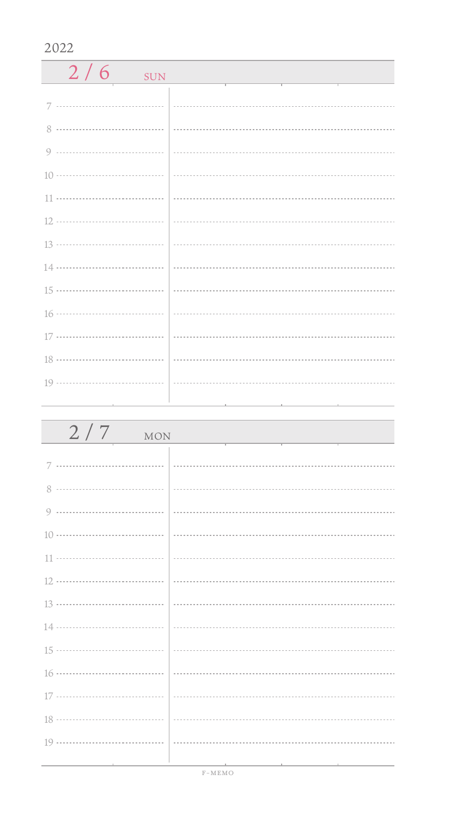| $2/6$ SUN                                                                  |  |
|----------------------------------------------------------------------------|--|
|                                                                            |  |
|                                                                            |  |
|                                                                            |  |
|                                                                            |  |
|                                                                            |  |
|                                                                            |  |
|                                                                            |  |
|                                                                            |  |
|                                                                            |  |
|                                                                            |  |
|                                                                            |  |
|                                                                            |  |
| $19 \ldots \ldots \ldots \ldots \ldots \ldots \ldots \ldots \ldots \ldots$ |  |

| 2/7<br>MON                                      |                                                                                                                  |
|-------------------------------------------------|------------------------------------------------------------------------------------------------------------------|
|                                                 |                                                                                                                  |
|                                                 |                                                                                                                  |
|                                                 |                                                                                                                  |
|                                                 |                                                                                                                  |
|                                                 |                                                                                                                  |
|                                                 |                                                                                                                  |
|                                                 | $\frac{13 \dots}{13 \dots}$                                                                                      |
|                                                 |                                                                                                                  |
|                                                 |                                                                                                                  |
|                                                 |                                                                                                                  |
|                                                 |                                                                                                                  |
|                                                 |                                                                                                                  |
|                                                 |                                                                                                                  |
| the contract of the contract of the contract of | 그 사람들은 그 사람들은 아이들이 아니라 아이들이 아니라 아이들이 아니라 아이들이 아니라 아이들이 아니라 아이들이 아니라 아이들이 아니라 아이들이 아니라 아이들이 아니라 아이들이 아니라 아이들이 아니라 |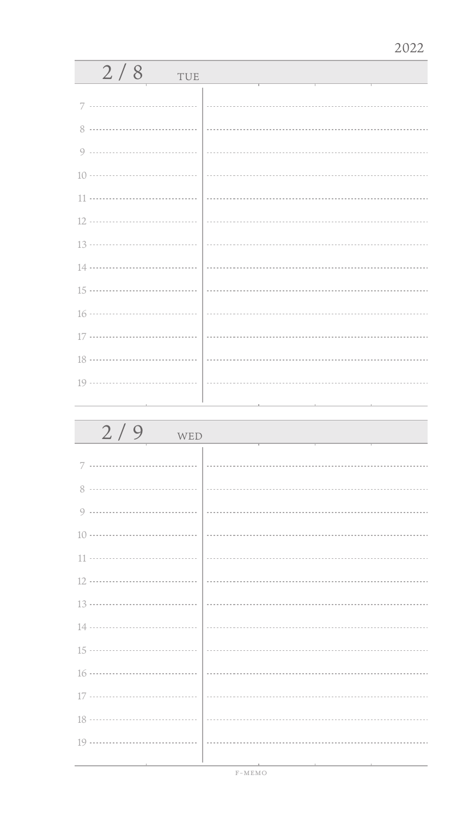| 2/8<br>TUE |  |
|------------|--|
| 7          |  |
| 8          |  |
|            |  |
|            |  |
|            |  |
|            |  |
|            |  |
|            |  |
|            |  |
|            |  |
|            |  |
|            |  |
|            |  |
|            |  |

| 2/9<br>WED |  |
|------------|--|
|            |  |
| 8          |  |
|            |  |
|            |  |
|            |  |
|            |  |
|            |  |
|            |  |
|            |  |
|            |  |
|            |  |
|            |  |
|            |  |
|            |  |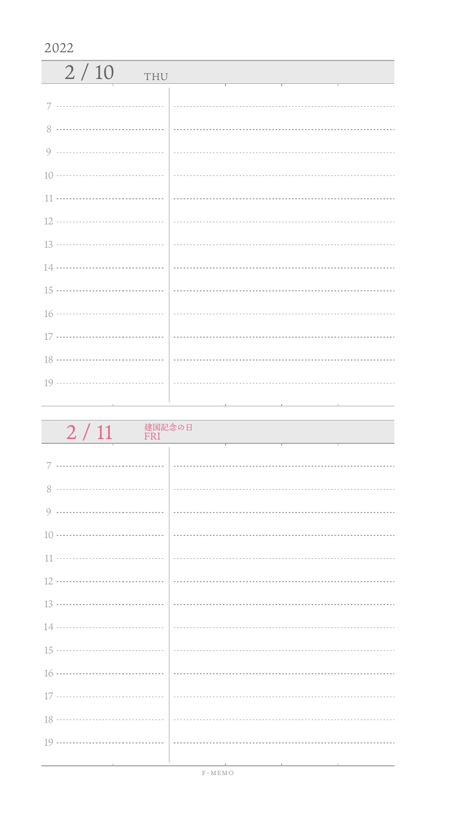| 2/10<br>THU |  |
|-------------|--|
|             |  |
| 8           |  |
|             |  |
|             |  |
|             |  |
|             |  |
|             |  |
|             |  |
|             |  |
|             |  |
|             |  |
|             |  |
|             |  |
|             |  |

| 建国記念の日<br>2/11<br>FRI |                                                                                                                       |
|-----------------------|-----------------------------------------------------------------------------------------------------------------------|
|                       |                                                                                                                       |
|                       |                                                                                                                       |
|                       |                                                                                                                       |
|                       |                                                                                                                       |
|                       |                                                                                                                       |
|                       |                                                                                                                       |
|                       |                                                                                                                       |
|                       |                                                                                                                       |
|                       |                                                                                                                       |
|                       |                                                                                                                       |
|                       |                                                                                                                       |
|                       |                                                                                                                       |
|                       |                                                                                                                       |
|                       |                                                                                                                       |
|                       | <u> 1989 - Andrea San Andrea Andrea Andrea Andrea Andrea Andrea Andrea Andrea Andrea Andrea Andrea Andrea Andrea </u> |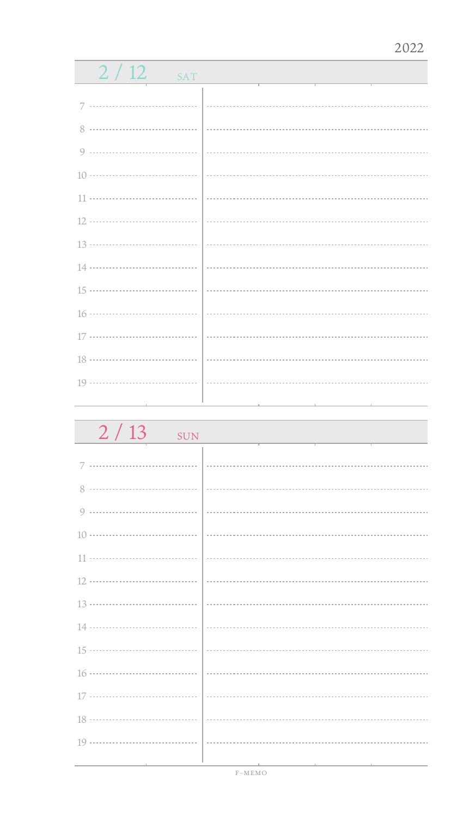| 2/12<br><b>SAT</b> |  |
|--------------------|--|
|                    |  |
| 7                  |  |
| 8 ……………………………      |  |
| 9                  |  |
| 10 ………………………………    |  |
|                    |  |
| 12                 |  |
| 13 ………………………………    |  |
| 14 ………………………………    |  |
| 15 ………………………………    |  |
|                    |  |
|                    |  |
|                    |  |
|                    |  |
|                    |  |

| $2/13$ SUN |  |
|------------|--|
| 7          |  |
| 8          |  |
| 9          |  |
|            |  |
|            |  |
|            |  |
|            |  |
|            |  |
|            |  |
|            |  |
|            |  |
|            |  |
|            |  |
|            |  |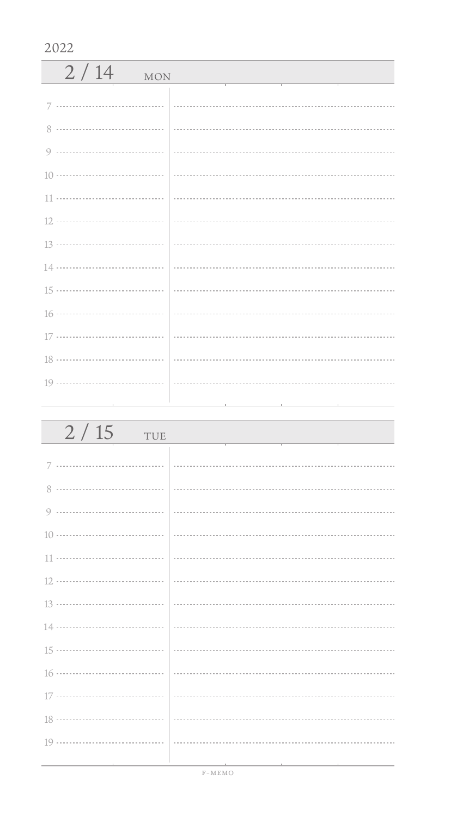| 2/14<br><b>MON</b> |                                                                                                                                                                                                                                                                                                                                              |
|--------------------|----------------------------------------------------------------------------------------------------------------------------------------------------------------------------------------------------------------------------------------------------------------------------------------------------------------------------------------------|
| 7                  |                                                                                                                                                                                                                                                                                                                                              |
| $8^{\circ}$        |                                                                                                                                                                                                                                                                                                                                              |
|                    |                                                                                                                                                                                                                                                                                                                                              |
|                    |                                                                                                                                                                                                                                                                                                                                              |
|                    |                                                                                                                                                                                                                                                                                                                                              |
|                    |                                                                                                                                                                                                                                                                                                                                              |
|                    |                                                                                                                                                                                                                                                                                                                                              |
|                    |                                                                                                                                                                                                                                                                                                                                              |
|                    |                                                                                                                                                                                                                                                                                                                                              |
|                    | $16 \cdots$ $\cdots$ $\cdots$ $\cdots$ $\cdots$ $\cdots$ $\cdots$ $\cdots$ $\cdots$ $\cdots$ $\cdots$ $\cdots$ $\cdots$ $\cdots$ $\cdots$ $\cdots$ $\cdots$ $\cdots$ $\cdots$ $\cdots$ $\cdots$ $\cdots$ $\cdots$ $\cdots$ $\cdots$ $\cdots$ $\cdots$ $\cdots$ $\cdots$ $\cdots$ $\cdots$ $\cdots$ $\cdots$ $\cdots$ $\cdots$ $\cdots$ $\cd$ |
|                    |                                                                                                                                                                                                                                                                                                                                              |
|                    |                                                                                                                                                                                                                                                                                                                                              |
|                    |                                                                                                                                                                                                                                                                                                                                              |
|                    |                                                                                                                                                                                                                                                                                                                                              |

| 2/15<br>TUE                                         |                                                                                                                                                                                                                               |
|-----------------------------------------------------|-------------------------------------------------------------------------------------------------------------------------------------------------------------------------------------------------------------------------------|
|                                                     |                                                                                                                                                                                                                               |
|                                                     |                                                                                                                                                                                                                               |
|                                                     |                                                                                                                                                                                                                               |
|                                                     |                                                                                                                                                                                                                               |
|                                                     |                                                                                                                                                                                                                               |
|                                                     |                                                                                                                                                                                                                               |
|                                                     |                                                                                                                                                                                                                               |
|                                                     |                                                                                                                                                                                                                               |
|                                                     |                                                                                                                                                                                                                               |
|                                                     |                                                                                                                                                                                                                               |
|                                                     |                                                                                                                                                                                                                               |
|                                                     |                                                                                                                                                                                                                               |
|                                                     |                                                                                                                                                                                                                               |
| the contract of the contract of the contract of the | the control of the control of the control of the control of the control of the control of the control of the control of the control of the control of the control of the control of the control of the control of the control |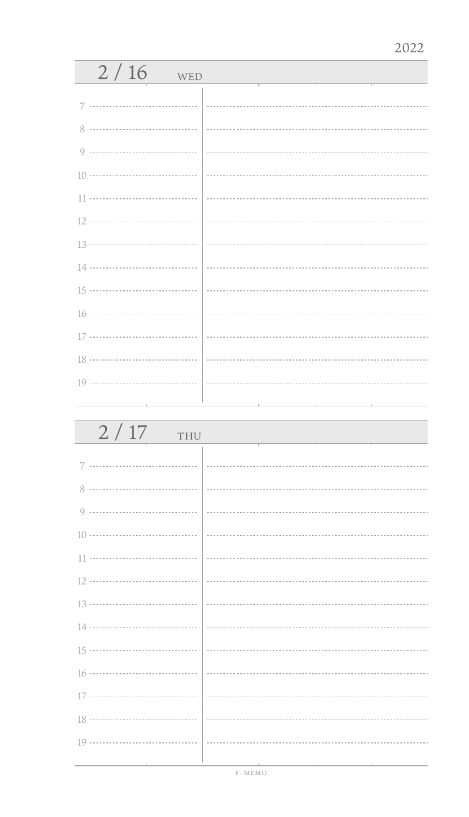| 2/16<br>WED |   |
|-------------|---|
| 7           |   |
|             |   |
|             |   |
|             |   |
|             |   |
|             | . |
|             |   |
|             |   |
|             |   |
|             |   |
|             |   |
|             |   |
|             |   |
|             |   |

| 2/17<br>THU |                                                                                                                 |
|-------------|-----------------------------------------------------------------------------------------------------------------|
|             |                                                                                                                 |
|             |                                                                                                                 |
|             |                                                                                                                 |
|             |                                                                                                                 |
|             |                                                                                                                 |
|             |                                                                                                                 |
|             |                                                                                                                 |
|             |                                                                                                                 |
|             |                                                                                                                 |
|             |                                                                                                                 |
|             |                                                                                                                 |
|             |                                                                                                                 |
|             |                                                                                                                 |
|             | the contract of the contract of the contract of the contract of the contract of the contract of the contract of |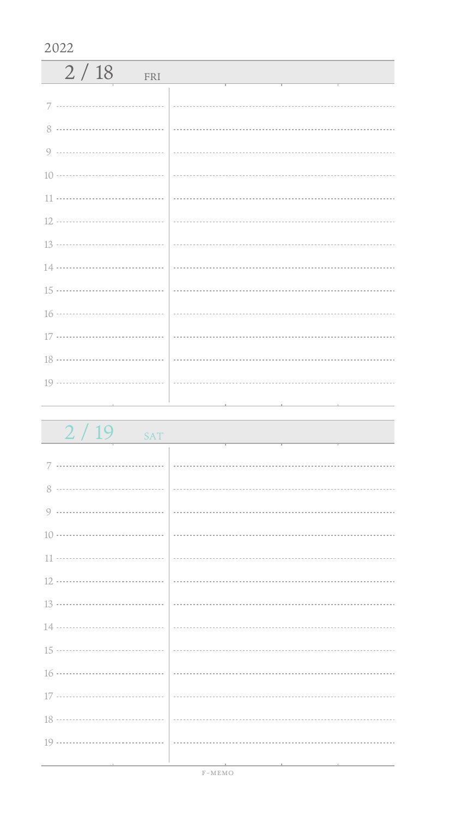| 2/18<br>FRI |  |
|-------------|--|
|             |  |
|             |  |
|             |  |
|             |  |
|             |  |
|             |  |
|             |  |
|             |  |
|             |  |
|             |  |
|             |  |
|             |  |
|             |  |
|             |  |

| 2/19<br><b>SAT</b>                           |                                                                                 |
|----------------------------------------------|---------------------------------------------------------------------------------|
|                                              |                                                                                 |
|                                              |                                                                                 |
|                                              |                                                                                 |
|                                              |                                                                                 |
|                                              |                                                                                 |
|                                              |                                                                                 |
|                                              |                                                                                 |
|                                              |                                                                                 |
|                                              |                                                                                 |
|                                              |                                                                                 |
|                                              |                                                                                 |
|                                              |                                                                                 |
|                                              |                                                                                 |
|                                              |                                                                                 |
| the control of the control of the control of | the contract of the contract of the contract of the contract of the contract of |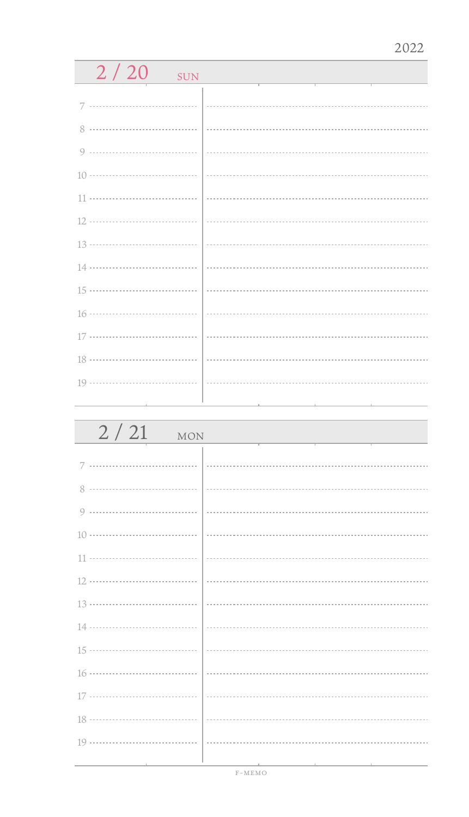| 2/20<br><b>SUN</b> |  |
|--------------------|--|
| 7                  |  |
|                    |  |
| 8                  |  |
|                    |  |
|                    |  |
| 11                 |  |
|                    |  |
|                    |  |
|                    |  |
|                    |  |
|                    |  |
|                    |  |
| 18 ………………………………    |  |
|                    |  |
|                    |  |

| 2/21<br>MON |  |
|-------------|--|
|             |  |
|             |  |
| 8           |  |
|             |  |
|             |  |
|             |  |
|             |  |
|             |  |
|             |  |
|             |  |
|             |  |
|             |  |
|             |  |
|             |  |
|             |  |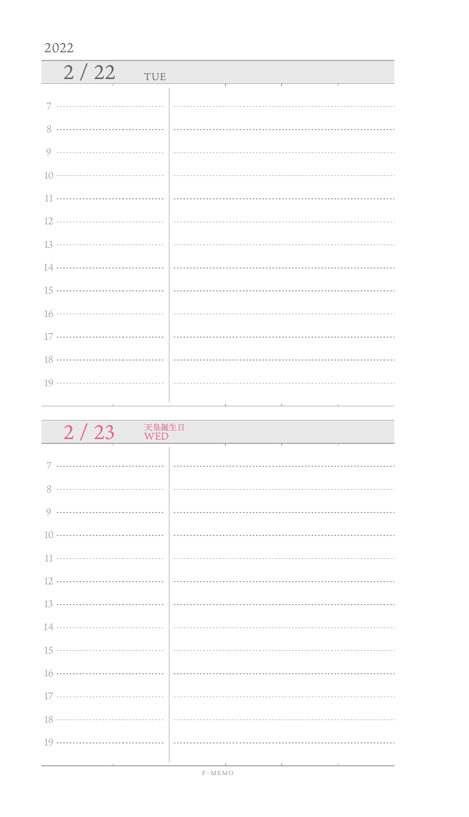| 2/22<br>TUE |  |
|-------------|--|
|             |  |
| 8           |  |
|             |  |
|             |  |
|             |  |
|             |  |
|             |  |
|             |  |
|             |  |
|             |  |
|             |  |
|             |  |
|             |  |
|             |  |

| 天皇誕生日<br>2/23<br>WED |  |
|----------------------|--|
|                      |  |
| 7                    |  |
|                      |  |
|                      |  |
|                      |  |
|                      |  |
|                      |  |
|                      |  |
|                      |  |
|                      |  |
|                      |  |
|                      |  |
|                      |  |
|                      |  |
|                      |  |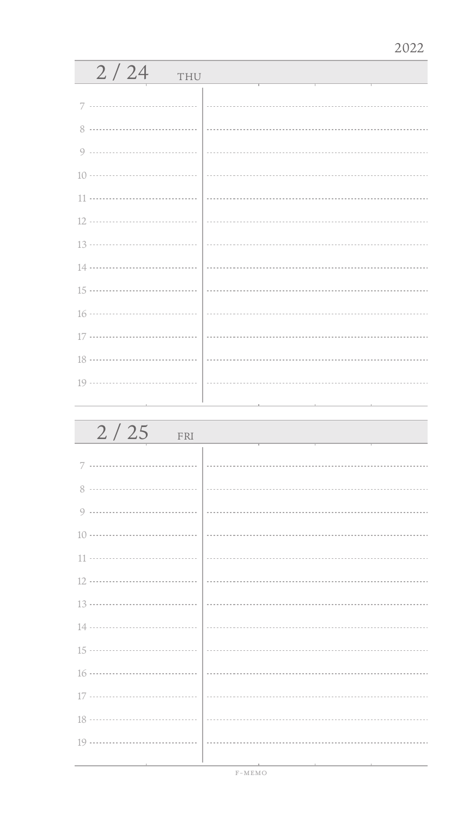| 2/24<br>THU |  |  |  |
|-------------|--|--|--|
|             |  |  |  |
| 8           |  |  |  |
|             |  |  |  |
|             |  |  |  |
| 11          |  |  |  |
|             |  |  |  |
|             |  |  |  |
|             |  |  |  |
|             |  |  |  |
|             |  |  |  |
|             |  |  |  |
|             |  |  |  |
|             |  |  |  |
|             |  |  |  |

| 2/25<br>FRI |  |
|-------------|--|
| 7           |  |
| 8           |  |
|             |  |
|             |  |
|             |  |
|             |  |
|             |  |
|             |  |
|             |  |
|             |  |
|             |  |
|             |  |
|             |  |
|             |  |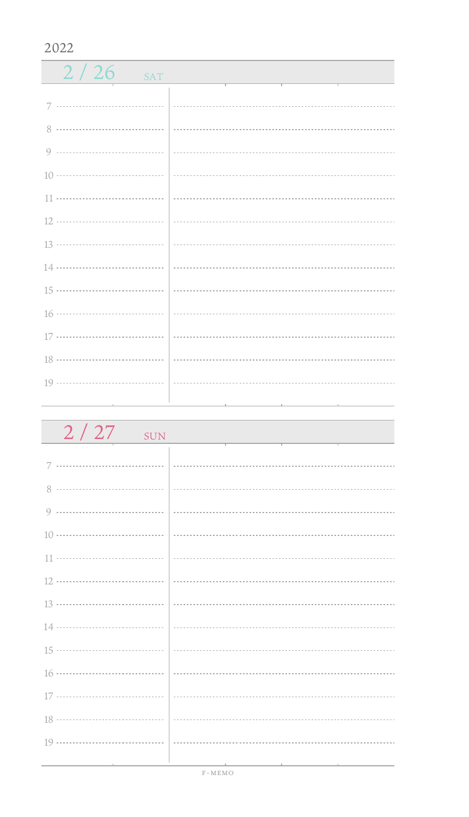| 2/26<br>SAT |  |
|-------------|--|
|             |  |
| 8           |  |
|             |  |
|             |  |
|             |  |
|             |  |
|             |  |
|             |  |
|             |  |
|             |  |
|             |  |
|             |  |
|             |  |
|             |  |

| $2/27$ sun |  |
|------------|--|
|            |  |
|            |  |
|            |  |
|            |  |
|            |  |
|            |  |
|            |  |
|            |  |
|            |  |
|            |  |
|            |  |
|            |  |
|            |  |
|            |  |
|            |  |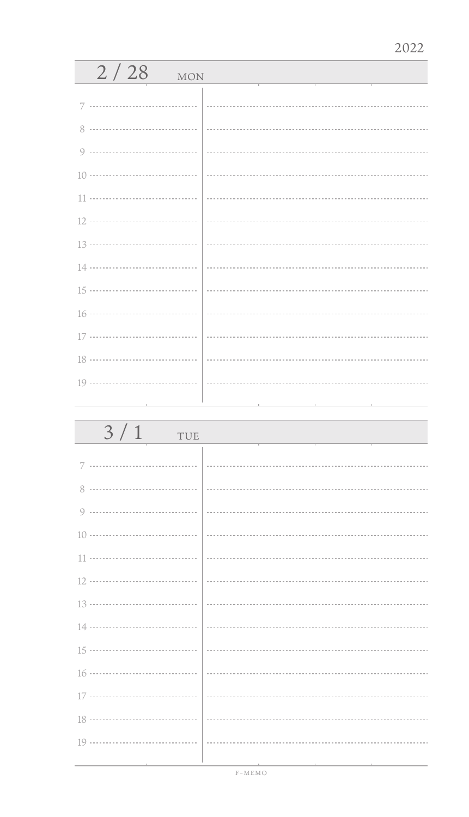| 2/28<br><b>MON</b> |  |  |  |
|--------------------|--|--|--|
| 7                  |  |  |  |
| 8                  |  |  |  |
|                    |  |  |  |
|                    |  |  |  |
|                    |  |  |  |
|                    |  |  |  |
|                    |  |  |  |
|                    |  |  |  |
|                    |  |  |  |
|                    |  |  |  |
|                    |  |  |  |
|                    |  |  |  |
|                    |  |  |  |
|                    |  |  |  |

| 3/1<br>TUE |  |
|------------|--|
|            |  |
|            |  |
|            |  |
|            |  |
|            |  |
|            |  |
|            |  |
|            |  |
|            |  |
|            |  |
|            |  |
|            |  |
|            |  |
|            |  |
|            |  |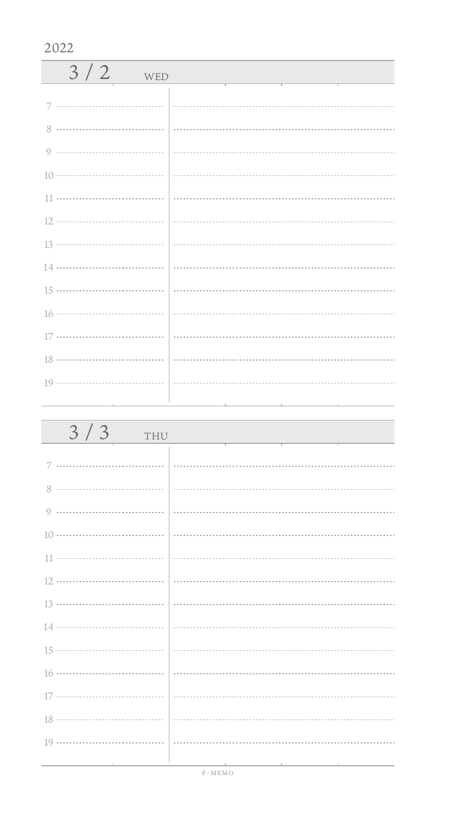| $3/2$ WED |  |
|-----------|--|
|           |  |
|           |  |
|           |  |
|           |  |
|           |  |
|           |  |
|           |  |
|           |  |
|           |  |
|           |  |
|           |  |
|           |  |
|           |  |
|           |  |

| 3/3<br>THU                    |                                                                                                                 |
|-------------------------------|-----------------------------------------------------------------------------------------------------------------|
|                               |                                                                                                                 |
|                               |                                                                                                                 |
|                               |                                                                                                                 |
|                               |                                                                                                                 |
|                               |                                                                                                                 |
|                               |                                                                                                                 |
|                               |                                                                                                                 |
|                               |                                                                                                                 |
|                               |                                                                                                                 |
|                               |                                                                                                                 |
|                               |                                                                                                                 |
|                               |                                                                                                                 |
|                               |                                                                                                                 |
| the control of the control of | the contract of the contract of the contract of the contract of the contract of the contract of the contract of |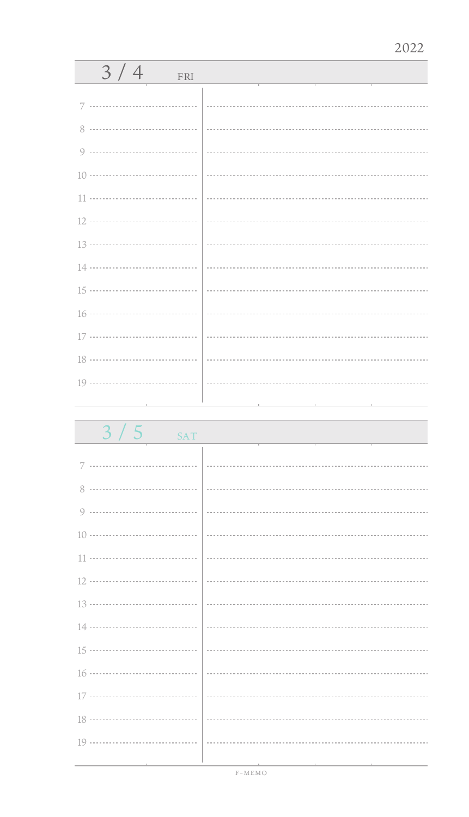| 3/4<br>FRI                                |  |
|-------------------------------------------|--|
|                                           |  |
|                                           |  |
|                                           |  |
|                                           |  |
|                                           |  |
|                                           |  |
|                                           |  |
|                                           |  |
|                                           |  |
|                                           |  |
|                                           |  |
|                                           |  |
|                                           |  |
|                                           |  |
| the control of the control of the control |  |

 $3/5$ 

| <b>SAT</b> |  |  |
|------------|--|--|
|            |  |  |
|            |  |  |
|            |  |  |
|            |  |  |

| $\sim$ $-$ |                       |
|------------|-----------------------|
|            | --------------------- |

| ----------------------------------- |  |
|-------------------------------------|--|
| $\sim$                              |  |

11 .............................

| ------- |
|---------|
|         |
|         |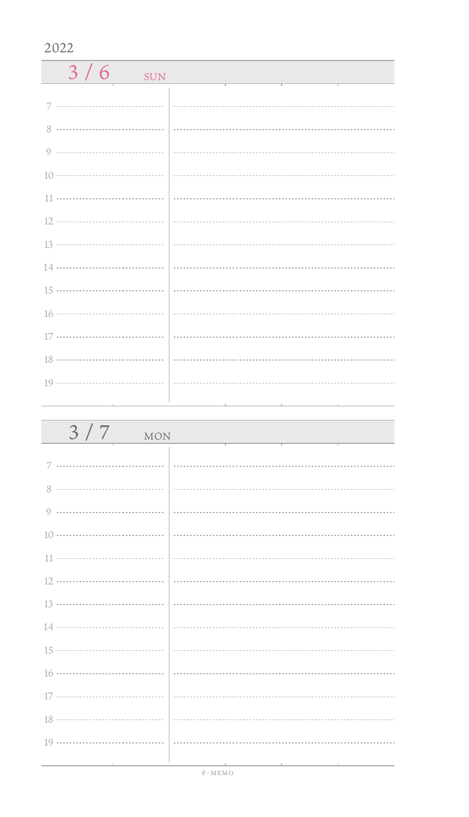| $3/6$ SUN                                                                  |  |
|----------------------------------------------------------------------------|--|
|                                                                            |  |
|                                                                            |  |
|                                                                            |  |
|                                                                            |  |
|                                                                            |  |
|                                                                            |  |
|                                                                            |  |
|                                                                            |  |
|                                                                            |  |
|                                                                            |  |
|                                                                            |  |
|                                                                            |  |
| $19 \ldots \ldots \ldots \ldots \ldots \ldots \ldots \ldots \ldots \ldots$ |  |

| 3/7<br><b>MON</b>                               |                                                                                                                 |
|-------------------------------------------------|-----------------------------------------------------------------------------------------------------------------|
| 7                                               |                                                                                                                 |
|                                                 |                                                                                                                 |
|                                                 |                                                                                                                 |
|                                                 |                                                                                                                 |
|                                                 |                                                                                                                 |
|                                                 |                                                                                                                 |
|                                                 |                                                                                                                 |
|                                                 |                                                                                                                 |
|                                                 |                                                                                                                 |
|                                                 |                                                                                                                 |
|                                                 |                                                                                                                 |
|                                                 |                                                                                                                 |
|                                                 |                                                                                                                 |
| the contract of the contract of the contract of | the contract of the contract of the contract of the contract of the contract of the contract of the contract of |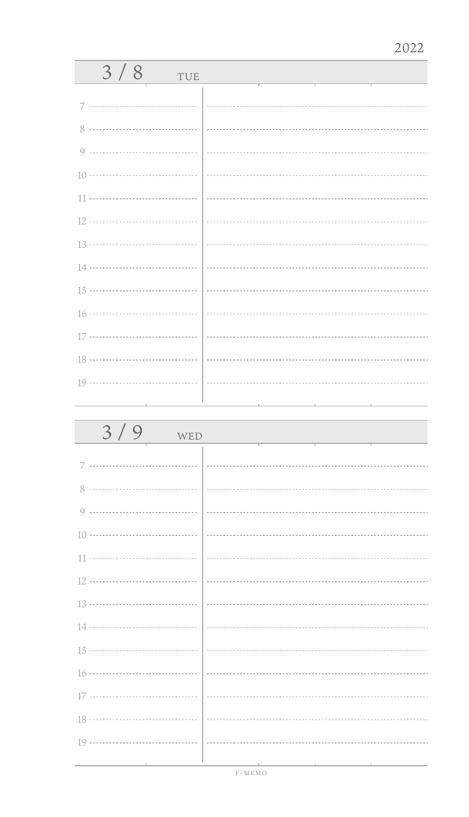| 3/8<br>TUE                          |                             |
|-------------------------------------|-----------------------------|
| 7                                   |                             |
|                                     |                             |
| 8                                   |                             |
|                                     |                             |
|                                     |                             |
|                                     | $\frac{1}{2}$               |
|                                     |                             |
|                                     | $\frac{13 \dots}{13 \dots}$ |
|                                     |                             |
|                                     |                             |
|                                     |                             |
|                                     |                             |
|                                     |                             |
|                                     |                             |
| the contract of the contract of the |                             |

| 3/9<br>WED |  |
|------------|--|
| 7          |  |
|            |  |
|            |  |
|            |  |
|            |  |
|            |  |
|            |  |
|            |  |
|            |  |
|            |  |
|            |  |
|            |  |
|            |  |
|            |  |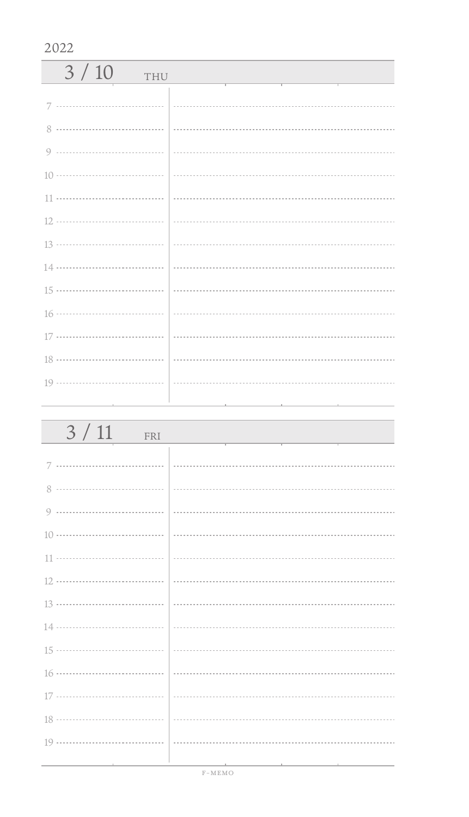| 3/10<br>THU |                                                                                                                                                                                                                                                                               |
|-------------|-------------------------------------------------------------------------------------------------------------------------------------------------------------------------------------------------------------------------------------------------------------------------------|
|             |                                                                                                                                                                                                                                                                               |
| $8^{\circ}$ |                                                                                                                                                                                                                                                                               |
|             |                                                                                                                                                                                                                                                                               |
|             |                                                                                                                                                                                                                                                                               |
|             | $\left  \begin{array}{ccc} \rule{0.2cm}{0.15mm} \rule{0.2cm}{0.15mm} \rule{0.2cm}{0.15mm} \end{array} \right $ . The contract contract contract contract contract contract contract contract contract contract contract contract contract of the contract contract contract c |
|             |                                                                                                                                                                                                                                                                               |
|             |                                                                                                                                                                                                                                                                               |
|             |                                                                                                                                                                                                                                                                               |
|             |                                                                                                                                                                                                                                                                               |
|             |                                                                                                                                                                                                                                                                               |
|             |                                                                                                                                                                                                                                                                               |
|             |                                                                                                                                                                                                                                                                               |
|             |                                                                                                                                                                                                                                                                               |
|             |                                                                                                                                                                                                                                                                               |

| $3/11$ FRI                    |  |
|-------------------------------|--|
|                               |  |
|                               |  |
|                               |  |
|                               |  |
|                               |  |
|                               |  |
|                               |  |
|                               |  |
|                               |  |
|                               |  |
|                               |  |
|                               |  |
|                               |  |
|                               |  |
| the control of the control of |  |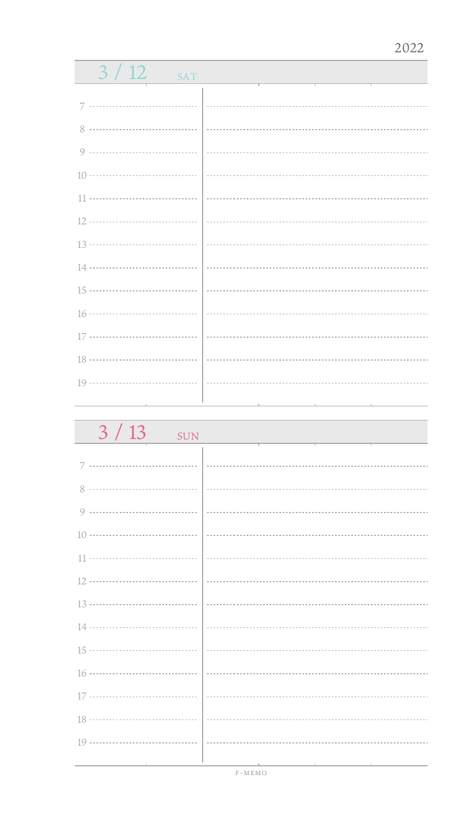| 3/12<br><b>SAT</b>                                                         |  |
|----------------------------------------------------------------------------|--|
|                                                                            |  |
| 7                                                                          |  |
|                                                                            |  |
| 9                                                                          |  |
|                                                                            |  |
| $11 \cdots \cdots \cdots \cdots \cdots \cdots \cdots \cdots \cdots \cdots$ |  |
| 12                                                                         |  |
| 13 ………………………………                                                            |  |
| 14 ………………………………                                                            |  |
| 15 ………………………………                                                            |  |
|                                                                            |  |
|                                                                            |  |
| 18 ………………………………                                                            |  |
|                                                                            |  |
|                                                                            |  |

| 3/13<br><b>SUN</b> |  |
|--------------------|--|
| 7                  |  |
| 8                  |  |
| 9                  |  |
|                    |  |
|                    |  |
|                    |  |
|                    |  |
|                    |  |
|                    |  |
|                    |  |
|                    |  |
|                    |  |
|                    |  |
|                    |  |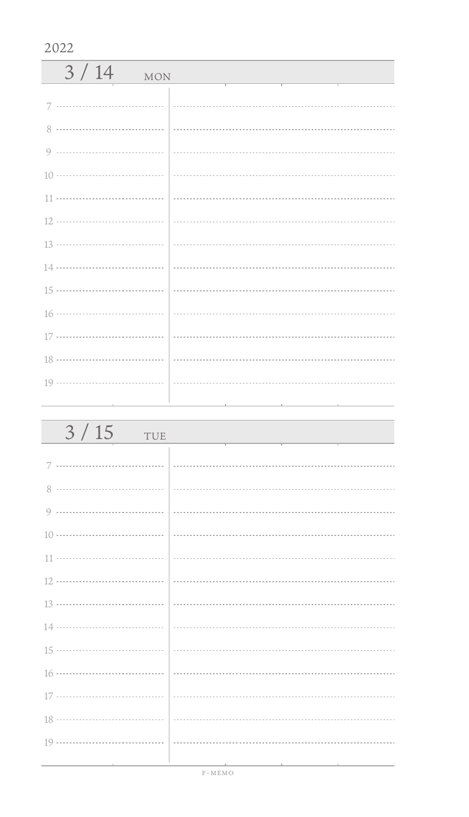| 3/14<br><b>MON</b> |  |
|--------------------|--|
| 7                  |  |
| $8^{\circ}$        |  |
|                    |  |
|                    |  |
|                    |  |
|                    |  |
|                    |  |
|                    |  |
|                    |  |
|                    |  |
|                    |  |
|                    |  |
|                    |  |

| 3/15<br>TUE             |  |
|-------------------------|--|
|                         |  |
|                         |  |
|                         |  |
|                         |  |
|                         |  |
|                         |  |
|                         |  |
|                         |  |
|                         |  |
|                         |  |
|                         |  |
|                         |  |
|                         |  |
| the control of the con- |  |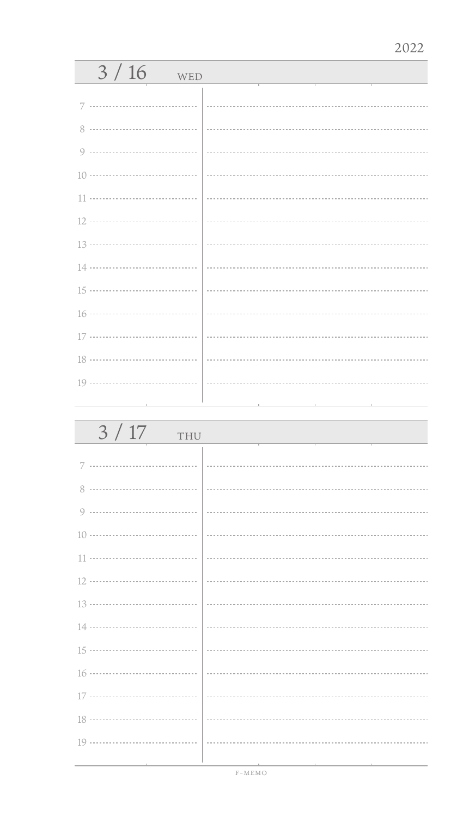| 3/16<br>WED                                                                |  |
|----------------------------------------------------------------------------|--|
| 7                                                                          |  |
| 8                                                                          |  |
| 9                                                                          |  |
| $10 \ldots \ldots \ldots \ldots \ldots \ldots \ldots \ldots \ldots \ldots$ |  |
|                                                                            |  |
|                                                                            |  |
|                                                                            |  |
|                                                                            |  |
|                                                                            |  |
|                                                                            |  |
|                                                                            |  |
|                                                                            |  |
|                                                                            |  |
|                                                                            |  |

| 3/17<br>THU                                                                |          |
|----------------------------------------------------------------------------|----------|
| 7                                                                          |          |
|                                                                            |          |
| 0                                                                          |          |
| $10 \cdots \cdots \cdots \cdots \cdots \cdots \cdots \cdots \cdots \cdots$ |          |
| 11                                                                         | $\cdots$ |
|                                                                            |          |
|                                                                            |          |
|                                                                            |          |
|                                                                            |          |
|                                                                            |          |
| 17                                                                         |          |
|                                                                            |          |
|                                                                            |          |
|                                                                            |          |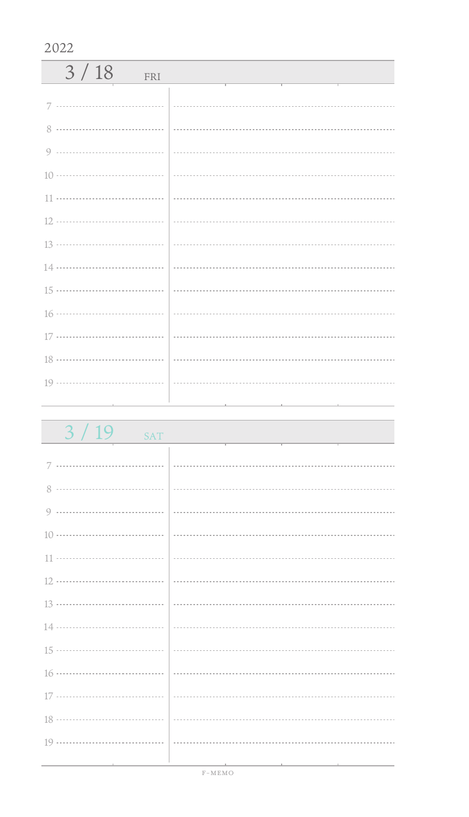| 3/18<br>FRI |  |
|-------------|--|
|             |  |
|             |  |
|             |  |
|             |  |
|             |  |
|             |  |
|             |  |
|             |  |
|             |  |
|             |  |
|             |  |
|             |  |
|             |  |
|             |  |

| 3/19<br><b>SAT</b>                           |                                                                                 |
|----------------------------------------------|---------------------------------------------------------------------------------|
|                                              |                                                                                 |
|                                              |                                                                                 |
|                                              |                                                                                 |
|                                              |                                                                                 |
|                                              |                                                                                 |
|                                              |                                                                                 |
|                                              |                                                                                 |
|                                              |                                                                                 |
|                                              |                                                                                 |
|                                              |                                                                                 |
|                                              |                                                                                 |
|                                              |                                                                                 |
|                                              |                                                                                 |
|                                              |                                                                                 |
| the control of the control of the control of | the contract of the contract of the contract of the contract of the contract of |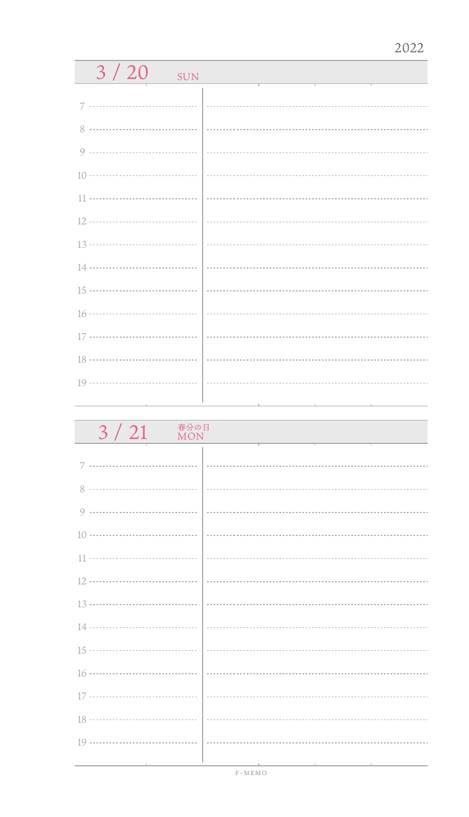| 3/20<br><b>SUN</b>                                                                |  |
|-----------------------------------------------------------------------------------|--|
| 7                                                                                 |  |
|                                                                                   |  |
|                                                                                   |  |
|                                                                                   |  |
| 10 ………………………………                                                                   |  |
|                                                                                   |  |
|                                                                                   |  |
| 13 ………………………………                                                                   |  |
| 14 ………………………………                                                                   |  |
| $15 \cdots \cdots \cdots \cdots \cdots \cdots \cdots \cdots \cdots \cdots$        |  |
| 16 ………………………………                                                                   |  |
| $17 \cdots \cdots \cdots \cdots \cdots \cdots \cdots \cdots \cdots \cdots \cdots$ |  |
| 18 ………………………………                                                                   |  |
|                                                                                   |  |
|                                                                                   |  |

| 春分の日<br>3 / 21<br><b>MON</b> |  |
|------------------------------|--|
|                              |  |
| 7                            |  |
| 8                            |  |
| 9                            |  |
|                              |  |
|                              |  |
|                              |  |
|                              |  |
|                              |  |
|                              |  |
|                              |  |
|                              |  |
|                              |  |
|                              |  |
|                              |  |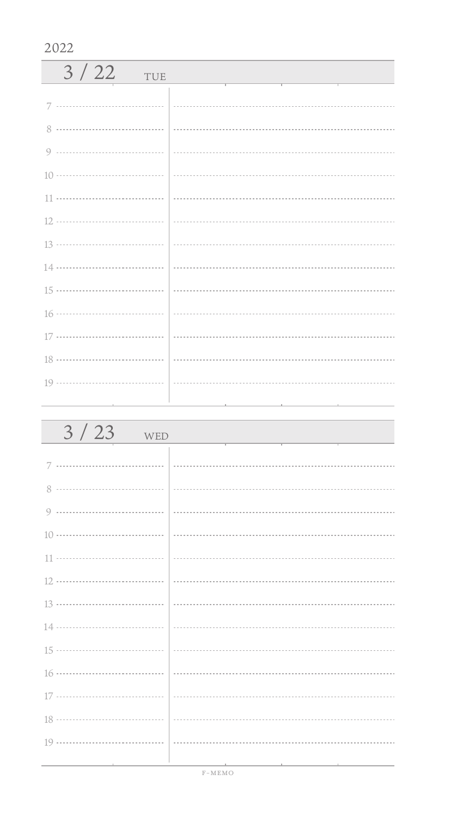| 3/22<br>TUE |  |
|-------------|--|
|             |  |
|             |  |
|             |  |
|             |  |
|             |  |
|             |  |
|             |  |
|             |  |
|             |  |
|             |  |
|             |  |
|             |  |
|             |  |

| $3/23$ WED                             |  |
|----------------------------------------|--|
|                                        |  |
|                                        |  |
|                                        |  |
|                                        |  |
|                                        |  |
|                                        |  |
|                                        |  |
|                                        |  |
|                                        |  |
|                                        |  |
|                                        |  |
|                                        |  |
|                                        |  |
|                                        |  |
| the control of the control of the con- |  |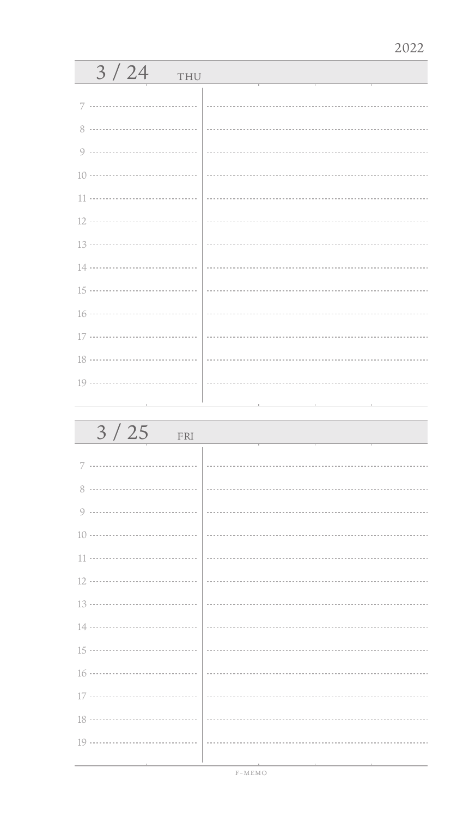| 3/24<br>THU |  |
|-------------|--|
| 7           |  |
| 8           |  |
|             |  |
|             |  |
|             |  |
|             |  |
|             |  |
|             |  |
|             |  |
|             |  |
|             |  |
|             |  |
|             |  |
|             |  |

| 3/25<br>FRI |  |
|-------------|--|
|             |  |
| 8           |  |
| 9           |  |
|             |  |
|             |  |
|             |  |
|             |  |
|             |  |
|             |  |
|             |  |
|             |  |
|             |  |
|             |  |
|             |  |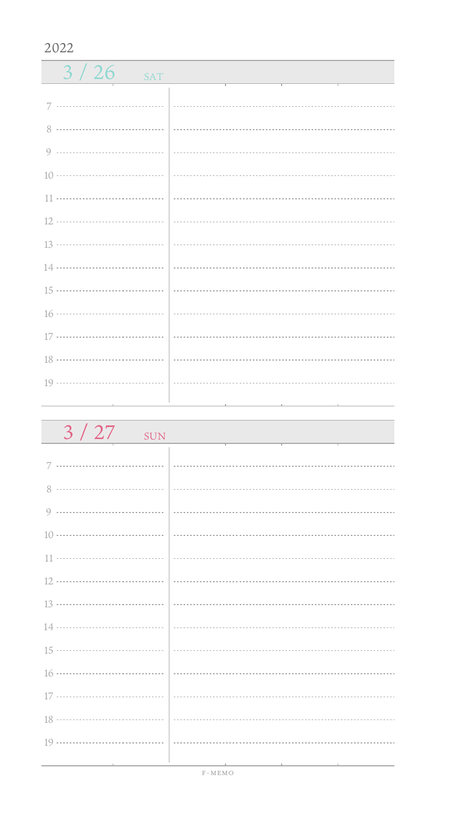| 3/26<br>SAT                                                                |  |
|----------------------------------------------------------------------------|--|
|                                                                            |  |
|                                                                            |  |
|                                                                            |  |
|                                                                            |  |
|                                                                            |  |
|                                                                            |  |
|                                                                            |  |
|                                                                            |  |
|                                                                            |  |
|                                                                            |  |
|                                                                            |  |
|                                                                            |  |
| $19 \ldots \ldots \ldots \ldots \ldots \ldots \ldots \ldots \ldots \ldots$ |  |
|                                                                            |  |

| $3/27$ sun | <u> 1989 - Johann Barn, mars eta inperiodoren erroman erroman erroman erroman erroman erroman erroman erroman er</u> |
|------------|----------------------------------------------------------------------------------------------------------------------|
|            |                                                                                                                      |
|            |                                                                                                                      |
|            |                                                                                                                      |
|            |                                                                                                                      |
|            |                                                                                                                      |
|            |                                                                                                                      |
|            |                                                                                                                      |
|            |                                                                                                                      |
|            |                                                                                                                      |
|            |                                                                                                                      |
|            |                                                                                                                      |
|            |                                                                                                                      |
|            |                                                                                                                      |
|            |                                                                                                                      |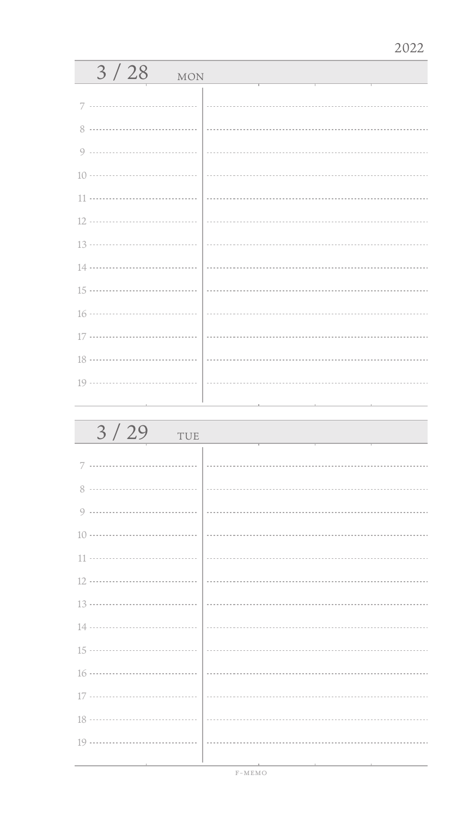| 3/28<br><b>MON</b> |  |
|--------------------|--|
| 7                  |  |
| 8                  |  |
| 9                  |  |
|                    |  |
| 11                 |  |
|                    |  |
|                    |  |
|                    |  |
|                    |  |
|                    |  |
|                    |  |
|                    |  |
|                    |  |
|                    |  |

| 3/29<br>TUE |  |
|-------------|--|
| 7           |  |
|             |  |
| 9           |  |
|             |  |
|             |  |
|             |  |
|             |  |
|             |  |
|             |  |
|             |  |
|             |  |
|             |  |
|             |  |
|             |  |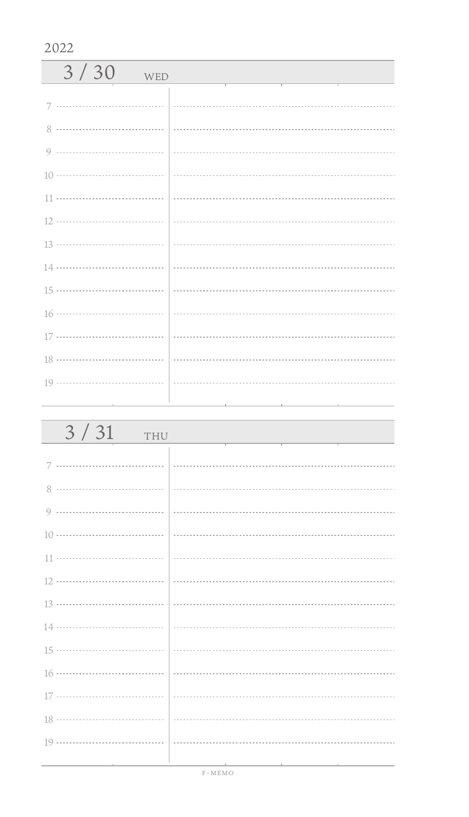| 3/30<br>WED   |  |
|---------------|--|
|               |  |
| $\mathcal{R}$ |  |
|               |  |
|               |  |
|               |  |
|               |  |
|               |  |
|               |  |
|               |  |
|               |  |
|               |  |
|               |  |
|               |  |
|               |  |

| 3/31<br>THU                            |                                          |
|----------------------------------------|------------------------------------------|
|                                        |                                          |
|                                        |                                          |
|                                        |                                          |
|                                        |                                          |
|                                        |                                          |
|                                        |                                          |
|                                        |                                          |
|                                        |                                          |
|                                        |                                          |
|                                        |                                          |
|                                        |                                          |
|                                        |                                          |
|                                        |                                          |
| the control of the control of the con- | the contract of the contract of the con- |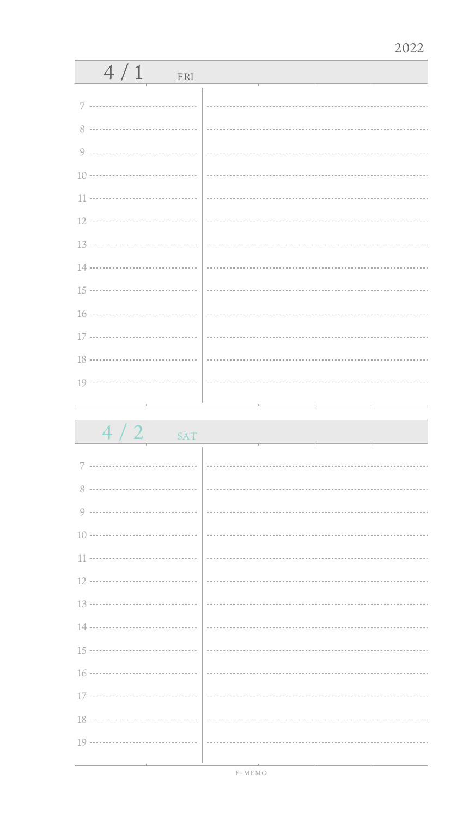| 4/1<br>FRI                    |  |
|-------------------------------|--|
|                               |  |
| 7                             |  |
|                               |  |
|                               |  |
|                               |  |
|                               |  |
|                               |  |
|                               |  |
|                               |  |
|                               |  |
|                               |  |
|                               |  |
|                               |  |
|                               |  |
| the control of the control of |  |

 $4 / 2$  SAT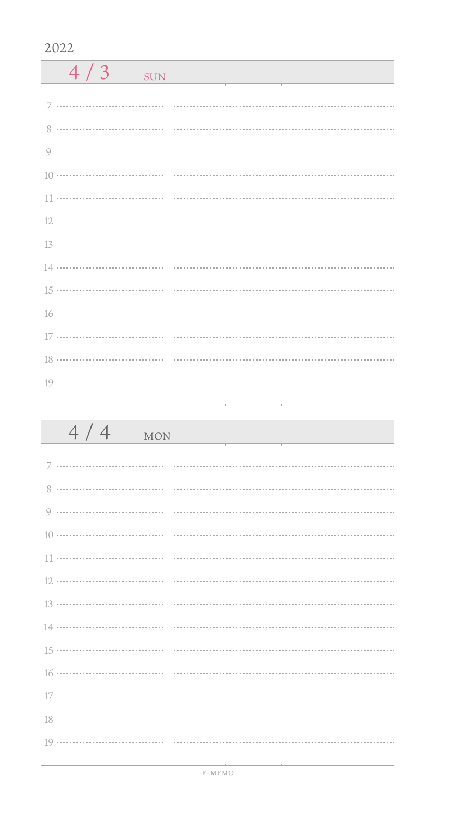| 4/3<br><b>SUN</b> |  |
|-------------------|--|
| 7                 |  |
|                   |  |
|                   |  |
|                   |  |
|                   |  |
|                   |  |
|                   |  |
|                   |  |
|                   |  |
|                   |  |
|                   |  |
|                   |  |
|                   |  |

| 4/4<br>MON                                      |                                                                                                                 |
|-------------------------------------------------|-----------------------------------------------------------------------------------------------------------------|
|                                                 |                                                                                                                 |
|                                                 |                                                                                                                 |
|                                                 |                                                                                                                 |
|                                                 |                                                                                                                 |
|                                                 |                                                                                                                 |
|                                                 |                                                                                                                 |
|                                                 |                                                                                                                 |
|                                                 |                                                                                                                 |
|                                                 |                                                                                                                 |
|                                                 |                                                                                                                 |
|                                                 |                                                                                                                 |
|                                                 |                                                                                                                 |
|                                                 |                                                                                                                 |
| the contract of the contract of the contract of | 그 사람들은 그 사람들은 아이들이 아니라 아이들은 아이들이 아니라 아이들이 아니라 아이들이 아니라 아이들이 아니라 아이들이 아니라 아이들이 아니라 아이들이 아니라 아이들이 아니라 아이들이 아니라 아이 |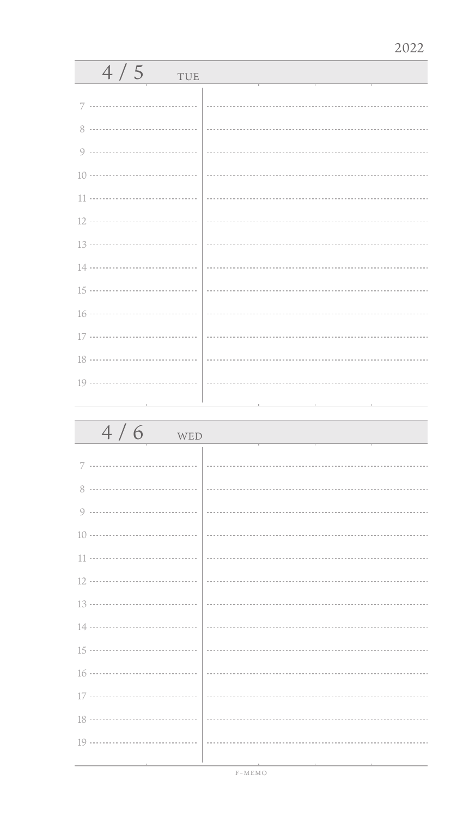| 4/5<br>TUE |  |
|------------|--|
| 7          |  |
| 8          |  |
|            |  |
|            |  |
|            |  |
|            |  |
|            |  |
|            |  |
|            |  |
|            |  |
|            |  |
|            |  |
|            |  |
|            |  |

| 4/6<br>WED |  |
|------------|--|
| 7          |  |
| 8          |  |
|            |  |
|            |  |
|            |  |
|            |  |
|            |  |
|            |  |
|            |  |
|            |  |
|            |  |
|            |  |
|            |  |
|            |  |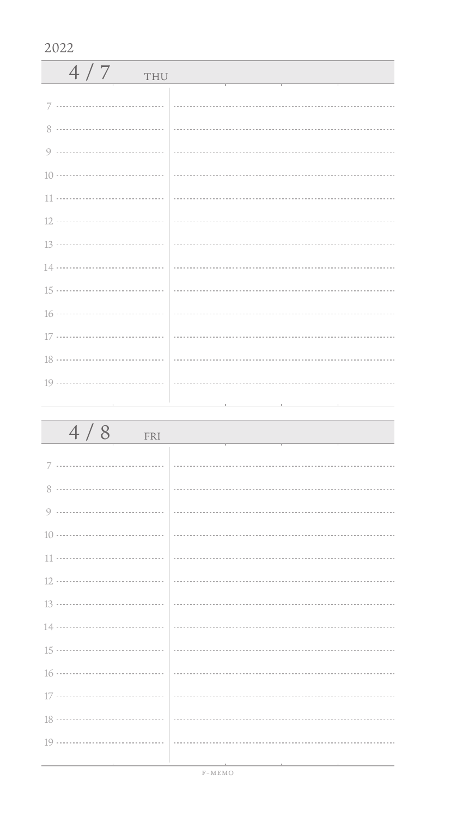| 4/7<br>THU |  |
|------------|--|
|            |  |
|            |  |
|            |  |
|            |  |
|            |  |
|            |  |
|            |  |
|            |  |
|            |  |
|            |  |
|            |  |
|            |  |
|            |  |
|            |  |

| 4/8<br>FRI                                                                                                      |                                                                                                 |
|-----------------------------------------------------------------------------------------------------------------|-------------------------------------------------------------------------------------------------|
|                                                                                                                 |                                                                                                 |
|                                                                                                                 |                                                                                                 |
|                                                                                                                 |                                                                                                 |
|                                                                                                                 |                                                                                                 |
|                                                                                                                 |                                                                                                 |
|                                                                                                                 |                                                                                                 |
|                                                                                                                 |                                                                                                 |
|                                                                                                                 |                                                                                                 |
|                                                                                                                 |                                                                                                 |
|                                                                                                                 |                                                                                                 |
|                                                                                                                 |                                                                                                 |
|                                                                                                                 |                                                                                                 |
|                                                                                                                 |                                                                                                 |
| the contract of the contract of the contract of the contract of the contract of the contract of the contract of | the contract of the contract of the contract of the contract of the contract of the contract of |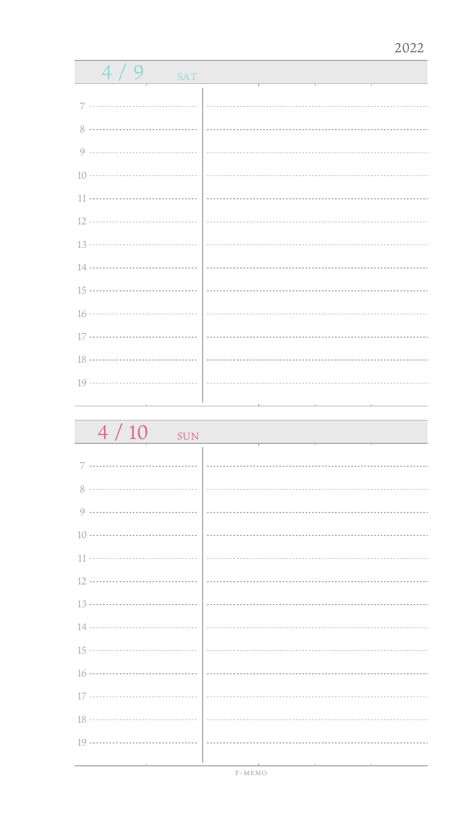| 4 / 9<br><b>SAT</b> |  |
|---------------------|--|
|                     |  |
|                     |  |
|                     |  |
|                     |  |
|                     |  |
|                     |  |
|                     |  |
|                     |  |
|                     |  |
|                     |  |
|                     |  |
|                     |  |
|                     |  |
|                     |  |
|                     |  |
|                     |  |

 $4 / 10$  SUN 7 8 .................................. 0 .................................. 10 11 ÷. 12 13 ................................... 14 ................................... 15 ................................... . . . . . . . . . 16 17 .................................. 18 ă. 19 ...................................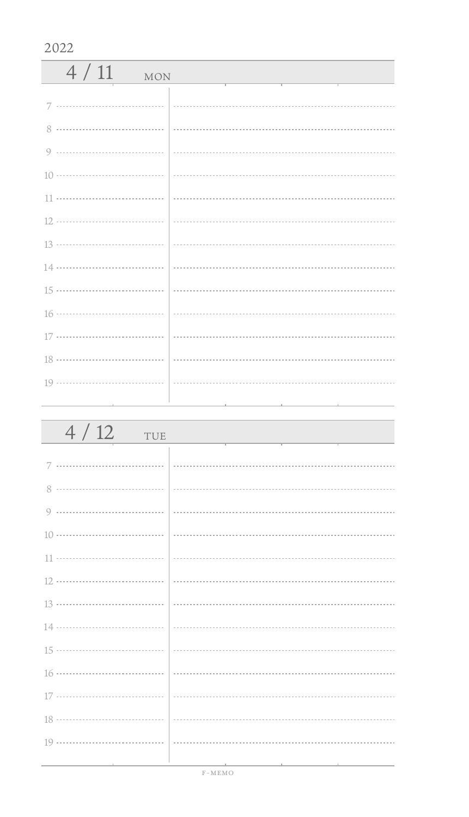| 4/11<br><b>MON</b> |  |
|--------------------|--|
|                    |  |
|                    |  |
|                    |  |
|                    |  |
|                    |  |
|                    |  |
|                    |  |
|                    |  |
|                    |  |
|                    |  |
|                    |  |
|                    |  |
|                    |  |

| 4/12<br>TUE | <u> 1989 - Johann Barbara, martin da kasar A</u>                                                                |
|-------------|-----------------------------------------------------------------------------------------------------------------|
|             |                                                                                                                 |
|             |                                                                                                                 |
|             |                                                                                                                 |
|             |                                                                                                                 |
|             |                                                                                                                 |
|             |                                                                                                                 |
|             |                                                                                                                 |
|             |                                                                                                                 |
|             |                                                                                                                 |
|             |                                                                                                                 |
|             |                                                                                                                 |
|             |                                                                                                                 |
|             |                                                                                                                 |
|             | the contract of the contract of the contract of the contract of the contract of the contract of the contract of |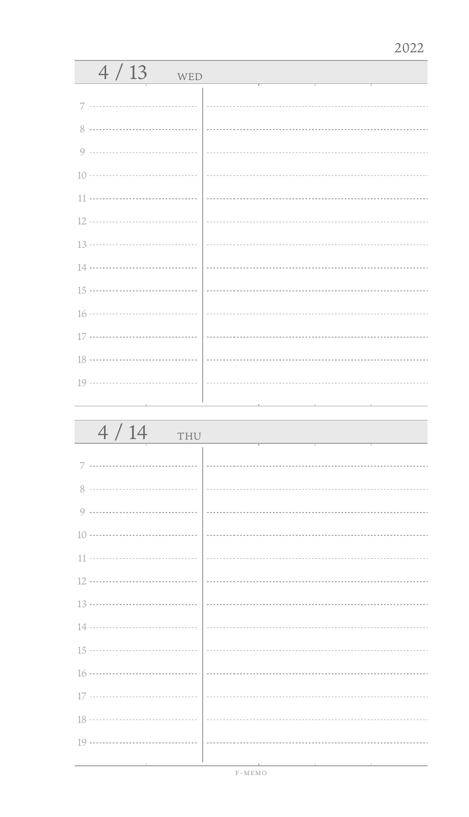| 4/13<br>WED |  |
|-------------|--|
| 7           |  |
|             |  |
|             |  |
|             |  |
|             |  |
|             |  |
|             |  |
|             |  |
|             |  |
|             |  |
|             |  |
|             |  |
|             |  |
|             |  |

| 4/14<br>THU                                                                     |                                                                                                            |
|---------------------------------------------------------------------------------|------------------------------------------------------------------------------------------------------------|
|                                                                                 |                                                                                                            |
|                                                                                 |                                                                                                            |
|                                                                                 |                                                                                                            |
|                                                                                 |                                                                                                            |
|                                                                                 |                                                                                                            |
|                                                                                 |                                                                                                            |
|                                                                                 |                                                                                                            |
|                                                                                 |                                                                                                            |
|                                                                                 |                                                                                                            |
|                                                                                 |                                                                                                            |
|                                                                                 |                                                                                                            |
|                                                                                 |                                                                                                            |
|                                                                                 |                                                                                                            |
| the contract of the contract of the contract of the contract of the contract of | the control of the con-<br>the contract of the contract of the contract of the contract of the contract of |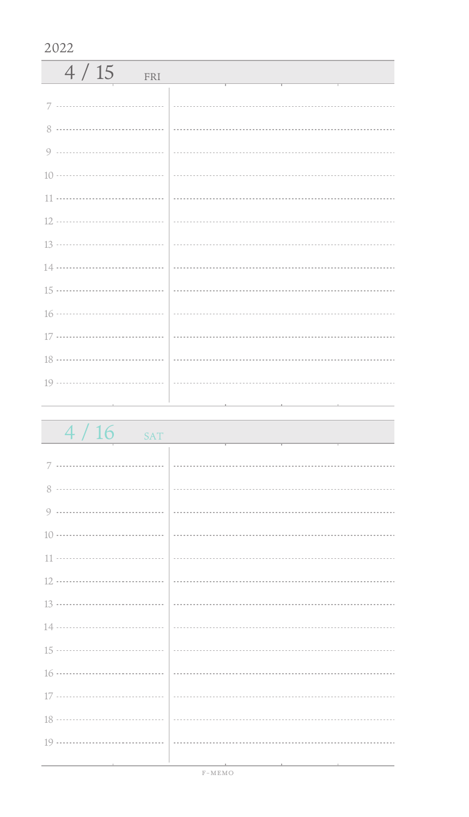| 4/15<br>FRI |  |
|-------------|--|
|             |  |
|             |  |
|             |  |
|             |  |
|             |  |
|             |  |
|             |  |
|             |  |
|             |  |
|             |  |
|             |  |
|             |  |
|             |  |
|             |  |

| 4/16<br><b>SAT</b> |  |
|--------------------|--|
|                    |  |
| 7                  |  |
| 8                  |  |
|                    |  |
|                    |  |
|                    |  |
|                    |  |
|                    |  |
|                    |  |
|                    |  |
|                    |  |
|                    |  |
|                    |  |
|                    |  |
|                    |  |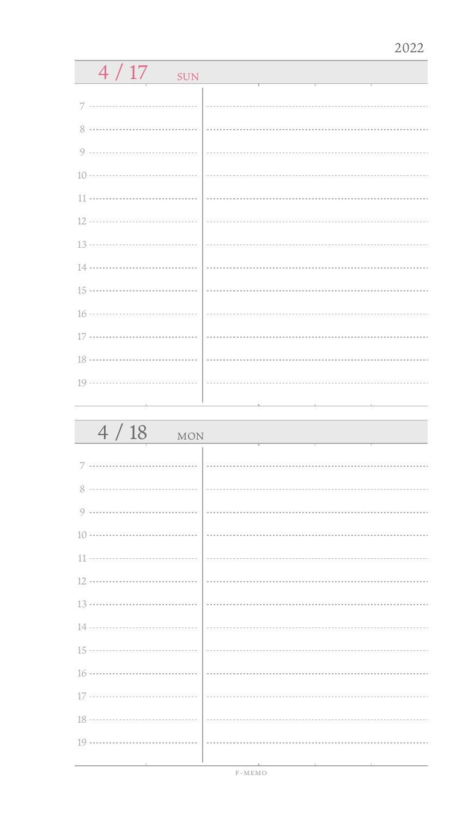| 4/17<br><b>SUN</b> |   |
|--------------------|---|
|                    |   |
| 7                  |   |
| <br>8              |   |
| 9                  |   |
|                    | . |
| 11                 |   |
| 12                 |   |
|                    |   |
| 14                 |   |
| 15 ………………………………    |   |
| 16 ………………………………    |   |
| 17                 |   |
|                    | . |
|                    |   |
|                    |   |
|                    |   |
| 4/18<br><b>MON</b> |   |

| $\frac{1}{1101}$<br><u> 1989 - Johann Barn, amerikan personal (</u>              |
|----------------------------------------------------------------------------------|
|                                                                                  |
|                                                                                  |
|                                                                                  |
|                                                                                  |
|                                                                                  |
|                                                                                  |
|                                                                                  |
|                                                                                  |
|                                                                                  |
|                                                                                  |
|                                                                                  |
|                                                                                  |
|                                                                                  |
|                                                                                  |
| ,我们也不能在这里,我们也不能在这里,我们也不能会在这里,我们也不能会在这里,我们也不能会在这里。我们的人,我们也不能会在这里,我们也不能会在这里,我们也不能会 |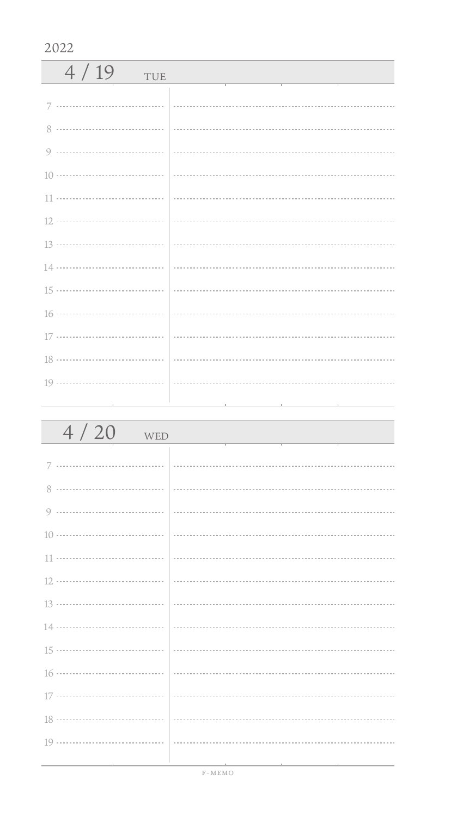| 4/19<br>TUE |  |
|-------------|--|
|             |  |
|             |  |
|             |  |
|             |  |
|             |  |
|             |  |
|             |  |
|             |  |
|             |  |
|             |  |
|             |  |
|             |  |
|             |  |
|             |  |

| 4/20<br>WED                       |  |
|-----------------------------------|--|
|                                   |  |
|                                   |  |
|                                   |  |
|                                   |  |
|                                   |  |
|                                   |  |
|                                   |  |
|                                   |  |
|                                   |  |
|                                   |  |
|                                   |  |
|                                   |  |
|                                   |  |
|                                   |  |
| the control of the control of the |  |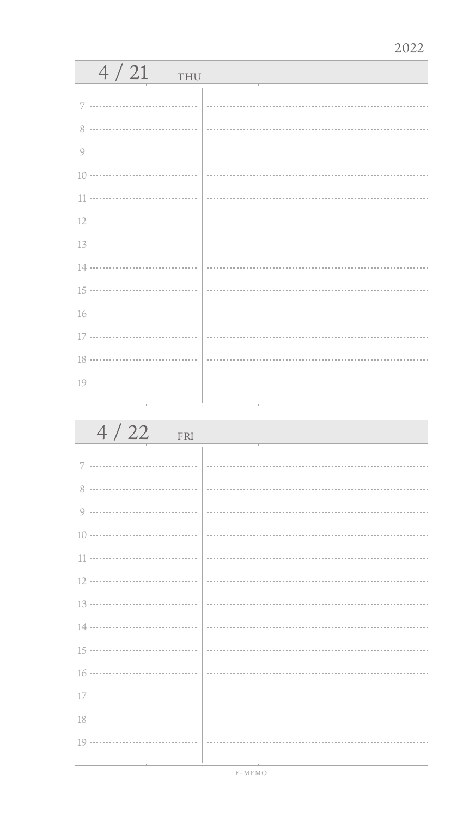| 4/21<br>THU |  |
|-------------|--|
|             |  |
|             |  |
| 8           |  |
| $\circ$     |  |
|             |  |
| 11          |  |
|             |  |
|             |  |
|             |  |
|             |  |
|             |  |
| 17          |  |
|             |  |
|             |  |
|             |  |

| 4/22<br>FRI |  |
|-------------|--|
| 7           |  |
|             |  |
|             |  |
|             |  |
|             |  |
|             |  |
|             |  |
|             |  |
|             |  |
|             |  |
|             |  |
|             |  |
|             |  |
|             |  |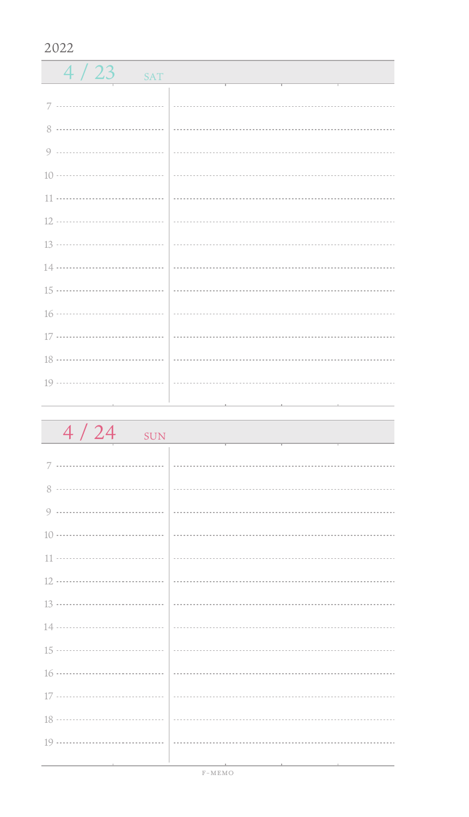| $4/23$ SAT |  |
|------------|--|
|            |  |
|            |  |
|            |  |
|            |  |
|            |  |
|            |  |
|            |  |
|            |  |
|            |  |
|            |  |
|            |  |
|            |  |
|            |  |
|            |  |
|            |  |

| 4/24<br>SUN |  |
|-------------|--|
|             |  |
|             |  |
|             |  |
|             |  |
|             |  |
|             |  |
|             |  |
|             |  |
|             |  |
|             |  |
|             |  |
|             |  |
|             |  |
|             |  |
|             |  |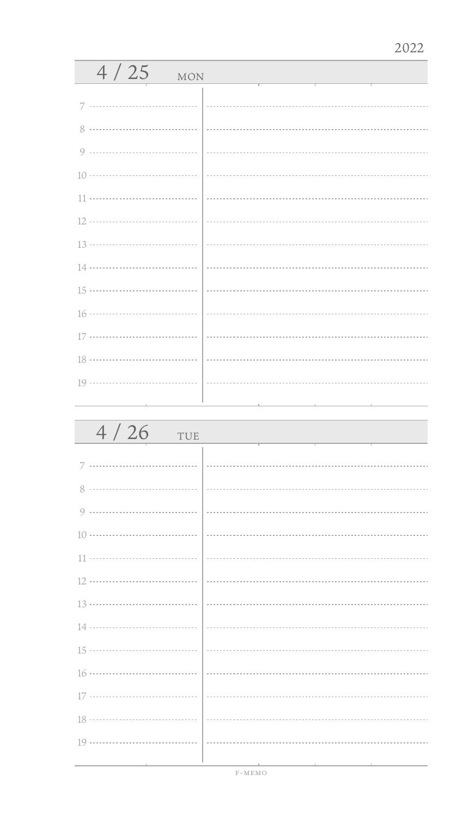| 4/25<br><b>MON</b>              |  |
|---------------------------------|--|
| 7                               |  |
| 8                               |  |
| 9                               |  |
|                                 |  |
|                                 |  |
|                                 |  |
|                                 |  |
|                                 |  |
|                                 |  |
|                                 |  |
|                                 |  |
|                                 |  |
|                                 |  |
| the contract of the contract of |  |

| 4/26<br>TUE |  |
|-------------|--|
| 7           |  |
| 8           |  |
| 9           |  |
|             |  |
|             |  |
|             |  |
|             |  |
|             |  |
|             |  |
|             |  |
|             |  |
|             |  |
|             |  |
|             |  |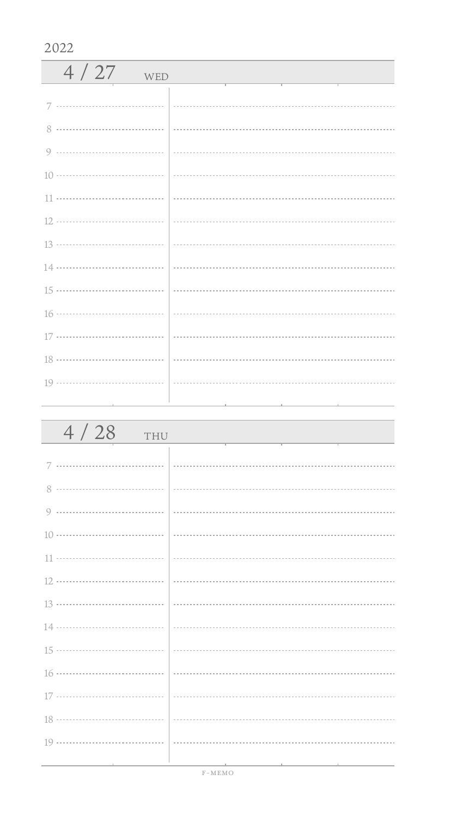| 4/27<br>WED   |  |
|---------------|--|
|               |  |
|               |  |
| $\mathcal{R}$ |  |
|               |  |
|               |  |
|               |  |
|               |  |
|               |  |
|               |  |
|               |  |
|               |  |
|               |  |
|               |  |
|               |  |
|               |  |

| 4/28<br>THU                     |  |
|---------------------------------|--|
|                                 |  |
|                                 |  |
|                                 |  |
|                                 |  |
|                                 |  |
|                                 |  |
|                                 |  |
|                                 |  |
|                                 |  |
|                                 |  |
|                                 |  |
|                                 |  |
|                                 |  |
|                                 |  |
| the contract of the contract of |  |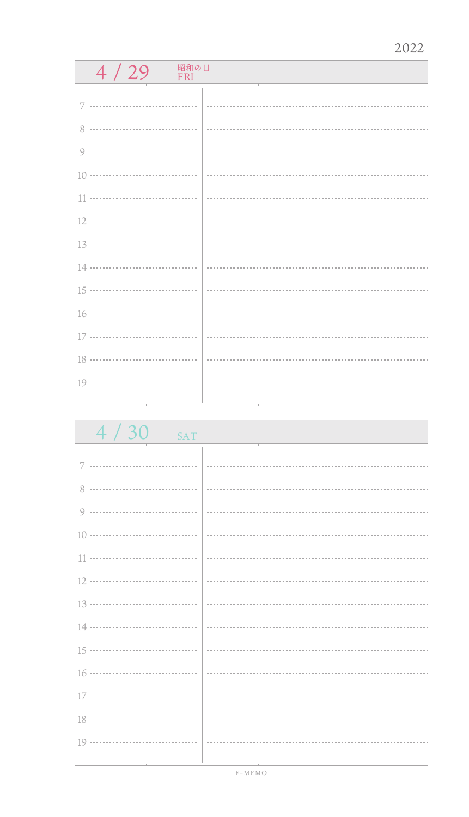## $4 / 29$  FRI

 $4 / 30$  SAT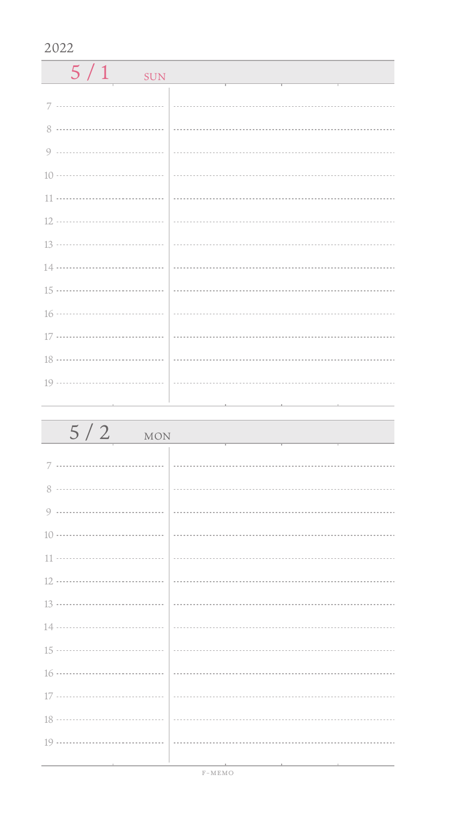| 5/1<br><b>SUN</b> |  |
|-------------------|--|
| 7                 |  |
| 8                 |  |
|                   |  |
|                   |  |
|                   |  |
|                   |  |
|                   |  |
|                   |  |
|                   |  |
|                   |  |
|                   |  |
|                   |  |
|                   |  |
|                   |  |

| $5/2$ MON                                       |                                                                                                                                                                                                                                                                                                                                                                                                                                                                                                                                               |
|-------------------------------------------------|-----------------------------------------------------------------------------------------------------------------------------------------------------------------------------------------------------------------------------------------------------------------------------------------------------------------------------------------------------------------------------------------------------------------------------------------------------------------------------------------------------------------------------------------------|
|                                                 |                                                                                                                                                                                                                                                                                                                                                                                                                                                                                                                                               |
|                                                 |                                                                                                                                                                                                                                                                                                                                                                                                                                                                                                                                               |
|                                                 |                                                                                                                                                                                                                                                                                                                                                                                                                                                                                                                                               |
|                                                 |                                                                                                                                                                                                                                                                                                                                                                                                                                                                                                                                               |
|                                                 | $\begin{array}{ l } \hline \begin{array}{c} \hline \begin{array}{c} \hline \begin{array}{c} \hline \begin{array}{c} \hline \begin{array}{c} \hline \begin{array}{c} \hline \begin{array}{c} \hline \end{array} \\ \hline \end{array} \\ \hline \end{array} \\ \hline \end{array} \end{array} \end{array} \end{array} \end{array} \end{array} \end{array} \begin{array}{ l } \hline \begin{array}{c} \hline \begin{array}{c} \hline \begin{array}{c} \hline \begin{array}{c} \hline \begin{array}{c} \hline \end{array} \\ \hline \end{array}$ |
|                                                 |                                                                                                                                                                                                                                                                                                                                                                                                                                                                                                                                               |
|                                                 |                                                                                                                                                                                                                                                                                                                                                                                                                                                                                                                                               |
|                                                 |                                                                                                                                                                                                                                                                                                                                                                                                                                                                                                                                               |
|                                                 |                                                                                                                                                                                                                                                                                                                                                                                                                                                                                                                                               |
|                                                 |                                                                                                                                                                                                                                                                                                                                                                                                                                                                                                                                               |
|                                                 |                                                                                                                                                                                                                                                                                                                                                                                                                                                                                                                                               |
|                                                 |                                                                                                                                                                                                                                                                                                                                                                                                                                                                                                                                               |
|                                                 |                                                                                                                                                                                                                                                                                                                                                                                                                                                                                                                                               |
| the contract of the contract of the contract of | 그 사람들은 그 사람들은 아이들이 아니라 아이들은 아이들이 아니라 아이들이 아니라 아이들이 아니라 아이들이 아니라 아이들이 아니라 아이들이 아니라 아이들이 아니라 아이들이 아니라 아이들이 아니라 아이                                                                                                                                                                                                                                                                                                                                                                                                                               |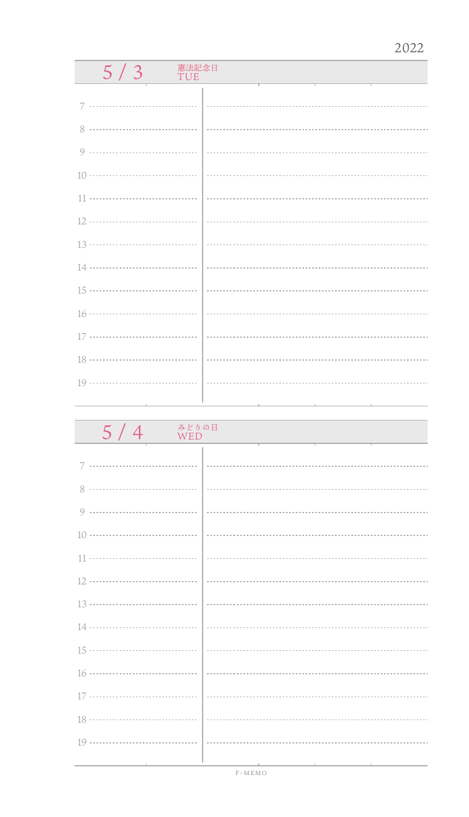## $5/3$  TUE

| みどりの日<br>5/4<br><b>WED</b> |                             |
|----------------------------|-----------------------------|
|                            |                             |
|                            |                             |
|                            |                             |
|                            |                             |
|                            |                             |
|                            |                             |
|                            | $\frac{13 \dots}{13 \dots}$ |
|                            |                             |
|                            |                             |
|                            |                             |
|                            |                             |
|                            |                             |
|                            |                             |
|                            |                             |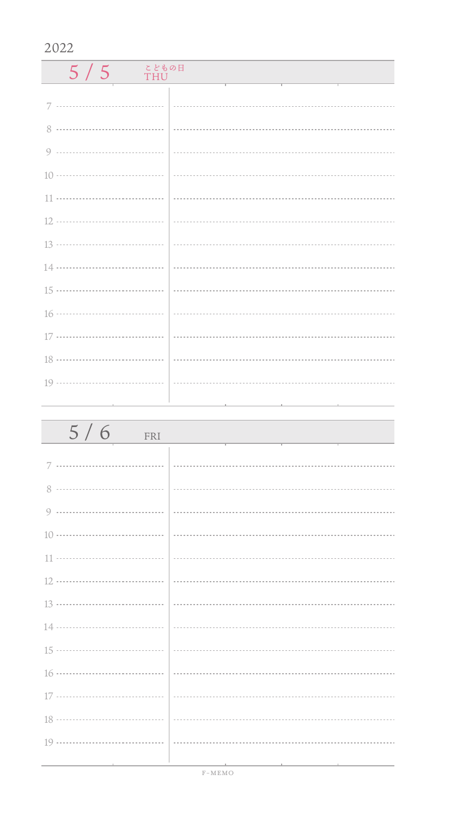| こどもの日<br>5/5<br><b>THU</b> |  |
|----------------------------|--|
|                            |  |
|                            |  |
|                            |  |
|                            |  |
|                            |  |
|                            |  |
|                            |  |
|                            |  |
|                            |  |
|                            |  |
|                            |  |
|                            |  |
|                            |  |
|                            |  |
| the control of the con-    |  |

| $5/6$ FRI                                       |                                                                                                                  |
|-------------------------------------------------|------------------------------------------------------------------------------------------------------------------|
|                                                 |                                                                                                                  |
|                                                 |                                                                                                                  |
|                                                 |                                                                                                                  |
|                                                 |                                                                                                                  |
|                                                 |                                                                                                                  |
|                                                 |                                                                                                                  |
|                                                 |                                                                                                                  |
|                                                 |                                                                                                                  |
|                                                 |                                                                                                                  |
|                                                 |                                                                                                                  |
|                                                 |                                                                                                                  |
|                                                 |                                                                                                                  |
| the contract of the contract of the contract of | 그 아이들은 그 사람들은 아이들이 아니라 아이들이 아니라 아이들이 아니라 아이들이 아니라 아이들이 아니라 아이들이 아니라 아이들이 아니라 아이들이 아니라 아이들이 아니라 아이들이 아니라 아이들이 아니라 |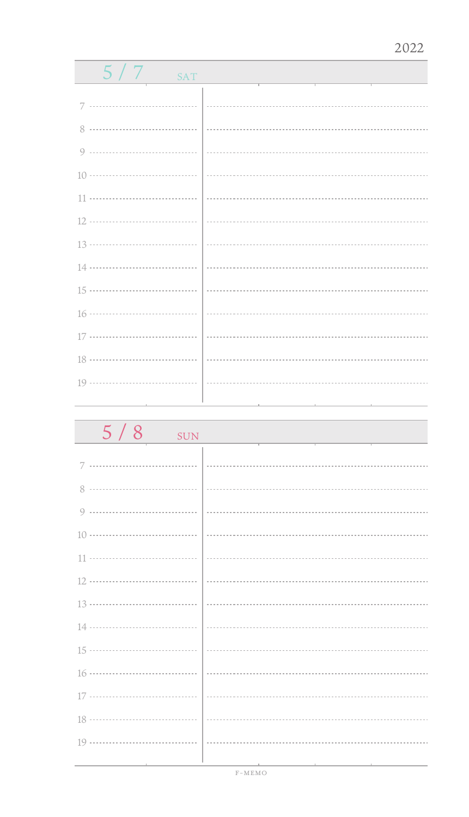| 5/7<br><b>SAT</b> |  |
|-------------------|--|
|                   |  |
| 7                 |  |
|                   |  |
|                   |  |
|                   |  |
|                   |  |
|                   |  |
|                   |  |
|                   |  |
|                   |  |
|                   |  |
|                   |  |
|                   |  |
|                   |  |
|                   |  |
|                   |  |

| 5/8<br><b>SUN</b> |  |
|-------------------|--|
| 7                 |  |
| 8                 |  |
| 9                 |  |
|                   |  |
|                   |  |
|                   |  |
|                   |  |
|                   |  |
|                   |  |
|                   |  |
|                   |  |
|                   |  |
|                   |  |
|                   |  |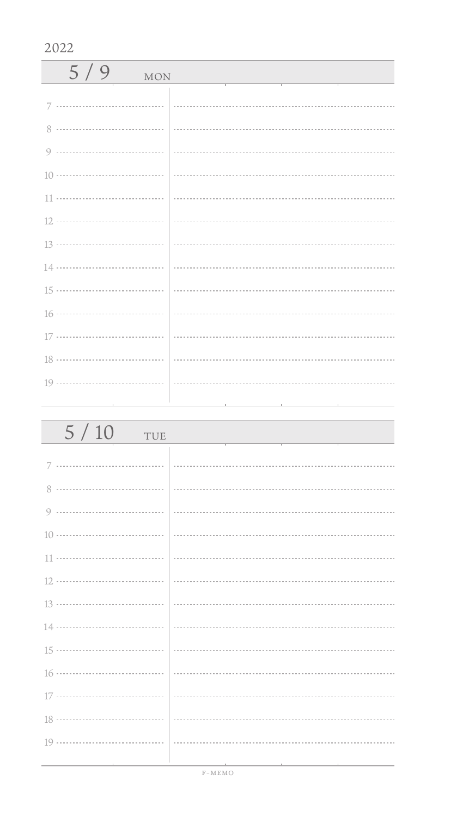| 5/9<br><b>MON</b> |  |
|-------------------|--|
|                   |  |
|                   |  |
|                   |  |
|                   |  |
|                   |  |
|                   |  |
|                   |  |
|                   |  |
|                   |  |
|                   |  |
|                   |  |
|                   |  |
|                   |  |

| 5/10<br>TUE                                                                                                     |                                                                                                 |
|-----------------------------------------------------------------------------------------------------------------|-------------------------------------------------------------------------------------------------|
|                                                                                                                 |                                                                                                 |
|                                                                                                                 |                                                                                                 |
|                                                                                                                 |                                                                                                 |
|                                                                                                                 |                                                                                                 |
|                                                                                                                 |                                                                                                 |
|                                                                                                                 |                                                                                                 |
|                                                                                                                 |                                                                                                 |
|                                                                                                                 |                                                                                                 |
|                                                                                                                 |                                                                                                 |
|                                                                                                                 |                                                                                                 |
|                                                                                                                 |                                                                                                 |
|                                                                                                                 |                                                                                                 |
|                                                                                                                 |                                                                                                 |
| the contract of the contract of the contract of the contract of the contract of the contract of the contract of | the contract of the contract of the contract of the contract of the contract of the contract of |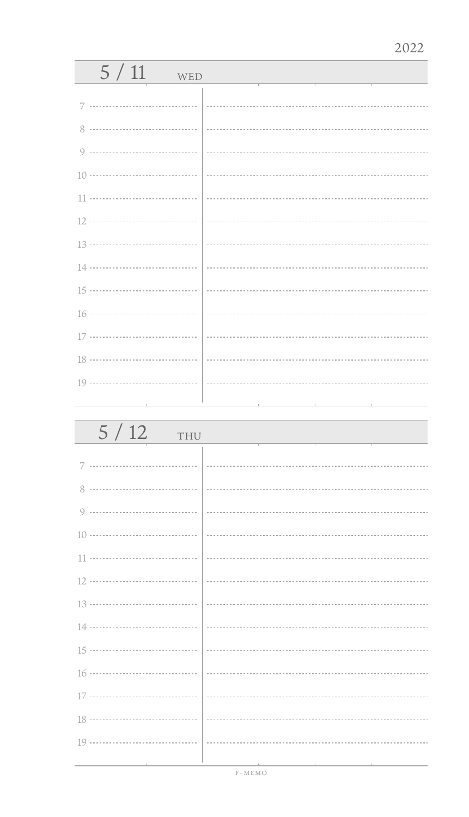| 5/11<br>WED                         |                                                                                                                 |
|-------------------------------------|-----------------------------------------------------------------------------------------------------------------|
| 7                                   |                                                                                                                 |
|                                     |                                                                                                                 |
| 8                                   |                                                                                                                 |
| 9                                   |                                                                                                                 |
|                                     |                                                                                                                 |
|                                     |                                                                                                                 |
|                                     |                                                                                                                 |
|                                     |                                                                                                                 |
|                                     |                                                                                                                 |
|                                     |                                                                                                                 |
|                                     |                                                                                                                 |
|                                     |                                                                                                                 |
|                                     |                                                                                                                 |
|                                     |                                                                                                                 |
| the contract of the contract of the | the contract of the contract of the contract of the contract of the contract of the contract of the contract of |

| 5/12<br>THU |  |
|-------------|--|
|             |  |
| 8           |  |
|             |  |
|             |  |
|             |  |
|             |  |
|             |  |
|             |  |
|             |  |
|             |  |
|             |  |
|             |  |
|             |  |
|             |  |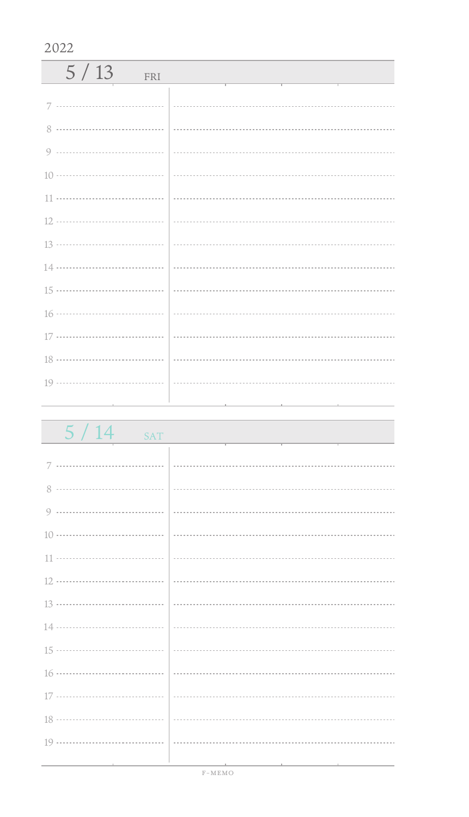| 5/13<br>FRI |  |
|-------------|--|
|             |  |
|             |  |
|             |  |
|             |  |
|             |  |
|             |  |
|             |  |
|             |  |
|             |  |
|             |  |
|             |  |
|             |  |
|             |  |
|             |  |

| 5 / 14<br><b>SAT</b>              |                                                                                 |
|-----------------------------------|---------------------------------------------------------------------------------|
|                                   |                                                                                 |
|                                   |                                                                                 |
|                                   |                                                                                 |
|                                   |                                                                                 |
|                                   |                                                                                 |
|                                   |                                                                                 |
|                                   |                                                                                 |
|                                   |                                                                                 |
|                                   |                                                                                 |
|                                   |                                                                                 |
|                                   |                                                                                 |
|                                   |                                                                                 |
|                                   |                                                                                 |
|                                   |                                                                                 |
| the control of the control of the | the contract of the contract of the contract of the contract of the contract of |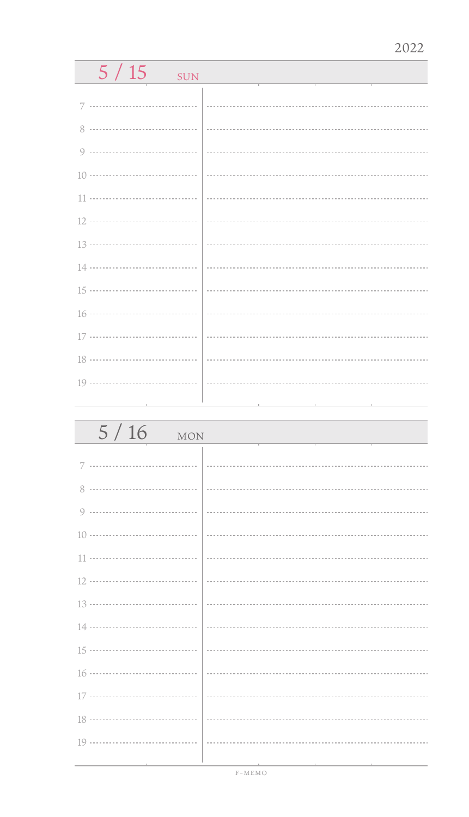| 5/15<br><b>SUN</b> |  |  |
|--------------------|--|--|
|                    |  |  |
| 7                  |  |  |
| 8                  |  |  |
| 9                  |  |  |
|                    |  |  |
| 11                 |  |  |
| 12 ………………………………    |  |  |
| 13 ………………………………    |  |  |
| 14 ………………………………    |  |  |
| 15 ………………………………    |  |  |
|                    |  |  |
| 17                 |  |  |
| 18 ………………………………    |  |  |
|                    |  |  |
|                    |  |  |
|                    |  |  |
| 5/16<br><b>MON</b> |  |  |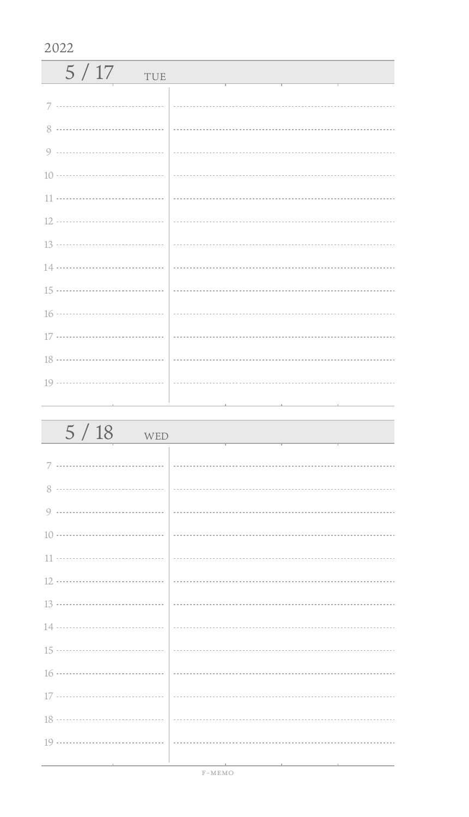| 5/17<br>TUE |  |
|-------------|--|
|             |  |
|             |  |
|             |  |
|             |  |
|             |  |
|             |  |
|             |  |
|             |  |
|             |  |
|             |  |
|             |  |
|             |  |
|             |  |
|             |  |

| 5/18<br>WED                     |  |
|---------------------------------|--|
|                                 |  |
|                                 |  |
|                                 |  |
|                                 |  |
|                                 |  |
|                                 |  |
|                                 |  |
|                                 |  |
|                                 |  |
|                                 |  |
|                                 |  |
|                                 |  |
|                                 |  |
| the contract of the contract of |  |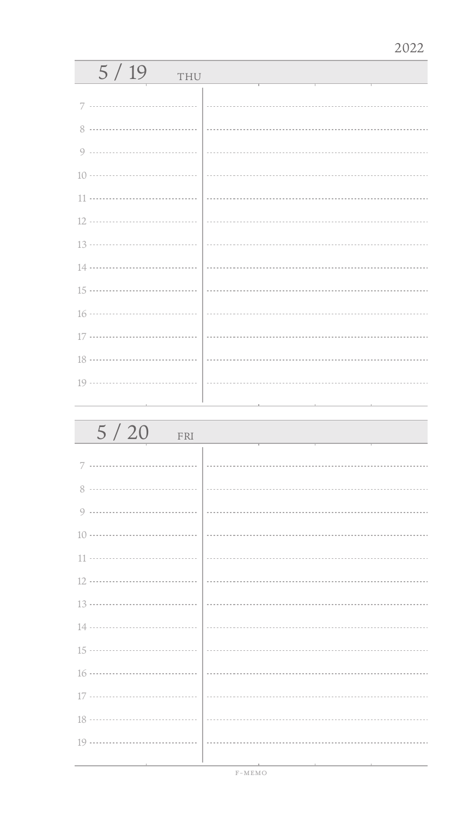| 5/19<br>THU |  |
|-------------|--|
| 7           |  |
|             |  |
|             |  |
|             |  |
|             |  |
|             |  |
|             |  |
|             |  |
|             |  |
|             |  |
|             |  |
|             |  |
|             |  |
|             |  |

| 5/20<br>FRI |  |
|-------------|--|
| 7           |  |
|             |  |
|             |  |
|             |  |
|             |  |
|             |  |
|             |  |
|             |  |
|             |  |
|             |  |
|             |  |
|             |  |
|             |  |
|             |  |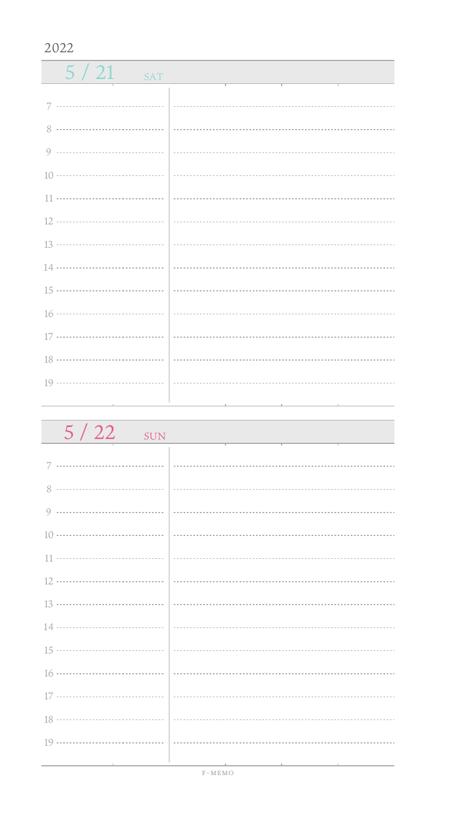| $5/21$ SAT |  |
|------------|--|
|            |  |
|            |  |
|            |  |
|            |  |
|            |  |
|            |  |
|            |  |
|            |  |
|            |  |
|            |  |
|            |  |
|            |  |
|            |  |
|            |  |
|            |  |

| $5/22$ sun |                                                                                                                 |
|------------|-----------------------------------------------------------------------------------------------------------------|
|            |                                                                                                                 |
|            |                                                                                                                 |
|            |                                                                                                                 |
|            |                                                                                                                 |
|            |                                                                                                                 |
|            |                                                                                                                 |
|            |                                                                                                                 |
|            |                                                                                                                 |
|            |                                                                                                                 |
|            |                                                                                                                 |
|            |                                                                                                                 |
|            |                                                                                                                 |
|            |                                                                                                                 |
|            | the contract of the contract of the contract of the contract of the contract of the contract of the contract of |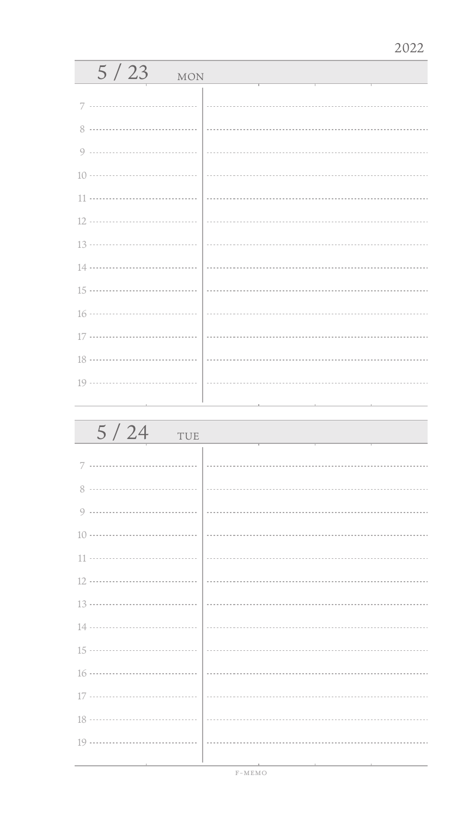| 5/23<br><b>MON</b> |  |
|--------------------|--|
|                    |  |
| 8                  |  |
| Q                  |  |
|                    |  |
| 11                 |  |
| 12                 |  |
| 13                 |  |
|                    |  |
|                    |  |
|                    |  |
| 17                 |  |
|                    |  |
|                    |  |
|                    |  |

| 5/24<br>TUE |  |
|-------------|--|
|             |  |
| 8           |  |
| 9           |  |
|             |  |
|             |  |
|             |  |
|             |  |
|             |  |
|             |  |
|             |  |
|             |  |
|             |  |
|             |  |
|             |  |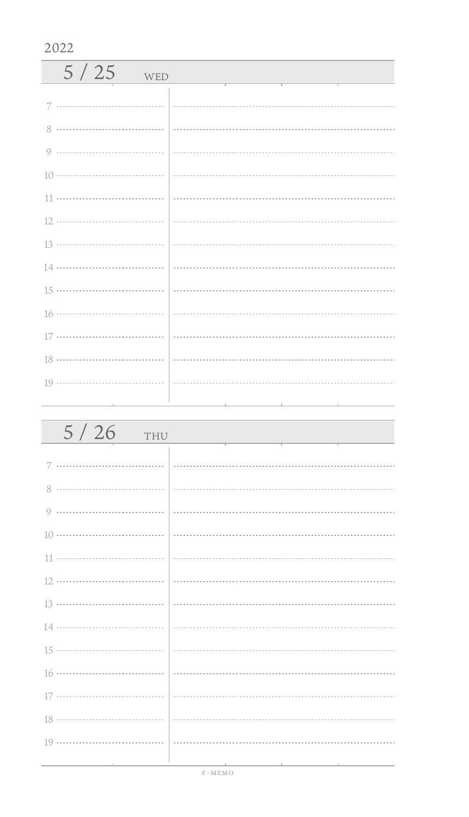| 5/25<br>WED |  |
|-------------|--|
|             |  |
| 8           |  |
|             |  |
|             |  |
|             |  |
|             |  |
|             |  |
|             |  |
|             |  |
|             |  |
|             |  |
|             |  |
|             |  |
|             |  |

| 5/26<br>THU                   |  |
|-------------------------------|--|
|                               |  |
|                               |  |
|                               |  |
|                               |  |
|                               |  |
|                               |  |
|                               |  |
|                               |  |
|                               |  |
|                               |  |
|                               |  |
|                               |  |
|                               |  |
| the control of the control of |  |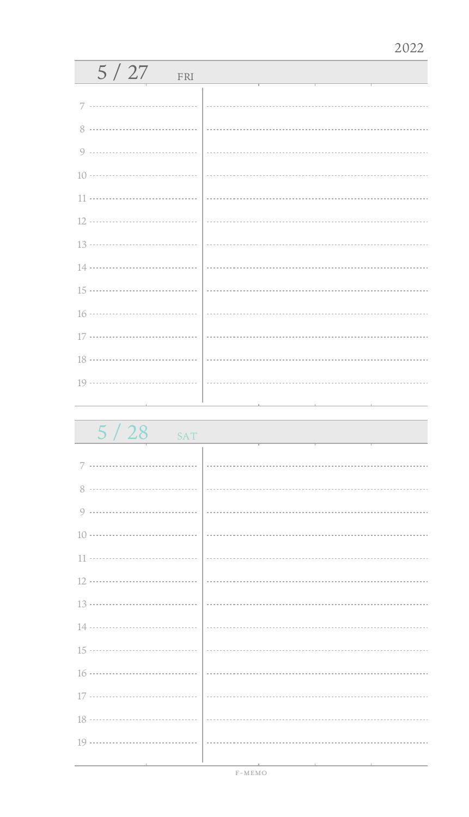| 5/27<br>FRI                     |                                                                                                                 |
|---------------------------------|-----------------------------------------------------------------------------------------------------------------|
| 7                               |                                                                                                                 |
| 8                               |                                                                                                                 |
|                                 |                                                                                                                 |
|                                 |                                                                                                                 |
|                                 |                                                                                                                 |
|                                 |                                                                                                                 |
|                                 |                                                                                                                 |
|                                 |                                                                                                                 |
|                                 |                                                                                                                 |
|                                 |                                                                                                                 |
|                                 |                                                                                                                 |
|                                 |                                                                                                                 |
|                                 |                                                                                                                 |
| the contract of the contract of | the contract of the contract of the contract of the contract of the contract of the contract of the contract of |

 $5 / 28$  SAT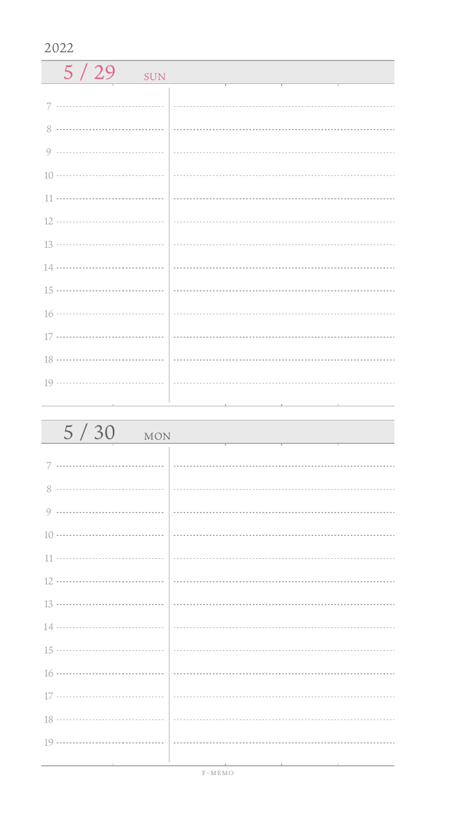$5 / 29$  SUN 7 ................................. 0 ------------------------------------ 11 .................................. 16 .................................. 17 ................................ 18 ............................... 19 .................................. 

| 5/30<br><b>MON</b>                              |  |
|-------------------------------------------------|--|
|                                                 |  |
|                                                 |  |
|                                                 |  |
|                                                 |  |
|                                                 |  |
|                                                 |  |
|                                                 |  |
|                                                 |  |
|                                                 |  |
|                                                 |  |
|                                                 |  |
|                                                 |  |
|                                                 |  |
| the contract of the contract of the contract of |  |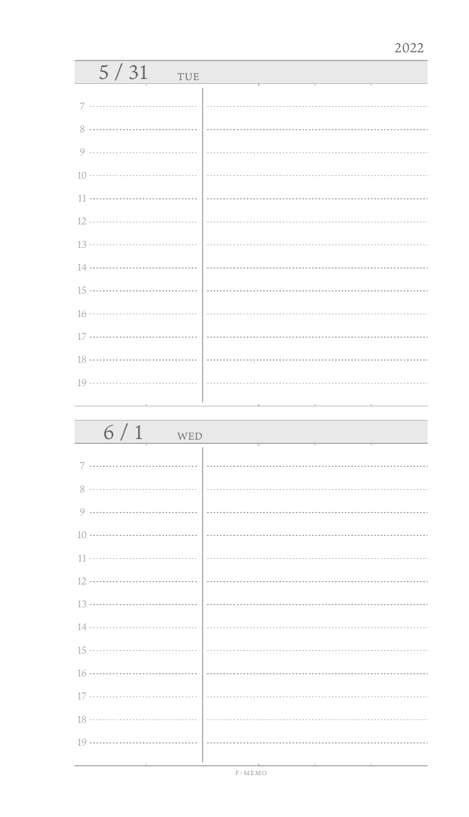| 5/31<br>TUE |  |
|-------------|--|
| 7           |  |
| 8           |  |
|             |  |
|             |  |
|             |  |
|             |  |
|             |  |
|             |  |
|             |  |
|             |  |
|             |  |
|             |  |
|             |  |
|             |  |
|             |  |

| 6/1<br>WED |  |
|------------|--|
| 7          |  |
|            |  |
| 8          |  |
|            |  |
|            |  |
|            |  |
|            |  |
|            |  |
|            |  |
|            |  |
|            |  |
|            |  |
|            |  |
|            |  |
|            |  |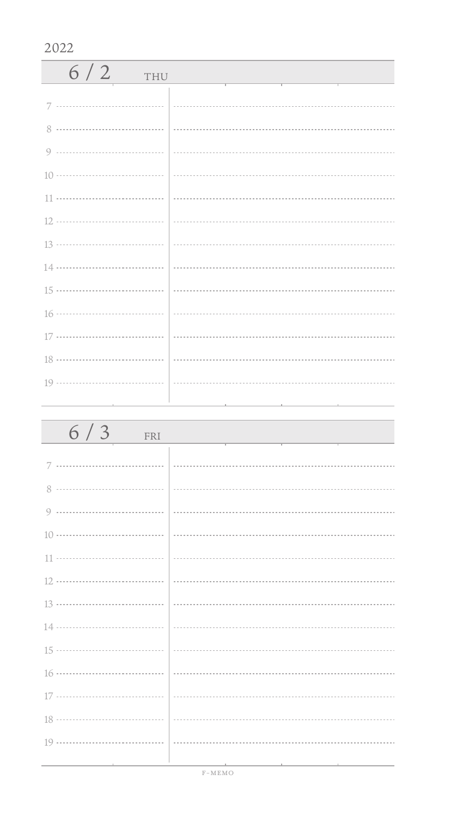| 6/2<br><b>THU</b> |  |
|-------------------|--|
|                   |  |
| $8^{\circ}$       |  |
|                   |  |
|                   |  |
|                   |  |
|                   |  |
|                   |  |
|                   |  |
|                   |  |
|                   |  |
|                   |  |
|                   |  |
|                   |  |

| 6/3<br>FRI |  |
|------------|--|
|            |  |
|            |  |
|            |  |
|            |  |
|            |  |
|            |  |
|            |  |
|            |  |
|            |  |
|            |  |
|            |  |
|            |  |
|            |  |
|            |  |
|            |  |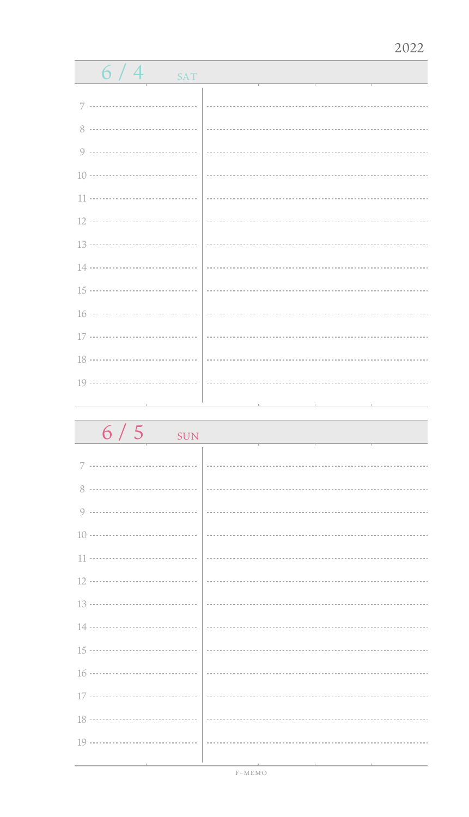| $6/4$<br><b>SAT</b> |  |
|---------------------|--|
|                     |  |
| 7                   |  |
| 8                   |  |
|                     |  |
|                     |  |
|                     |  |
|                     |  |
|                     |  |
|                     |  |
|                     |  |
|                     |  |
|                     |  |
|                     |  |
|                     |  |
|                     |  |
|                     |  |

| $6/5$ SUN |  |
|-----------|--|
| 7         |  |
| 8         |  |
| 9         |  |
|           |  |
|           |  |
|           |  |
|           |  |
|           |  |
|           |  |
|           |  |
|           |  |
|           |  |
|           |  |
|           |  |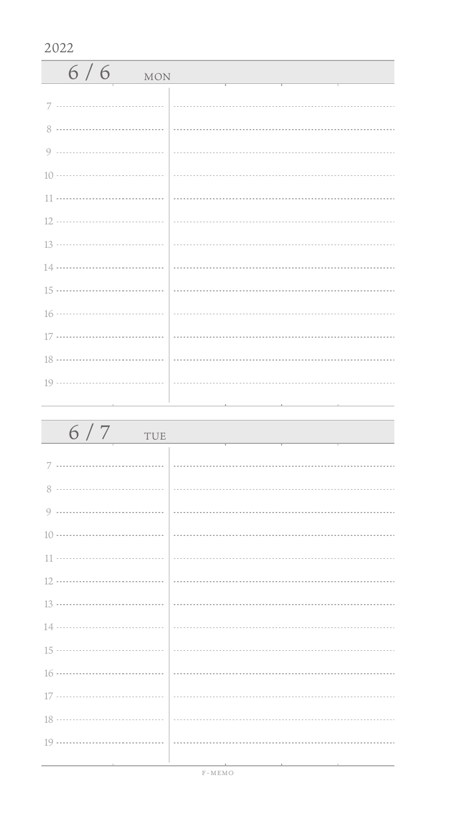| $6/6$ MON |  |
|-----------|--|
| 7         |  |
|           |  |
|           |  |
|           |  |
|           |  |
|           |  |
|           |  |
|           |  |
|           |  |
|           |  |
|           |  |
|           |  |
|           |  |

| 6/7<br>TUE |  |
|------------|--|
| 7          |  |
|            |  |
|            |  |
|            |  |
|            |  |
|            |  |
|            |  |
|            |  |
|            |  |
|            |  |
|            |  |
|            |  |
|            |  |
|            |  |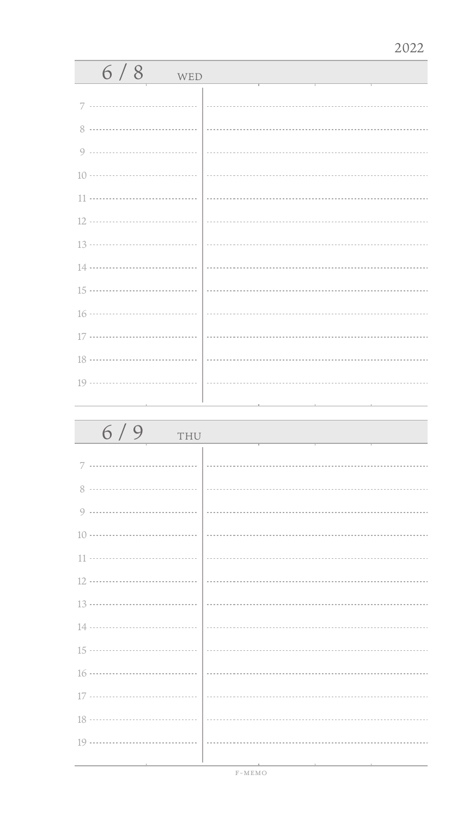| 6/8<br>WED |  |
|------------|--|
| 7          |  |
| 8          |  |
|            |  |
|            |  |
|            |  |
|            |  |
|            |  |
|            |  |
|            |  |
|            |  |
|            |  |
|            |  |
|            |  |
|            |  |

| 6/9<br>THU |  |
|------------|--|
| 7          |  |
| 8          |  |
|            |  |
|            |  |
|            |  |
|            |  |
|            |  |
|            |  |
|            |  |
|            |  |
|            |  |
|            |  |
|            |  |
|            |  |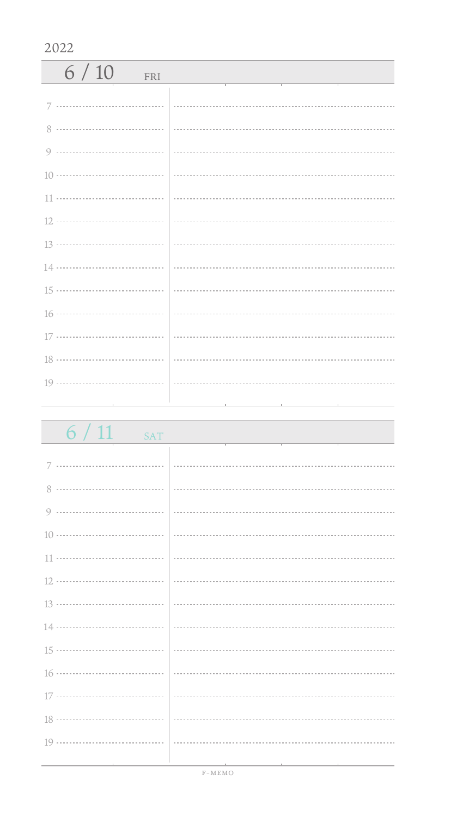| 6/10<br>FRI |  |
|-------------|--|
|             |  |
|             |  |
|             |  |
|             |  |
|             |  |
|             |  |
|             |  |
|             |  |
|             |  |
|             |  |
|             |  |
|             |  |
|             |  |

| 6/11<br>SAT                                  |                                                                                 |
|----------------------------------------------|---------------------------------------------------------------------------------|
|                                              |                                                                                 |
|                                              |                                                                                 |
|                                              |                                                                                 |
|                                              |                                                                                 |
|                                              |                                                                                 |
|                                              |                                                                                 |
|                                              |                                                                                 |
|                                              |                                                                                 |
|                                              |                                                                                 |
|                                              |                                                                                 |
|                                              |                                                                                 |
|                                              |                                                                                 |
|                                              |                                                                                 |
|                                              |                                                                                 |
| the control of the control of the control of | the contract of the contract of the contract of the contract of the contract of |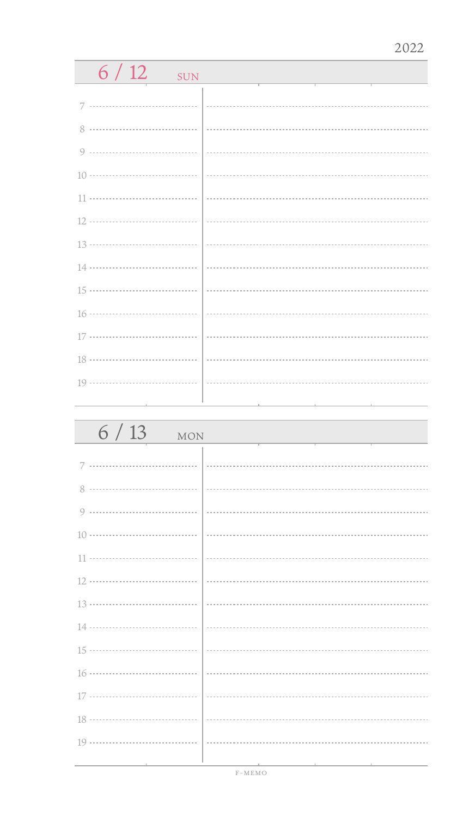| $6/12$<br><b>SUN</b> |  |
|----------------------|--|
|                      |  |
| 7                    |  |
| 8                    |  |
| 9                    |  |
| 10 ………………………………      |  |
| 11                   |  |
| 12 ………………………………      |  |
|                      |  |
| 14 ………………………………      |  |
| 15 ………………………………      |  |
| 16 ………………………………      |  |
| 17 ………………………………      |  |
| <br>18               |  |
|                      |  |
|                      |  |
|                      |  |
| 6/13<br>MON          |  |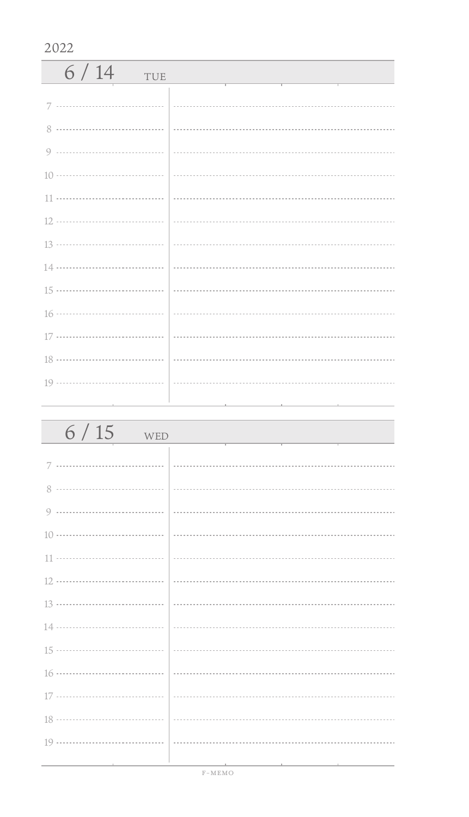| 6/14<br>TUE   |  |
|---------------|--|
| 7             |  |
| $\mathcal{R}$ |  |
|               |  |
|               |  |
|               |  |
|               |  |
|               |  |
|               |  |
|               |  |
|               |  |
|               |  |
|               |  |
|               |  |
|               |  |

| $6/15$<br>WED                 |  |
|-------------------------------|--|
|                               |  |
|                               |  |
|                               |  |
|                               |  |
|                               |  |
|                               |  |
|                               |  |
|                               |  |
|                               |  |
|                               |  |
| 17 ………………………………   …………        |  |
|                               |  |
|                               |  |
| the control of the control of |  |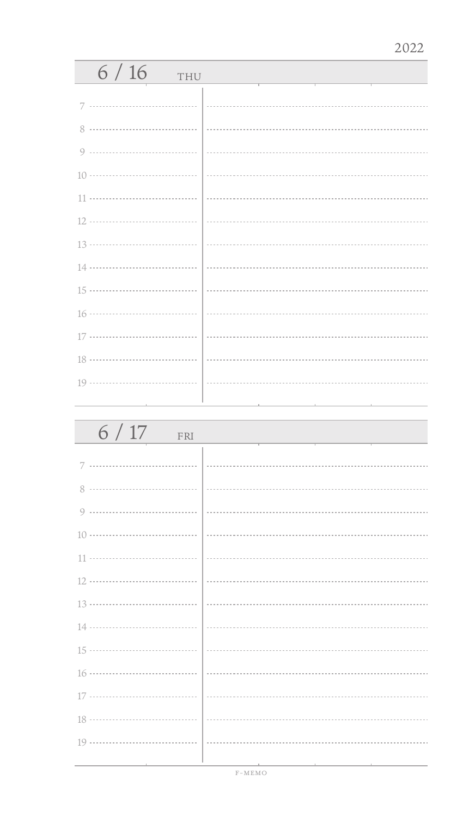| 6/16<br>THU |  |
|-------------|--|
| 7           |  |
|             |  |
|             |  |
| $\circ$     |  |
|             |  |
| 11          |  |
|             |  |
|             |  |
|             |  |
|             |  |
|             |  |
|             |  |
|             |  |
|             |  |
|             |  |

| 6/17<br>FRI |  |
|-------------|--|
| 7           |  |
| 8           |  |
| 9           |  |
|             |  |
|             |  |
|             |  |
|             |  |
|             |  |
|             |  |
|             |  |
|             |  |
|             |  |
|             |  |
|             |  |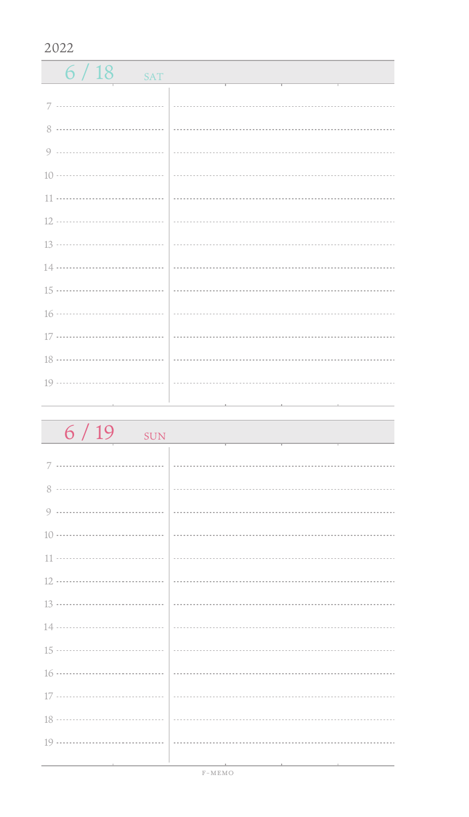$6/18$  SAT 7 ................................. 0 ------------------------------------ 11 ................................. 16 ................................... 17 ................................ 18 ................................... J. 19 .................................. 

| $6/19$<br><b>SUN</b> |  |
|----------------------|--|
|                      |  |
|                      |  |
|                      |  |
|                      |  |
|                      |  |
|                      |  |
|                      |  |
|                      |  |
|                      |  |
|                      |  |
|                      |  |
|                      |  |
|                      |  |
|                      |  |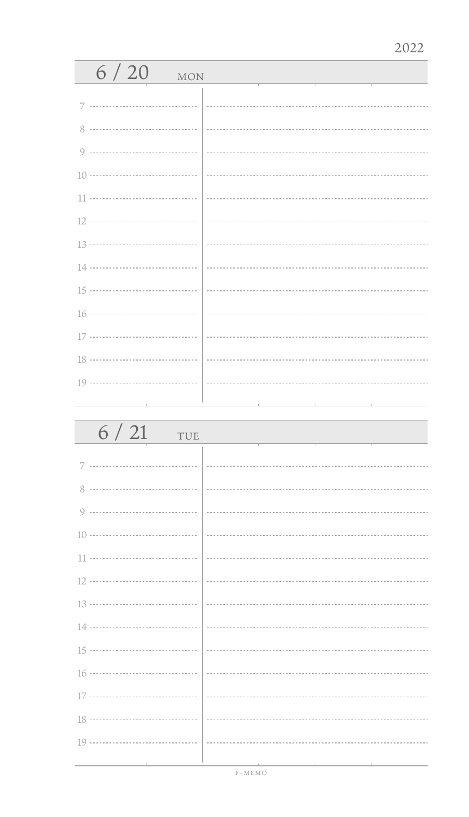| 6/20<br><b>MON</b> |  |
|--------------------|--|
|                    |  |
| 8                  |  |
| 9                  |  |
|                    |  |
| 11                 |  |
|                    |  |
|                    |  |
|                    |  |
|                    |  |
|                    |  |
|                    |  |
|                    |  |
|                    |  |
|                    |  |

| 6/21<br>TUE |  |
|-------------|--|
|             |  |
| 8           |  |
| 9           |  |
|             |  |
|             |  |
|             |  |
|             |  |
|             |  |
|             |  |
|             |  |
|             |  |
|             |  |
|             |  |
|             |  |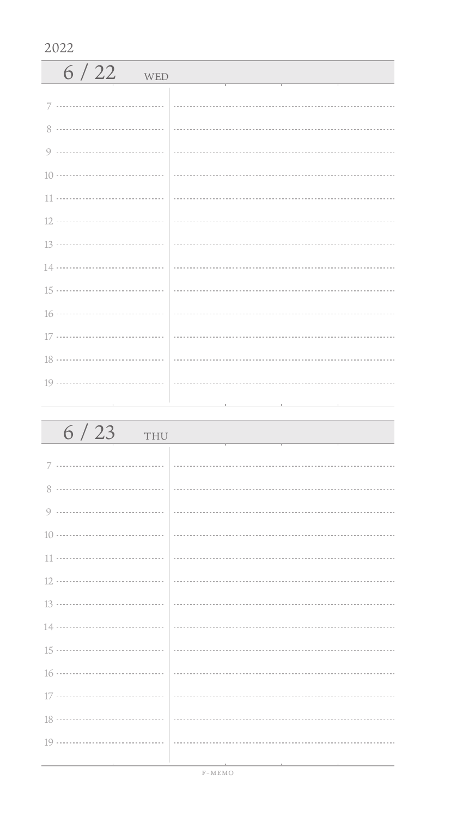| $6/22$ WED |  |
|------------|--|
| 7          |  |
| 8          |  |
|            |  |
|            |  |
|            |  |
|            |  |
|            |  |
|            |  |
|            |  |
|            |  |
|            |  |
|            |  |
|            |  |
|            |  |

| $6/23$ THU |                                                                                                                 |
|------------|-----------------------------------------------------------------------------------------------------------------|
|            |                                                                                                                 |
|            |                                                                                                                 |
|            |                                                                                                                 |
|            |                                                                                                                 |
|            |                                                                                                                 |
|            |                                                                                                                 |
|            |                                                                                                                 |
|            |                                                                                                                 |
|            |                                                                                                                 |
|            |                                                                                                                 |
|            |                                                                                                                 |
|            |                                                                                                                 |
|            |                                                                                                                 |
|            | the contract of the contract of the contract of the contract of the contract of the contract of the contract of |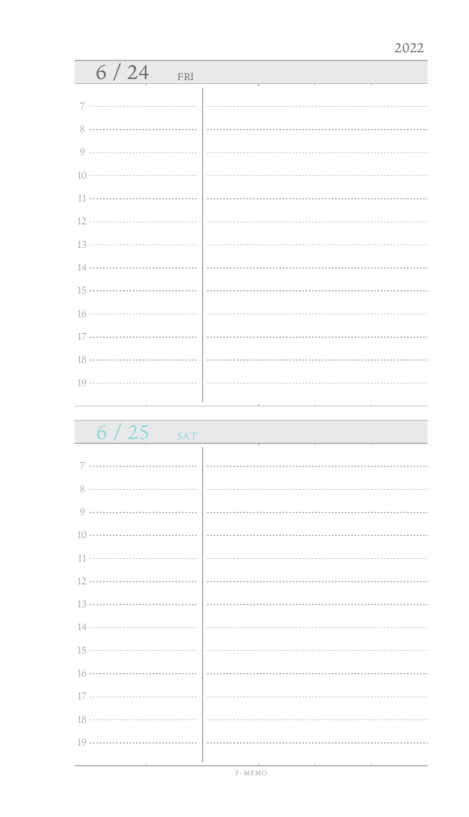| 6/24<br>FRI |  |
|-------------|--|
| 7           |  |
|             |  |
|             |  |
|             |  |
|             |  |
|             |  |
|             |  |
|             |  |
|             |  |
|             |  |
|             |  |
|             |  |
|             |  |
|             |  |
|             |  |

 $6 / 25$  SAT

| 8 |  |
|---|--|
|   |  |
|   |  |
|   |  |
|   |  |
|   |  |
|   |  |
|   |  |
|   |  |
|   |  |
|   |  |
|   |  |
|   |  |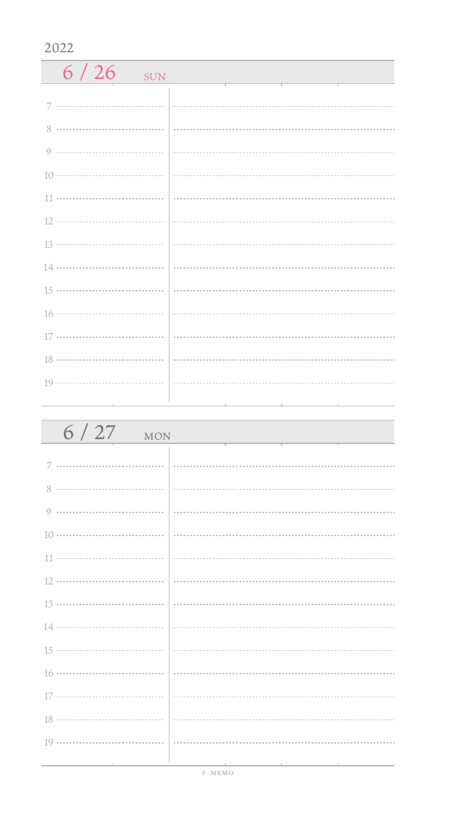| 6/26<br>SUN |  |
|-------------|--|
|             |  |
| 8           |  |
|             |  |
|             |  |
|             |  |
|             |  |
|             |  |
|             |  |
|             |  |
|             |  |
|             |  |
|             |  |
|             |  |
|             |  |

| $6/27$ MON |  |
|------------|--|
|            |  |
|            |  |
|            |  |
|            |  |
|            |  |
|            |  |
|            |  |
|            |  |
|            |  |
|            |  |
|            |  |
|            |  |
|            |  |
|            |  |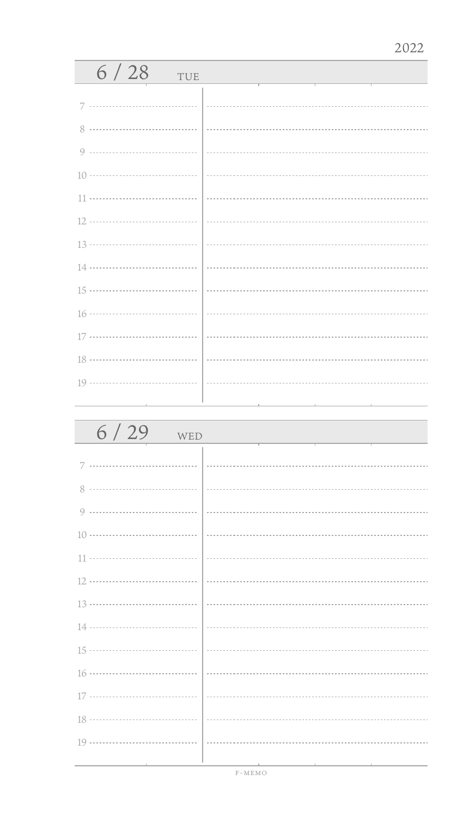| 6/28<br>TUE |  |
|-------------|--|
| 7           |  |
| 8           |  |
| $\circ$     |  |
|             |  |
| 11          |  |
|             |  |
| 13          |  |
|             |  |
|             |  |
|             |  |
| 17          |  |
|             |  |
|             |  |
|             |  |

| 6/29<br>WED |  |
|-------------|--|
| 7           |  |
| 8           |  |
| 9           |  |
|             |  |
|             |  |
|             |  |
|             |  |
|             |  |
|             |  |
|             |  |
|             |  |
|             |  |
|             |  |
|             |  |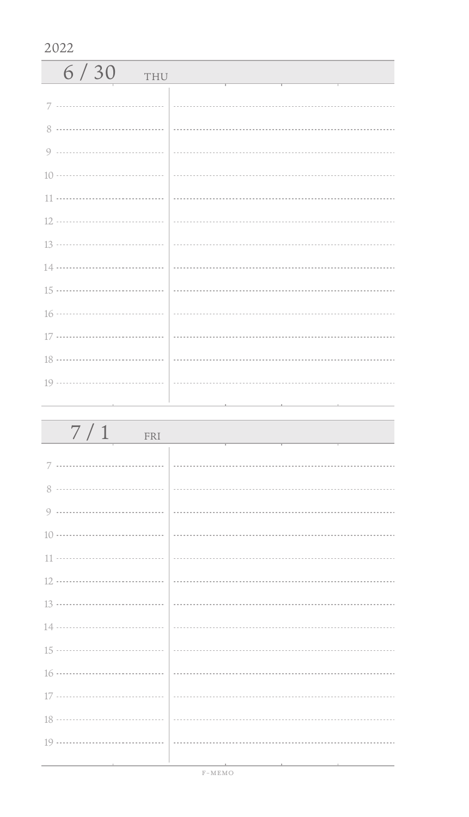| 6/30<br>THU |  |
|-------------|--|
|             |  |
| 8           |  |
|             |  |
|             |  |
|             |  |
|             |  |
|             |  |
|             |  |
|             |  |
|             |  |
|             |  |
|             |  |
|             |  |

| 7/1<br>FRI |  |
|------------|--|
|            |  |
|            |  |
|            |  |
|            |  |
|            |  |
|            |  |
|            |  |
|            |  |
|            |  |
|            |  |
|            |  |
|            |  |
|            |  |
|            |  |
|            |  |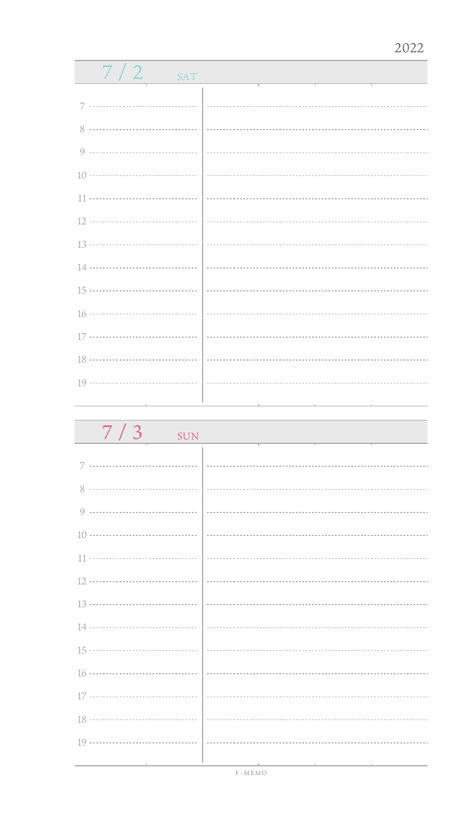| 7/2<br>SAT                                                                        |  |  |
|-----------------------------------------------------------------------------------|--|--|
|                                                                                   |  |  |
| 7                                                                                 |  |  |
| 8                                                                                 |  |  |
|                                                                                   |  |  |
| $10 \cdots \cdots \cdots \cdots \cdots \cdots \cdots \cdots \cdots \cdots$        |  |  |
|                                                                                   |  |  |
| 12 ………………………………                                                                   |  |  |
| $13 \cdots \cdots \cdots \cdots \cdots \cdots \cdots \cdots \cdots \cdots \cdots$ |  |  |
| 14 ………………………………                                                                   |  |  |
| 15 ………………………………                                                                   |  |  |
|                                                                                   |  |  |
| 17 ………………………………                                                                   |  |  |
| 18 ………………………………                                                                   |  |  |
|                                                                                   |  |  |
|                                                                                   |  |  |
| 7/2                                                                               |  |  |

| $7/3$ sun |                                                                                  |
|-----------|----------------------------------------------------------------------------------|
|           |                                                                                  |
|           |                                                                                  |
|           |                                                                                  |
|           |                                                                                  |
|           |                                                                                  |
|           |                                                                                  |
|           |                                                                                  |
|           |                                                                                  |
|           |                                                                                  |
|           |                                                                                  |
|           |                                                                                  |
|           |                                                                                  |
|           |                                                                                  |
|           | ,我们也不能在这里,我们也不能会在这里,我们也不能会在这里,我们也不能会在这里,我们也不能会在这里。我们的一个人,我们也不能会在这里,我们也不能会在这里,我们也 |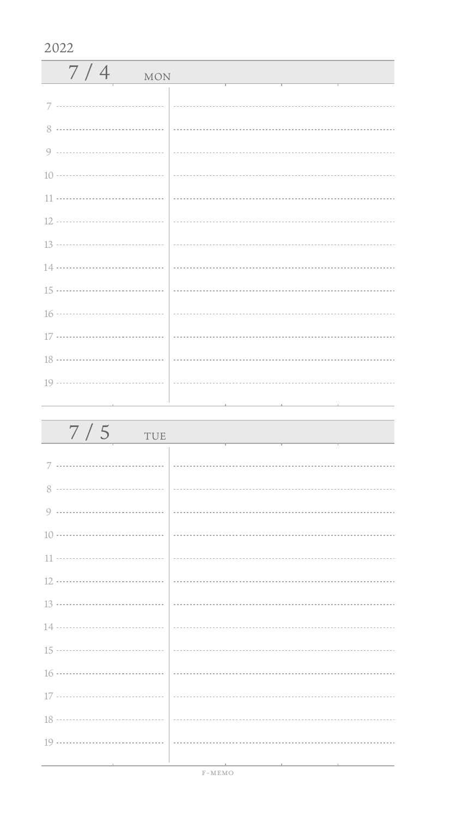| 7/4<br><b>MON</b> |  |
|-------------------|--|
|                   |  |
|                   |  |
|                   |  |
|                   |  |
|                   |  |
|                   |  |
|                   |  |
|                   |  |
|                   |  |
|                   |  |
|                   |  |
|                   |  |
|                   |  |
|                   |  |

| 7/5<br>TUE |  |
|------------|--|
|            |  |
|            |  |
|            |  |
|            |  |
|            |  |
|            |  |
|            |  |
|            |  |
|            |  |
|            |  |
|            |  |
|            |  |
|            |  |
|            |  |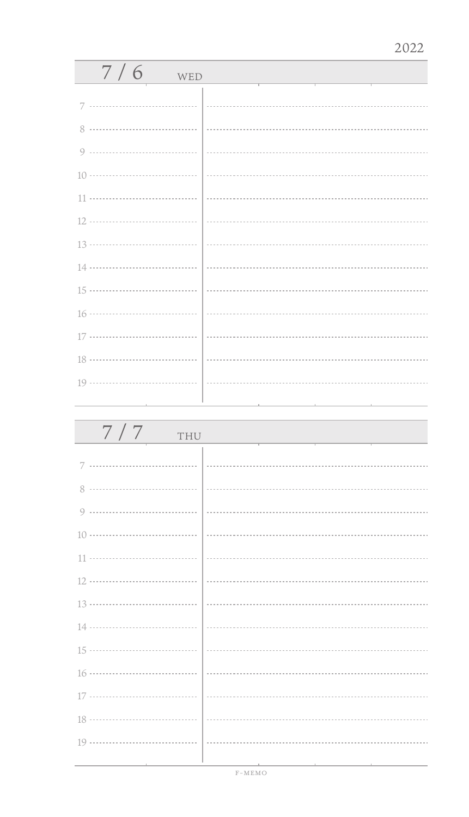| 7/6<br>WED              |                             |
|-------------------------|-----------------------------|
|                         |                             |
|                         |                             |
|                         |                             |
|                         |                             |
|                         |                             |
|                         |                             |
|                         |                             |
|                         | $\frac{13 \dots}{13 \dots}$ |
|                         |                             |
|                         |                             |
|                         |                             |
|                         |                             |
|                         |                             |
|                         |                             |
| the control of the con- |                             |

| 7/7<br>THU |                             |
|------------|-----------------------------|
| 7          |                             |
|            |                             |
|            |                             |
|            |                             |
|            |                             |
|            |                             |
|            | $\frac{13 \dots}{13 \dots}$ |
|            |                             |
|            |                             |
|            |                             |
|            |                             |
|            |                             |
|            |                             |
|            |                             |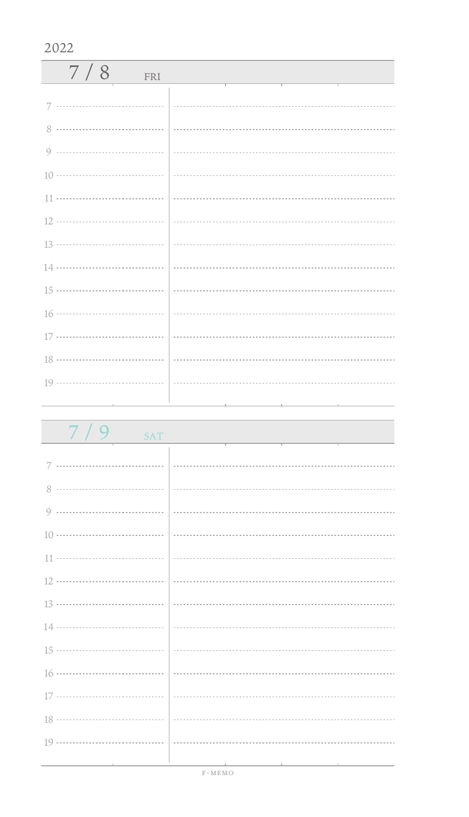| 7/9<br><b>SAT</b> |                                                                                                                 |
|-------------------|-----------------------------------------------------------------------------------------------------------------|
|                   |                                                                                                                 |
|                   |                                                                                                                 |
|                   |                                                                                                                 |
|                   |                                                                                                                 |
|                   |                                                                                                                 |
|                   |                                                                                                                 |
|                   |                                                                                                                 |
|                   |                                                                                                                 |
|                   |                                                                                                                 |
|                   |                                                                                                                 |
|                   |                                                                                                                 |
|                   |                                                                                                                 |
|                   |                                                                                                                 |
|                   |                                                                                                                 |
|                   | the contract of the contract of the contract of the contract of the contract of the contract of the contract of |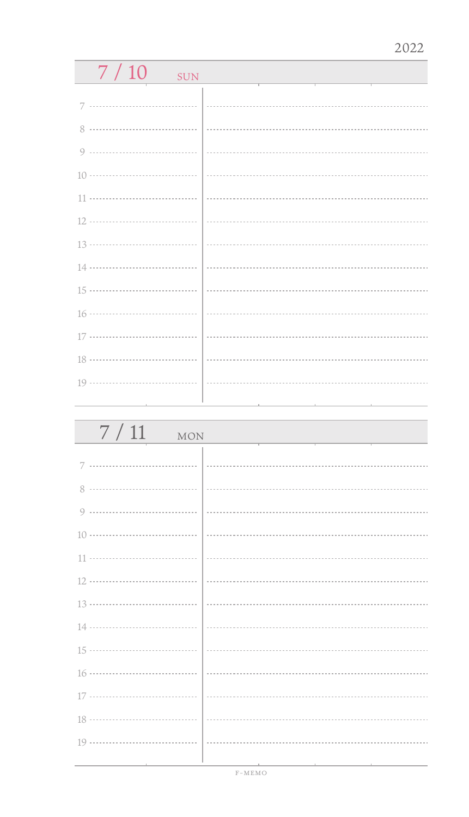| 7/10<br><b>SUN</b> |          |  |
|--------------------|----------|--|
|                    |          |  |
| 7                  |          |  |
| 8<br>              |          |  |
| <br>9              |          |  |
| 10 ………………………………    |          |  |
| 11                 |          |  |
| 12 ………………………………    |          |  |
|                    |          |  |
| 14 ………………………………    |          |  |
| 15 ………………………………    |          |  |
| 16 ………………………………    |          |  |
| 17 ………………………………    |          |  |
|                    |          |  |
|                    | $\cdots$ |  |
|                    |          |  |
| 7/11               |          |  |
| MON                |          |  |

| the contract of the contract of the contract of the contract of |  |  | 그 사람들은 그 사람들은 아이들이 아이들이 아니라 아이들이 아니라 아이들이 아니라 아이들이 아니라 아이들이 아니라 아이들이 아니라 아이들이 아니라 아이들이 아니라 아이들이 아니라 아이들이 아니라 아 |
|-----------------------------------------------------------------|--|--|----------------------------------------------------------------------------------------------------------------|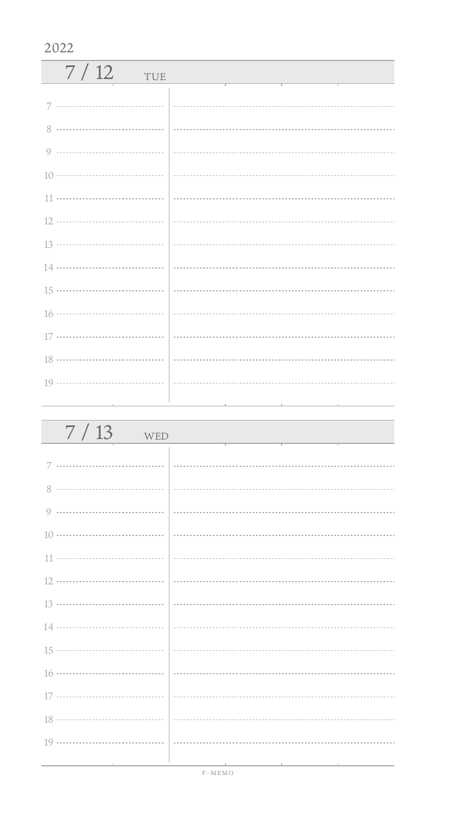| 7/12<br>TUE   |  |
|---------------|--|
| 7             |  |
| $\mathcal{R}$ |  |
|               |  |
|               |  |
|               |  |
|               |  |
|               |  |
|               |  |
|               |  |
|               |  |
|               |  |
|               |  |
|               |  |
|               |  |

| $7/13$ WED                             |                                                 |
|----------------------------------------|-------------------------------------------------|
|                                        |                                                 |
|                                        |                                                 |
|                                        |                                                 |
|                                        |                                                 |
|                                        |                                                 |
|                                        |                                                 |
|                                        |                                                 |
|                                        |                                                 |
|                                        |                                                 |
|                                        |                                                 |
|                                        |                                                 |
|                                        |                                                 |
|                                        |                                                 |
|                                        |                                                 |
| the control of the control of the con- | the contract of the contract of the contract of |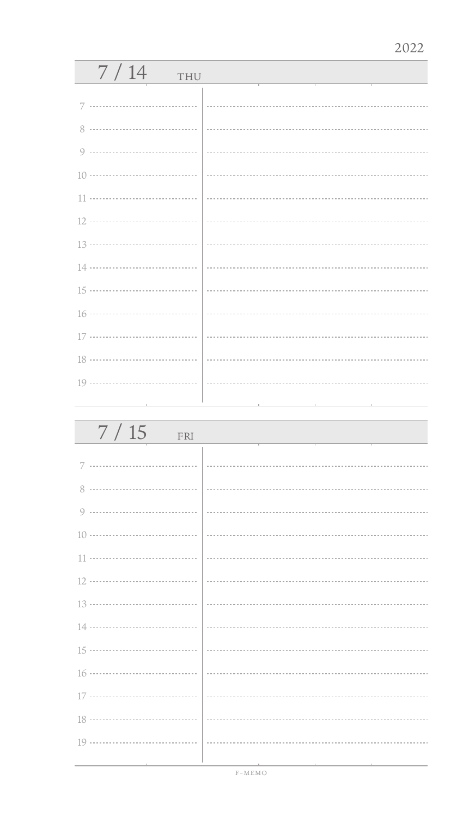| 7/14<br>THU |  |
|-------------|--|
| 7           |  |
| 8           |  |
| 9           |  |
|             |  |
| 11          |  |
|             |  |
|             |  |
|             |  |
|             |  |
|             |  |
| 17          |  |
|             |  |
|             |  |
|             |  |

| 7/15<br>FRI |  |
|-------------|--|
| 7           |  |
|             |  |
|             |  |
|             |  |
|             |  |
|             |  |
|             |  |
|             |  |
|             |  |
|             |  |
|             |  |
|             |  |
|             |  |
|             |  |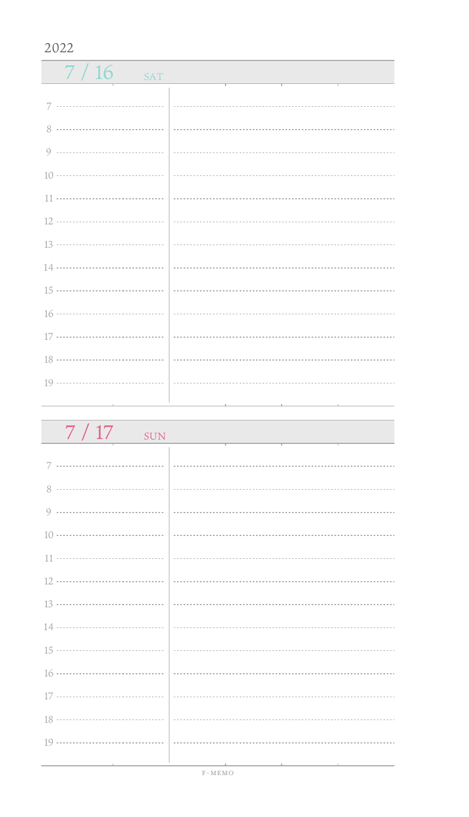| $7/16$ SAT                                                          |  |
|---------------------------------------------------------------------|--|
|                                                                     |  |
|                                                                     |  |
|                                                                     |  |
|                                                                     |  |
|                                                                     |  |
|                                                                     |  |
|                                                                     |  |
|                                                                     |  |
|                                                                     |  |
|                                                                     |  |
|                                                                     |  |
|                                                                     |  |
|                                                                     |  |
| $19 \ldots \ldots \ldots \ldots \ldots \ldots \ldots \ldots \ldots$ |  |
|                                                                     |  |

| 7/17<br>SUN |  |
|-------------|--|
|             |  |
|             |  |
|             |  |
|             |  |
|             |  |
|             |  |
|             |  |
|             |  |
|             |  |
|             |  |
|             |  |
|             |  |
|             |  |
|             |  |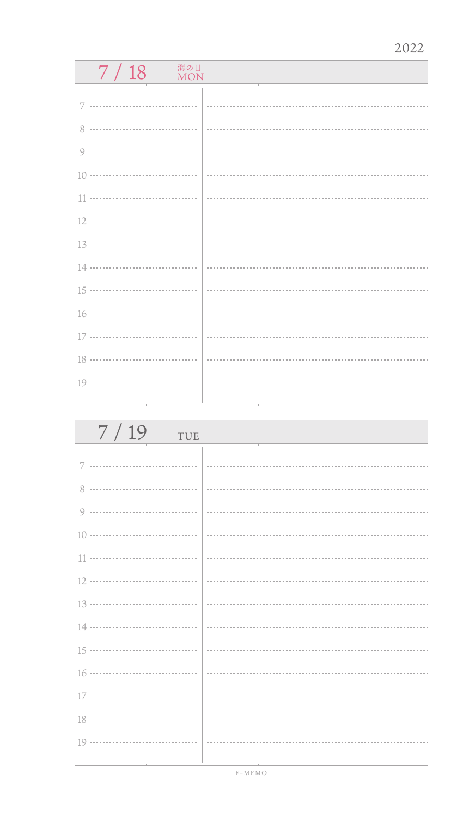## $7 / 18$  MON

| 7/19<br>TUE |  |
|-------------|--|
| 7           |  |
| 8           |  |
| 9           |  |
|             |  |
|             |  |
|             |  |
|             |  |
|             |  |
|             |  |
|             |  |
|             |  |
|             |  |
|             |  |
|             |  |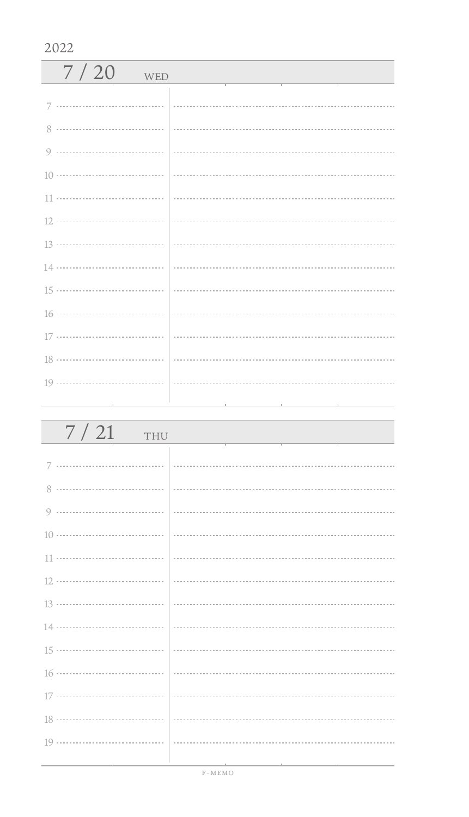| 7/20<br>WED   |  |
|---------------|--|
| 7             |  |
| $\mathcal{R}$ |  |
|               |  |
|               |  |
|               |  |
|               |  |
|               |  |
|               |  |
|               |  |
|               |  |
|               |  |
|               |  |
|               |  |
|               |  |

| 7/21<br>THU |                                                                                                                 |
|-------------|-----------------------------------------------------------------------------------------------------------------|
|             |                                                                                                                 |
|             |                                                                                                                 |
|             |                                                                                                                 |
|             |                                                                                                                 |
|             |                                                                                                                 |
|             |                                                                                                                 |
|             |                                                                                                                 |
|             |                                                                                                                 |
|             |                                                                                                                 |
|             |                                                                                                                 |
|             |                                                                                                                 |
|             |                                                                                                                 |
|             |                                                                                                                 |
|             | the contract of the contract of the contract of the contract of the contract of the contract of the contract of |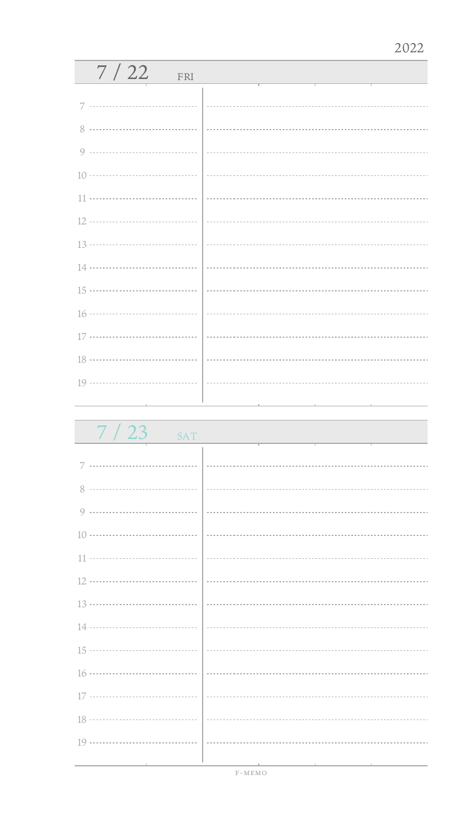| 7/22<br>FRI |  |
|-------------|--|
|             |  |
|             |  |
|             |  |
|             |  |
|             |  |
|             |  |
|             |  |
|             |  |
|             |  |
|             |  |
|             |  |
|             |  |
|             |  |
|             |  |
|             |  |

 $7 / 23$  SAT 7 ................................. 8 .................................. 0 .................................. 10 11 ÷. 12 13 14 ................................... 15 ................................... . . . . . . . . . . 16 17 .................................. 18 ă. 19 ..................................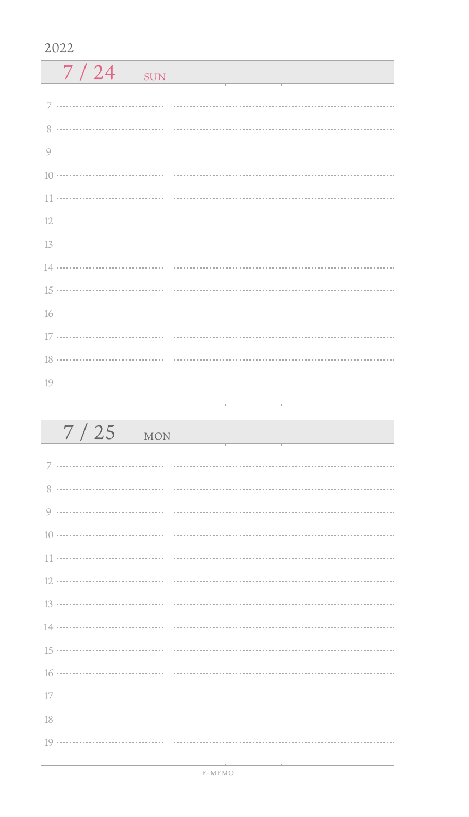| 7/24<br><b>SUN</b> | the control of the control of the control of |
|--------------------|----------------------------------------------|
|                    |                                              |
|                    |                                              |
|                    |                                              |
|                    |                                              |
|                    |                                              |
|                    |                                              |
|                    |                                              |
|                    |                                              |
|                    |                                              |
|                    |                                              |
|                    |                                              |
|                    |                                              |
|                    |                                              |
|                    |                                              |

| 7/25<br><b>MON</b> |                                                                  |
|--------------------|------------------------------------------------------------------|
|                    |                                                                  |
|                    |                                                                  |
|                    |                                                                  |
|                    |                                                                  |
|                    |                                                                  |
|                    |                                                                  |
|                    |                                                                  |
|                    |                                                                  |
|                    |                                                                  |
|                    |                                                                  |
|                    |                                                                  |
|                    |                                                                  |
|                    |                                                                  |
|                    | 그 사람들은 그 사람들은 그 사람들을 만들고 있다. 그 사람들은 그 사람들은 그 사람들은 그 사람들을 만들고 있다. |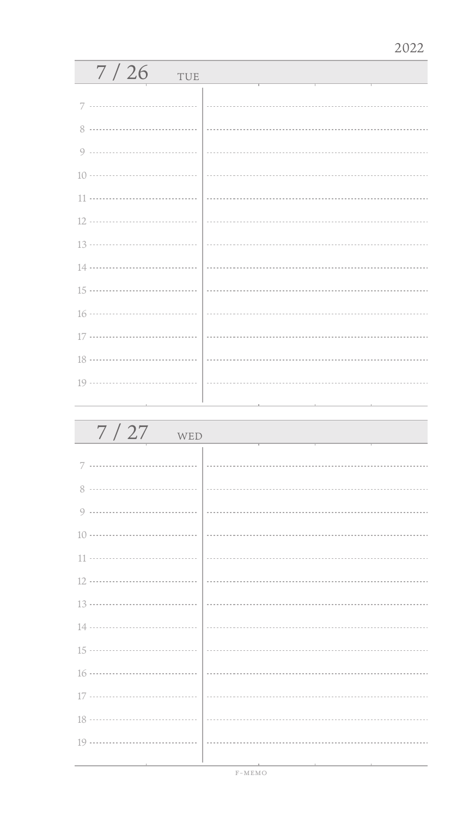| 7/26<br>TUE |  |
|-------------|--|
| 7           |  |
| 8           |  |
| 9           |  |
|             |  |
| 11          |  |
|             |  |
|             |  |
|             |  |
|             |  |
|             |  |
|             |  |
|             |  |
|             |  |
|             |  |

| 7/27<br>WED |  |
|-------------|--|
| 7           |  |
| 8           |  |
|             |  |
|             |  |
|             |  |
|             |  |
|             |  |
|             |  |
|             |  |
|             |  |
|             |  |
|             |  |
|             |  |
|             |  |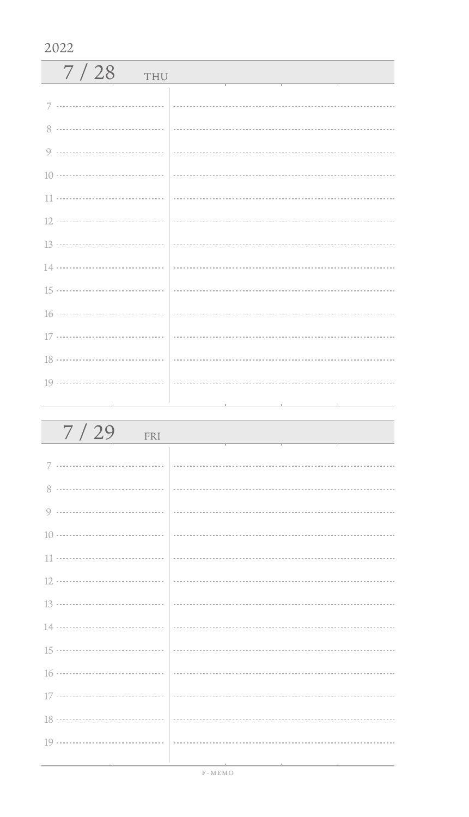| 7/28<br>THU |  |
|-------------|--|
|             |  |
|             |  |
|             |  |
|             |  |
|             |  |
|             |  |
|             |  |
|             |  |
|             |  |
|             |  |
|             |  |
|             |  |
|             |  |
|             |  |

| 7/29<br>FRI                   |  |
|-------------------------------|--|
|                               |  |
|                               |  |
|                               |  |
|                               |  |
|                               |  |
|                               |  |
|                               |  |
|                               |  |
|                               |  |
|                               |  |
|                               |  |
|                               |  |
|                               |  |
| the control of the control of |  |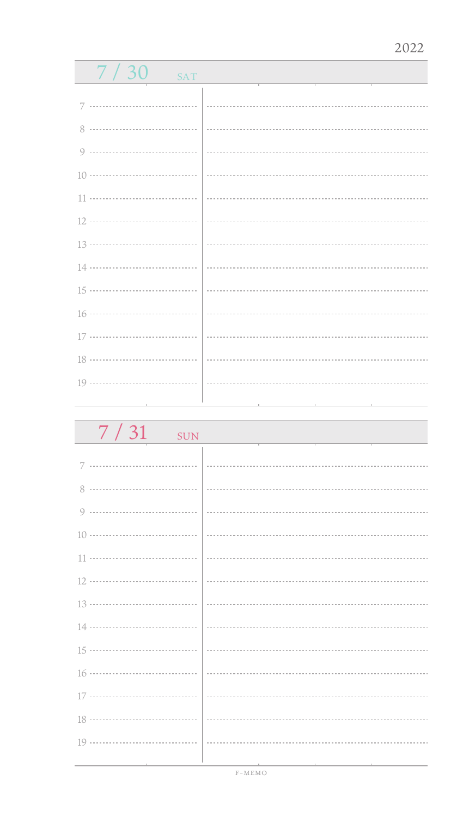| 7/30<br><b>SAT</b>            |  |
|-------------------------------|--|
|                               |  |
| 7                             |  |
|                               |  |
|                               |  |
|                               |  |
|                               |  |
|                               |  |
|                               |  |
|                               |  |
|                               |  |
|                               |  |
|                               |  |
|                               |  |
| the control of the control of |  |

| 7/31<br><b>SUN</b> |  |
|--------------------|--|
| 7                  |  |
| 8                  |  |
| $\circ$            |  |
|                    |  |
| 11                 |  |
|                    |  |
|                    |  |
|                    |  |
|                    |  |
|                    |  |
|                    |  |
|                    |  |
|                    |  |
|                    |  |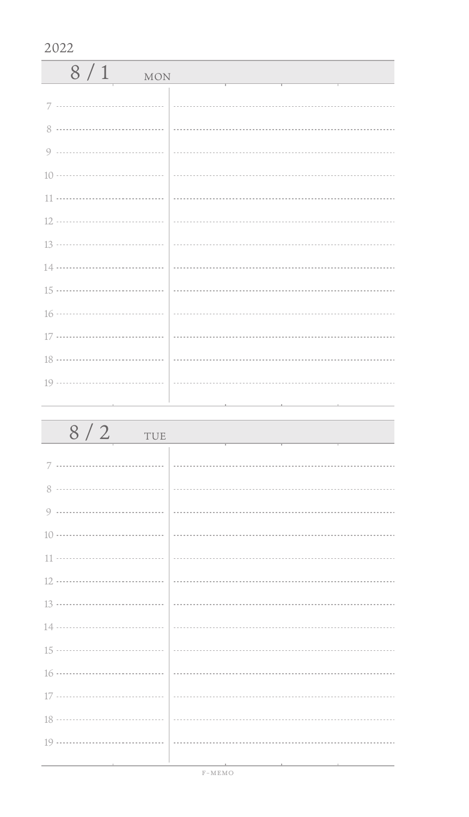| 8/1<br><b>MON</b> |  |
|-------------------|--|
|                   |  |
|                   |  |
|                   |  |
|                   |  |
|                   |  |
|                   |  |
|                   |  |
|                   |  |
|                   |  |
|                   |  |
|                   |  |
|                   |  |
|                   |  |
|                   |  |

| $8/2$ TUE |  |
|-----------|--|
|           |  |
|           |  |
|           |  |
|           |  |
|           |  |
|           |  |
|           |  |
|           |  |
|           |  |
|           |  |
|           |  |
|           |  |
|           |  |
|           |  |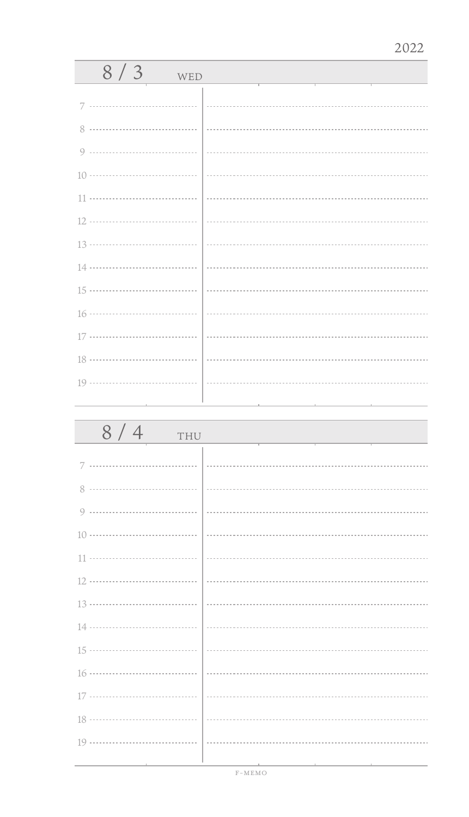| 7<br>8                                                             | $8/3$ WED |  |
|--------------------------------------------------------------------|-----------|--|
|                                                                    |           |  |
|                                                                    |           |  |
|                                                                    |           |  |
|                                                                    |           |  |
|                                                                    |           |  |
|                                                                    |           |  |
|                                                                    |           |  |
|                                                                    |           |  |
|                                                                    |           |  |
|                                                                    |           |  |
|                                                                    |           |  |
|                                                                    |           |  |
| the control of the control of the control of<br>and the control of |           |  |

| 8/4<br>THU |  |
|------------|--|
|            |  |
|            |  |
|            |  |
|            |  |
|            |  |
|            |  |
|            |  |
|            |  |
|            |  |
|            |  |
|            |  |
|            |  |
|            |  |
|            |  |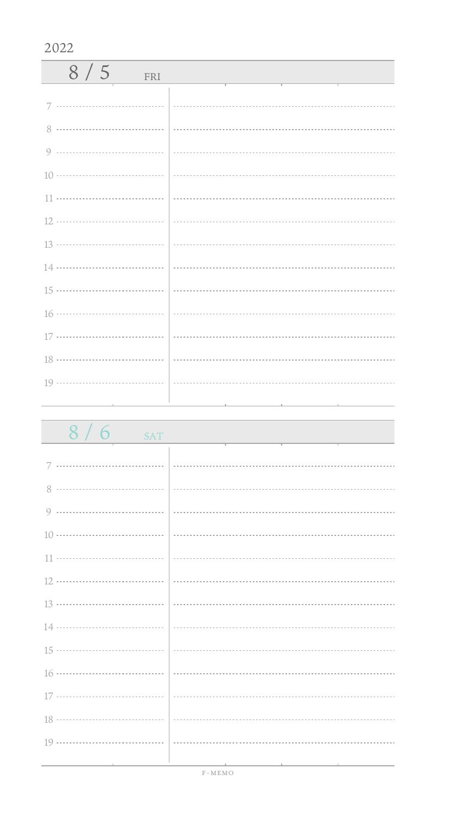| 8/5<br>FRI |  |
|------------|--|
|            |  |
|            |  |
|            |  |
|            |  |
|            |  |
|            |  |
|            |  |
|            |  |
|            |  |
|            |  |
|            |  |
|            |  |
|            |  |
|            |  |

| 8/6<br>SAT |                                                                                                                 |
|------------|-----------------------------------------------------------------------------------------------------------------|
|            |                                                                                                                 |
|            |                                                                                                                 |
|            |                                                                                                                 |
|            |                                                                                                                 |
|            |                                                                                                                 |
|            |                                                                                                                 |
|            |                                                                                                                 |
|            |                                                                                                                 |
|            |                                                                                                                 |
|            |                                                                                                                 |
|            |                                                                                                                 |
|            |                                                                                                                 |
|            |                                                                                                                 |
|            |                                                                                                                 |
|            | the contract of the contract of the contract of the contract of the contract of the contract of the contract of |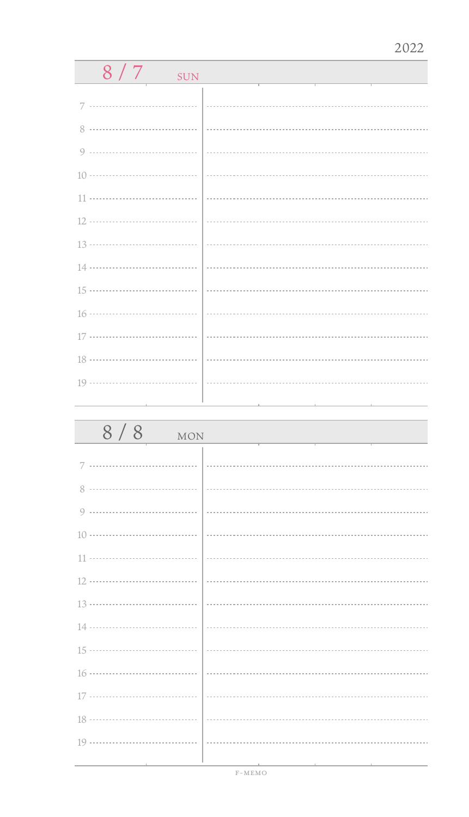| 8/7<br><b>SUN</b>                                                          |  |
|----------------------------------------------------------------------------|--|
|                                                                            |  |
| 7                                                                          |  |
| 8                                                                          |  |
| 9                                                                          |  |
| $10 \cdots \cdots \cdots \cdots \cdots \cdots \cdots \cdots \cdots \cdots$ |  |
| <br>11                                                                     |  |
| 12 ………………………………                                                            |  |
| 13 ………………………………                                                            |  |
| $14 \cdots$<br>.                                                           |  |
| 15 ………………………………                                                            |  |
| 16 ………………………………                                                            |  |
| 17 ………………………………                                                            |  |
| 18 ………………………………                                                            |  |
|                                                                            |  |
|                                                                            |  |
|                                                                            |  |
| 8/8<br><b>MON</b>                                                          |  |
|                                                                            |  |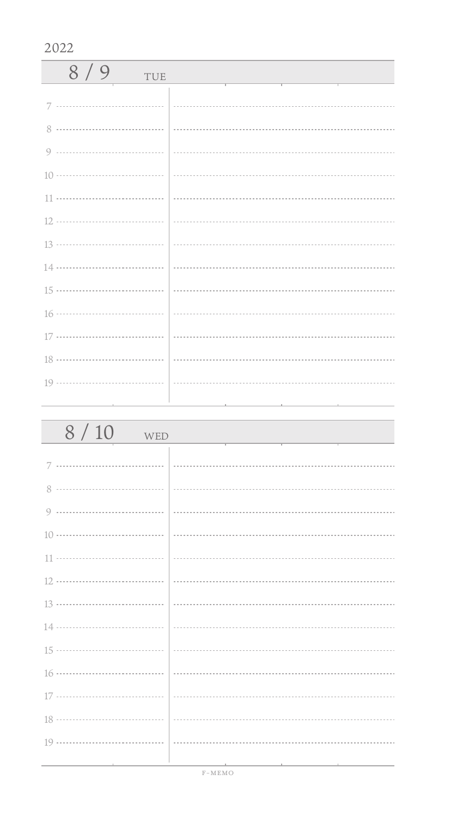| 8/9<br>TUE |  |
|------------|--|
|            |  |
|            |  |
|            |  |
|            |  |
|            |  |
|            |  |
|            |  |
|            |  |
|            |  |
|            |  |
|            |  |
|            |  |
|            |  |
|            |  |

| 8/10<br>WED                   |                             |
|-------------------------------|-----------------------------|
|                               |                             |
|                               |                             |
|                               |                             |
|                               |                             |
|                               |                             |
|                               |                             |
|                               | $\frac{13 \dots}{13 \dots}$ |
|                               |                             |
|                               |                             |
|                               |                             |
|                               |                             |
|                               |                             |
|                               |                             |
| the control of the control of |                             |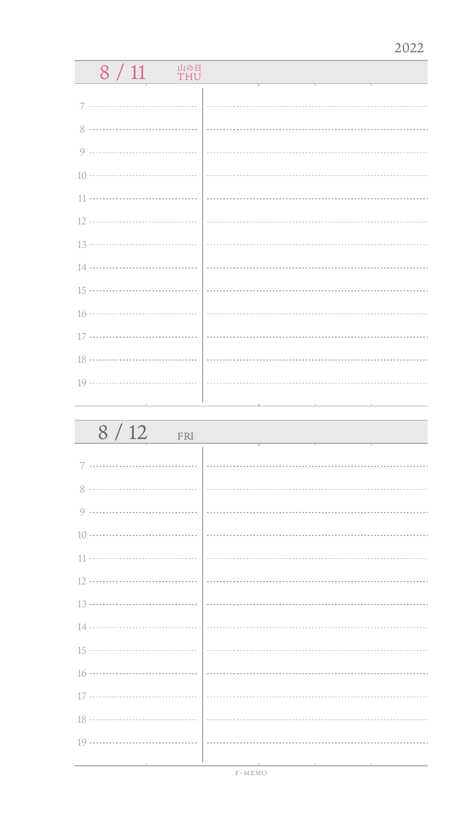## $8 / 11$  Thu

| 8/12<br>FRI                       |                                                                                      |
|-----------------------------------|--------------------------------------------------------------------------------------|
|                                   |                                                                                      |
|                                   |                                                                                      |
|                                   |                                                                                      |
|                                   |                                                                                      |
|                                   |                                                                                      |
|                                   |                                                                                      |
|                                   |                                                                                      |
|                                   |                                                                                      |
|                                   |                                                                                      |
|                                   |                                                                                      |
|                                   |                                                                                      |
|                                   |                                                                                      |
|                                   |                                                                                      |
| the control of the control of the | the contract of the contract of the con-<br>the contract of the contract of the con- |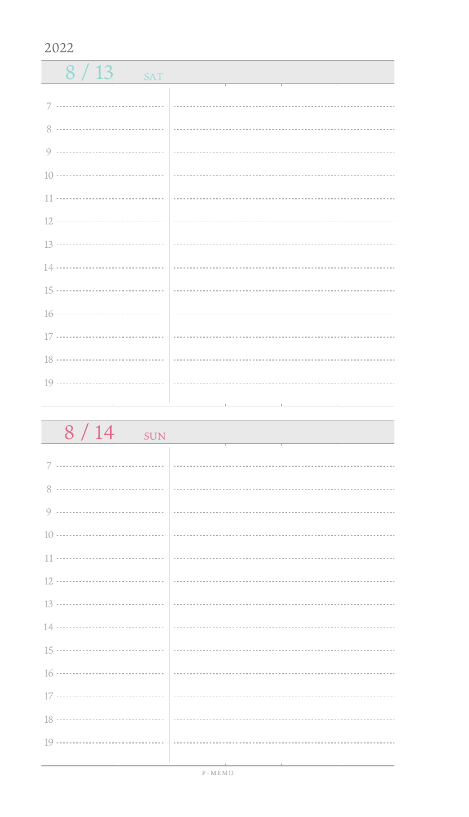$8/13$  SAT 7 ................................. 0 ------------------------------------ 11 .................................. 16 ................................... 17 ................................. 18 ................................... 19 ................................. 

| 8/14<br><b>SUN</b>                  |  |
|-------------------------------------|--|
|                                     |  |
|                                     |  |
|                                     |  |
|                                     |  |
|                                     |  |
|                                     |  |
|                                     |  |
|                                     |  |
|                                     |  |
|                                     |  |
|                                     |  |
|                                     |  |
|                                     |  |
|                                     |  |
| the contract of the contract of the |  |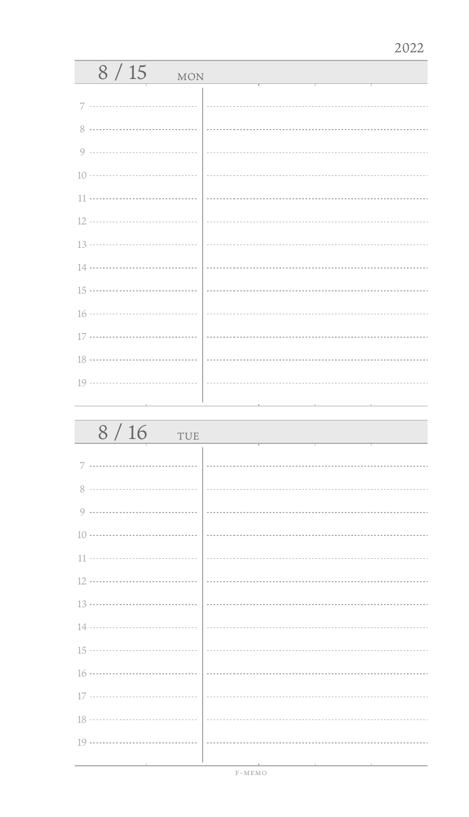| 8/15<br><b>MON</b> |  |
|--------------------|--|
| 7                  |  |
| 8                  |  |
|                    |  |
|                    |  |
| 11                 |  |
|                    |  |
|                    |  |
|                    |  |
|                    |  |
|                    |  |
|                    |  |
|                    |  |
|                    |  |
|                    |  |

| 8/16<br>TUE |  |
|-------------|--|
| 7           |  |
|             |  |
| Q           |  |
|             |  |
|             |  |
|             |  |
|             |  |
|             |  |
|             |  |
|             |  |
|             |  |
|             |  |
|             |  |
|             |  |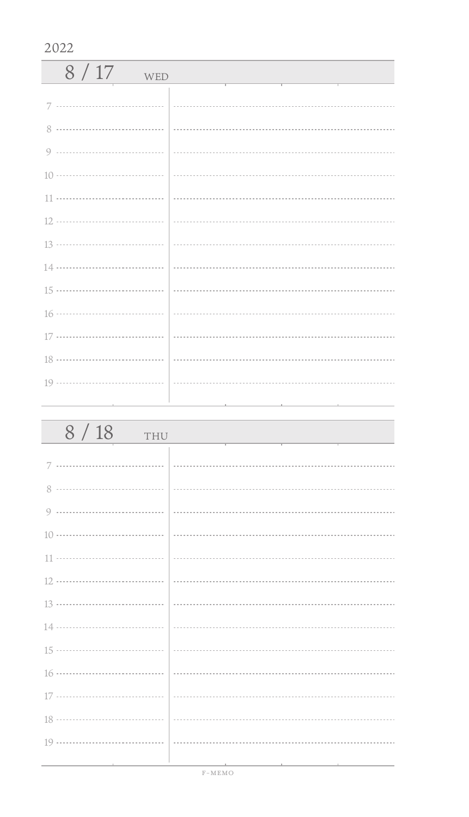| 8/17<br>WED   |  |
|---------------|--|
|               |  |
| $\mathcal{R}$ |  |
|               |  |
|               |  |
|               |  |
|               |  |
|               |  |
|               |  |
|               |  |
|               |  |
|               |  |
|               |  |
|               |  |
|               |  |

| 8/18<br>THU                       |                                                 |
|-----------------------------------|-------------------------------------------------|
|                                   |                                                 |
|                                   |                                                 |
|                                   |                                                 |
|                                   |                                                 |
|                                   |                                                 |
|                                   |                                                 |
|                                   |                                                 |
|                                   |                                                 |
|                                   |                                                 |
|                                   |                                                 |
|                                   |                                                 |
|                                   |                                                 |
|                                   |                                                 |
| the control of the control of the | the contract of the contract of the contract of |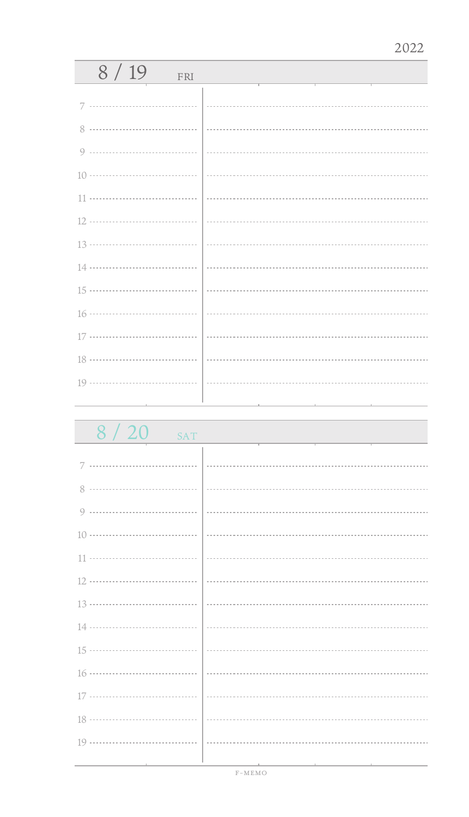| 8/19<br>FRI |  |
|-------------|--|
| 7           |  |
|             |  |
|             |  |
|             |  |
|             |  |
|             |  |
|             |  |
|             |  |
|             |  |
|             |  |
|             |  |
|             |  |
|             |  |
|             |  |

8 / 20 SAT

| $\sim$ , $\sim$ $\sim$<br>$_{\rm OVI}$ |  |
|----------------------------------------|--|
|                                        |  |
|                                        |  |
|                                        |  |
|                                        |  |
|                                        |  |
|                                        |  |
|                                        |  |
|                                        |  |
|                                        |  |
|                                        |  |
|                                        |  |
|                                        |  |
|                                        |  |
|                                        |  |
|                                        |  |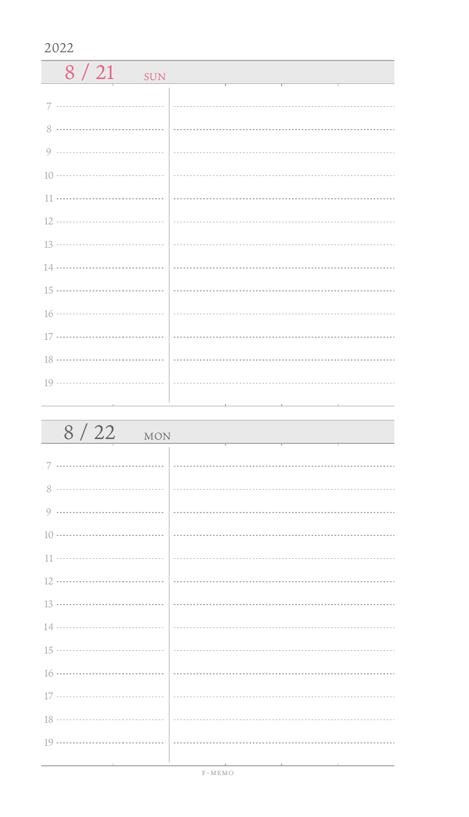| $8/21$ SUN | the control of the control of the control of the control of |
|------------|-------------------------------------------------------------|
|            |                                                             |
|            |                                                             |
|            |                                                             |
|            |                                                             |
|            |                                                             |
|            |                                                             |
|            |                                                             |
|            |                                                             |
|            |                                                             |
|            |                                                             |
|            |                                                             |
|            |                                                             |
|            |                                                             |
|            |                                                             |

| 8/22<br>MON |  |
|-------------|--|
|             |  |
|             |  |
|             |  |
|             |  |
|             |  |
|             |  |
|             |  |
|             |  |
|             |  |
|             |  |
|             |  |
|             |  |
|             |  |
|             |  |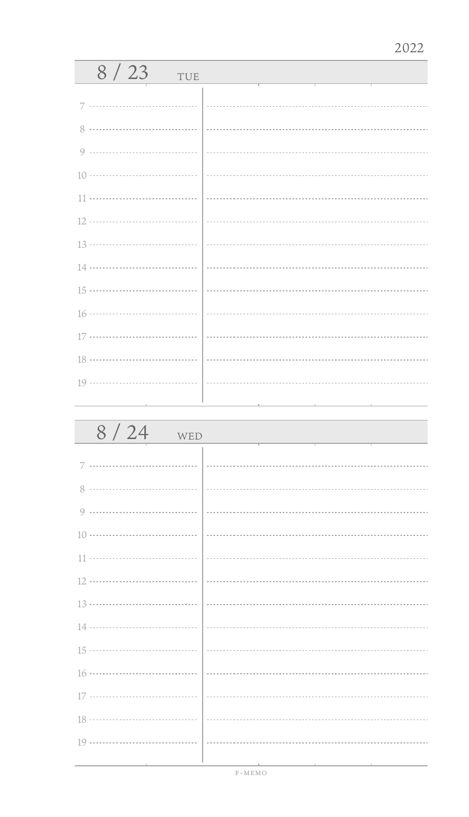| 8/23<br>TUE |  |
|-------------|--|
|             |  |
| 8           |  |
| $\circ$     |  |
|             |  |
| 11          |  |
|             |  |
|             |  |
|             |  |
|             |  |
|             |  |
| 17          |  |
|             |  |
|             |  |
|             |  |

| 8/24<br>WED |  |
|-------------|--|
|             |  |
| 8           |  |
| 9           |  |
|             |  |
|             |  |
|             |  |
|             |  |
|             |  |
|             |  |
|             |  |
|             |  |
|             |  |
|             |  |
|             |  |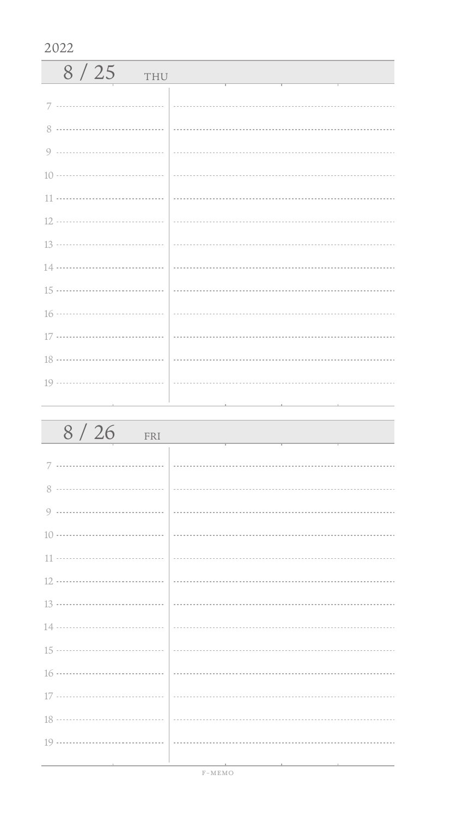| 8/25<br>THU |  |
|-------------|--|
|             |  |
|             |  |
|             |  |
|             |  |
|             |  |
|             |  |
|             |  |
|             |  |
|             |  |
|             |  |
|             |  |
|             |  |
|             |  |
|             |  |

| 8/26<br>FRI |  |
|-------------|--|
|             |  |
|             |  |
|             |  |
|             |  |
|             |  |
|             |  |
|             |  |
|             |  |
|             |  |
|             |  |
|             |  |
|             |  |
|             |  |
|             |  |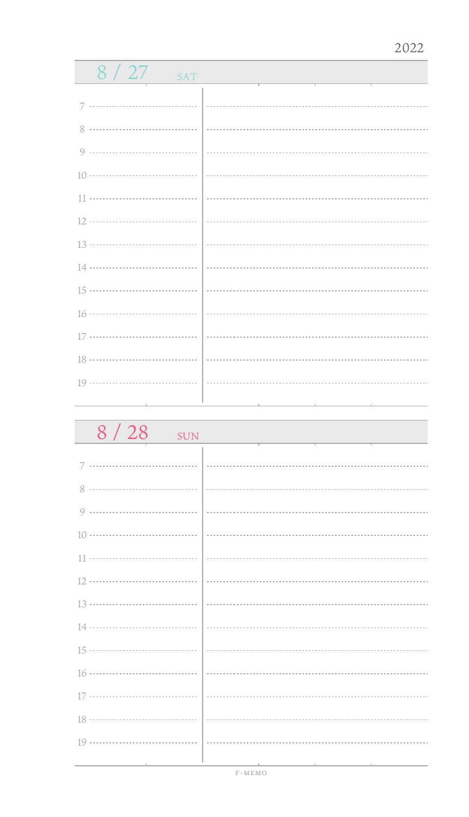| 8/27<br><b>SAT</b>                        |  |
|-------------------------------------------|--|
|                                           |  |
|                                           |  |
| 8 …………………………………                           |  |
|                                           |  |
|                                           |  |
|                                           |  |
|                                           |  |
|                                           |  |
|                                           |  |
|                                           |  |
|                                           |  |
|                                           |  |
|                                           |  |
|                                           |  |
| the control of the control of the control |  |

| 8/28<br><b>SUN</b>     |  |
|------------------------|--|
| 7                      |  |
| 8                      |  |
| 9                      |  |
| $10 \cdots 10$         |  |
| 11                     |  |
|                        |  |
|                        |  |
|                        |  |
|                        |  |
|                        |  |
| 17 ………………………………   ………… |  |
|                        |  |
|                        |  |
|                        |  |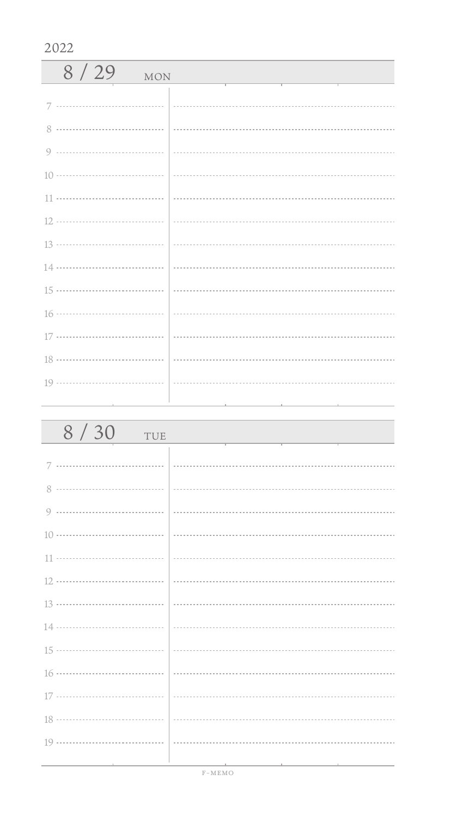| 8/29<br><b>MON</b> |  |
|--------------------|--|
|                    |  |
|                    |  |
|                    |  |
|                    |  |
|                    |  |
|                    |  |
|                    |  |
|                    |  |
|                    |  |
|                    |  |
|                    |  |
|                    |  |
|                    |  |
|                    |  |

| 8/30<br>TUE                   |                                        |
|-------------------------------|----------------------------------------|
|                               |                                        |
|                               |                                        |
|                               |                                        |
|                               |                                        |
|                               |                                        |
|                               |                                        |
|                               |                                        |
|                               |                                        |
|                               |                                        |
|                               |                                        |
|                               |                                        |
|                               |                                        |
|                               |                                        |
| the control of the control of | the control of the control of the con- |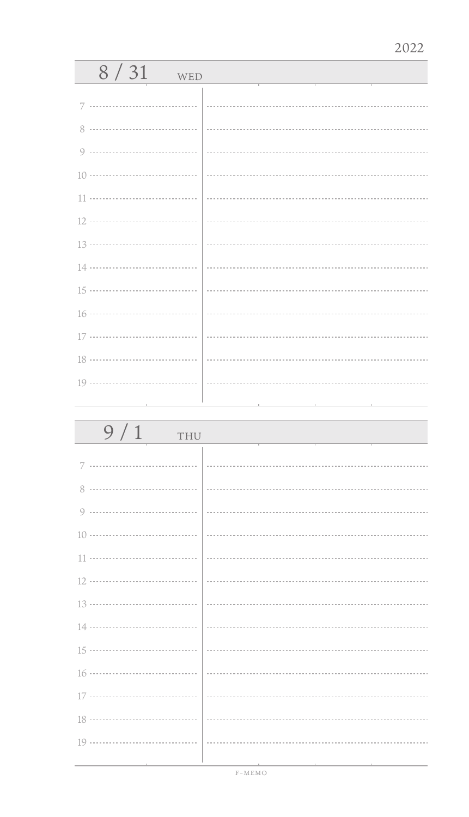| 8/31<br>WED |  |
|-------------|--|
| 7           |  |
|             |  |
|             |  |
|             |  |
|             |  |
|             |  |
|             |  |
|             |  |
|             |  |
|             |  |
|             |  |
|             |  |
|             |  |
|             |  |

| 9/1<br>THU |  |
|------------|--|
|            |  |
|            |  |
|            |  |
|            |  |
|            |  |
|            |  |
|            |  |
|            |  |
|            |  |
|            |  |
|            |  |
|            |  |
|            |  |
|            |  |
|            |  |
|            |  |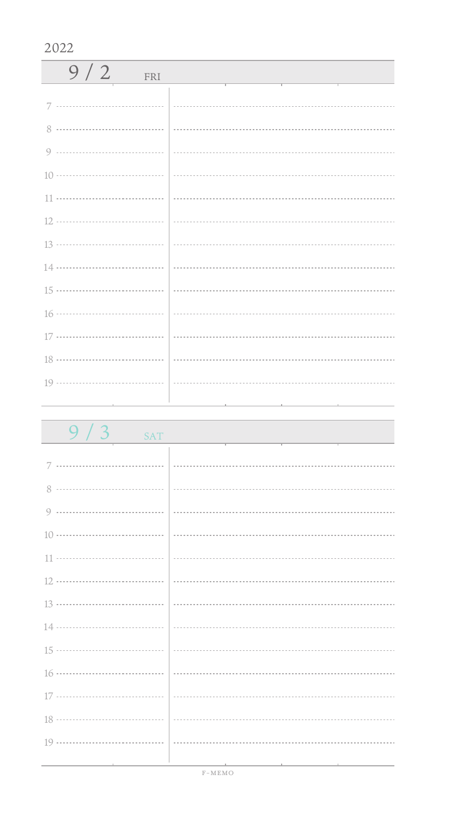| 9/2<br>FRI |  |
|------------|--|
|            |  |
|            |  |
|            |  |
|            |  |
|            |  |
|            |  |
|            |  |
|            |  |
|            |  |
|            |  |
|            |  |
|            |  |
|            |  |

| 9 / 3<br><b>SAT</b> |                                                                                                                 |
|---------------------|-----------------------------------------------------------------------------------------------------------------|
|                     |                                                                                                                 |
|                     |                                                                                                                 |
|                     |                                                                                                                 |
|                     |                                                                                                                 |
|                     |                                                                                                                 |
|                     |                                                                                                                 |
|                     |                                                                                                                 |
|                     |                                                                                                                 |
|                     |                                                                                                                 |
|                     |                                                                                                                 |
|                     |                                                                                                                 |
|                     |                                                                                                                 |
|                     |                                                                                                                 |
|                     |                                                                                                                 |
|                     | the contract of the contract of the contract of the contract of the contract of the contract of the contract of |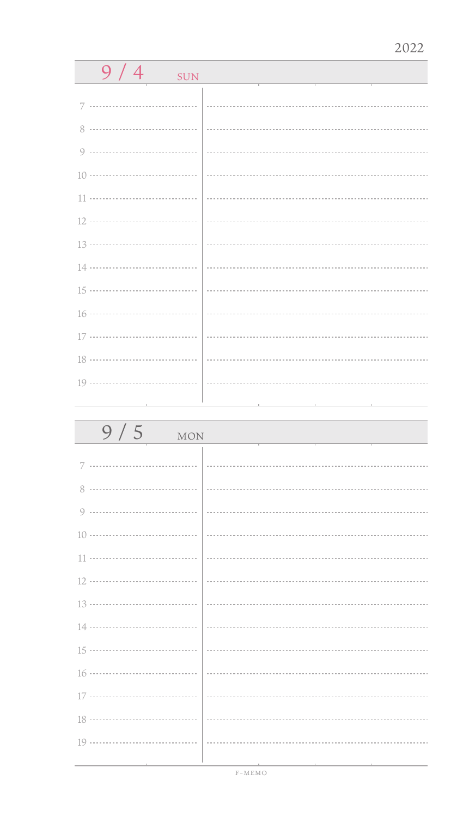| 9/4<br><b>SUN</b> |  |  |
|-------------------|--|--|
|                   |  |  |
| 7<br>             |  |  |
| 8                 |  |  |
| 9                 |  |  |
|                   |  |  |
| 11                |  |  |
| 12 ………………………………   |  |  |
| 13 ………………………………   |  |  |
| 14 ………………………………   |  |  |
| 15 ………………………………   |  |  |
| 16 ………………………………   |  |  |
| 17 ………………………………   |  |  |
| 18 ………………………………   |  |  |
|                   |  |  |
|                   |  |  |
|                   |  |  |
| 9/5<br>MON        |  |  |
|                   |  |  |
|                   |  |  |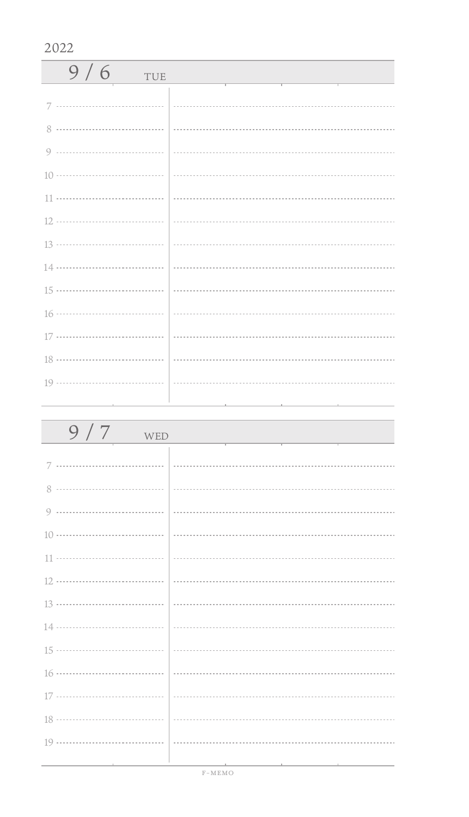| 9/6<br>TUE |  |
|------------|--|
|            |  |
|            |  |
|            |  |
|            |  |
|            |  |
|            |  |
|            |  |
|            |  |
|            |  |
|            |  |
|            |  |
|            |  |
|            |  |
|            |  |

| 9/7<br>WED |  |
|------------|--|
|            |  |
|            |  |
|            |  |
|            |  |
|            |  |
|            |  |
|            |  |
|            |  |
|            |  |
|            |  |
|            |  |
|            |  |
|            |  |
|            |  |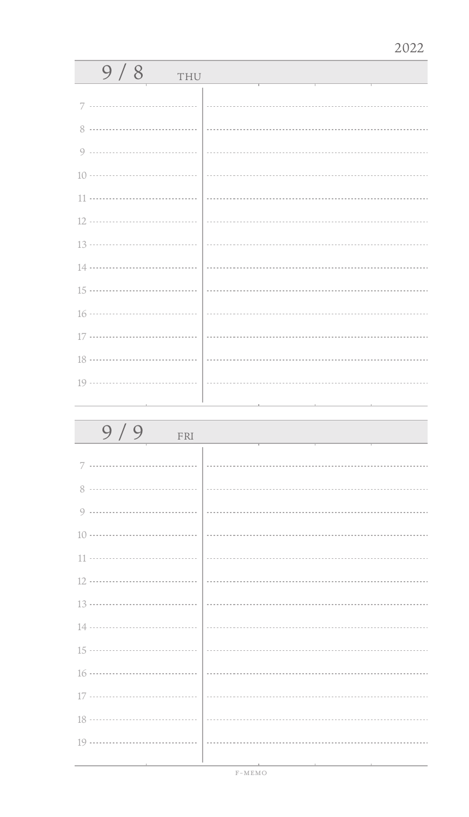| 9/8<br>THU                          |                                                                                                                 |
|-------------------------------------|-----------------------------------------------------------------------------------------------------------------|
| 7                                   |                                                                                                                 |
| 8                                   |                                                                                                                 |
|                                     |                                                                                                                 |
|                                     |                                                                                                                 |
|                                     |                                                                                                                 |
|                                     |                                                                                                                 |
|                                     |                                                                                                                 |
|                                     |                                                                                                                 |
|                                     |                                                                                                                 |
|                                     |                                                                                                                 |
|                                     |                                                                                                                 |
|                                     |                                                                                                                 |
|                                     |                                                                                                                 |
| the contract of the contract of the | the contract of the contract of the contract of the contract of the contract of the contract of the contract of |

| 9/9<br>FRI |  |
|------------|--|
| 7          |  |
|            |  |
|            |  |
|            |  |
|            |  |
|            |  |
|            |  |
|            |  |
|            |  |
|            |  |
|            |  |
|            |  |
|            |  |
|            |  |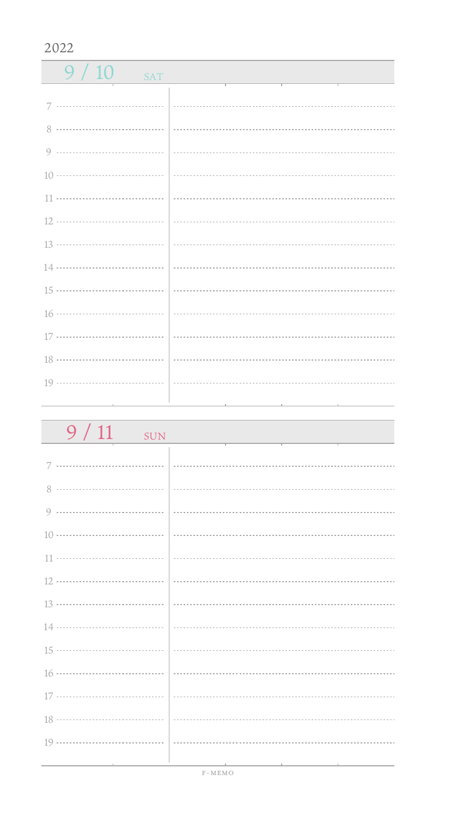$9/10$  SAT 7 ................................. 8 0 ------------------------------------10 11 .................................. 12 13 ................................... 14 15 ................................... 16 ................................... 17 ................................. 18 ................................... 19 .................................. 

| $9/11$ SUN                                      |                                                                                                                 |
|-------------------------------------------------|-----------------------------------------------------------------------------------------------------------------|
|                                                 |                                                                                                                 |
|                                                 |                                                                                                                 |
|                                                 |                                                                                                                 |
|                                                 |                                                                                                                 |
|                                                 |                                                                                                                 |
|                                                 |                                                                                                                 |
|                                                 |                                                                                                                 |
|                                                 |                                                                                                                 |
|                                                 |                                                                                                                 |
|                                                 |                                                                                                                 |
|                                                 |                                                                                                                 |
|                                                 |                                                                                                                 |
|                                                 |                                                                                                                 |
| the contract of the contract of the contract of | the contract of the contract of the contract of the contract of the contract of the contract of the contract of |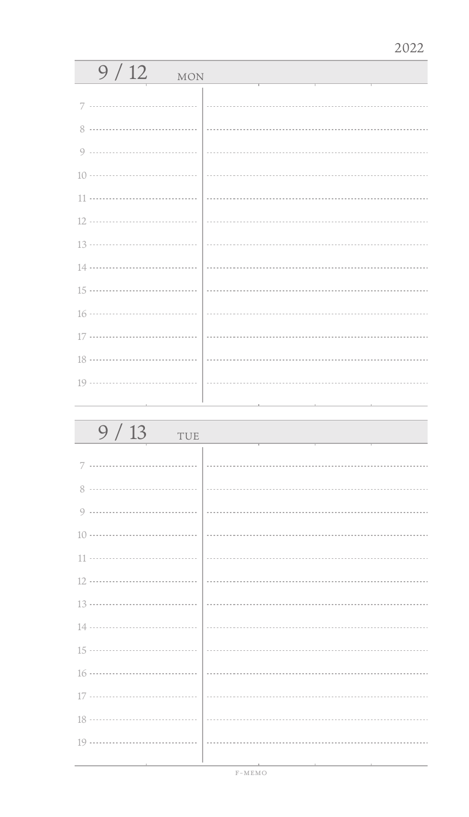| 9/12<br><b>MON</b> |                             |
|--------------------|-----------------------------|
| 7                  |                             |
| 8                  |                             |
| $\circ$            |                             |
|                    |                             |
| 11                 |                             |
|                    |                             |
|                    | $\frac{13 \dots}{13 \dots}$ |
|                    |                             |
|                    |                             |
|                    |                             |
|                    |                             |
|                    |                             |
|                    |                             |
|                    |                             |

| 9/13<br>TUE |  |
|-------------|--|
| 7           |  |
| 8           |  |
| 9           |  |
|             |  |
|             |  |
|             |  |
|             |  |
|             |  |
|             |  |
|             |  |
|             |  |
|             |  |
|             |  |
|             |  |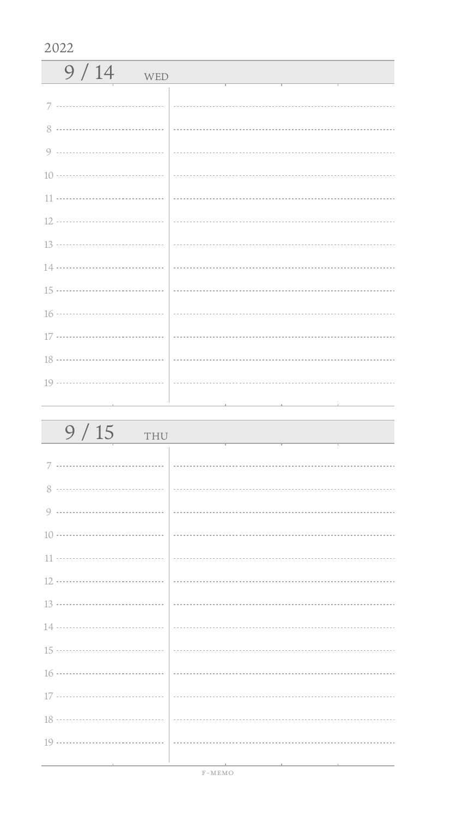| 9/14<br>WED |  |
|-------------|--|
| 7           |  |
| 8           |  |
|             |  |
|             |  |
|             |  |
|             |  |
|             |  |
|             |  |
|             |  |
|             |  |
|             |  |
|             |  |
|             |  |
|             |  |

| 9/15<br>THU                   |                                              |
|-------------------------------|----------------------------------------------|
|                               |                                              |
|                               |                                              |
|                               |                                              |
|                               |                                              |
|                               |                                              |
|                               |                                              |
|                               |                                              |
|                               |                                              |
|                               |                                              |
|                               |                                              |
|                               |                                              |
|                               |                                              |
|                               |                                              |
| the control of the control of | the control of the control of the control of |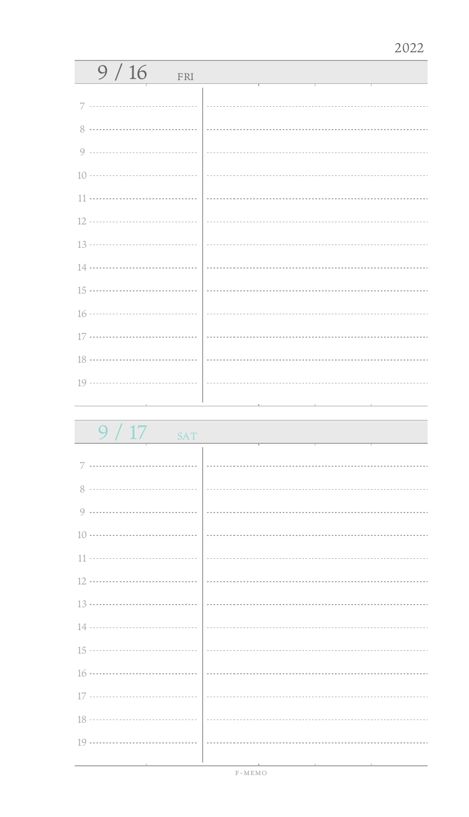| 9/16<br>FRI |  |
|-------------|--|
| 7           |  |
|             |  |
| 8           |  |
|             |  |
|             |  |
|             |  |
|             |  |
|             |  |
|             |  |
|             |  |
|             |  |
|             |  |
|             |  |
|             |  |
|             |  |

 $9 / 17$  sat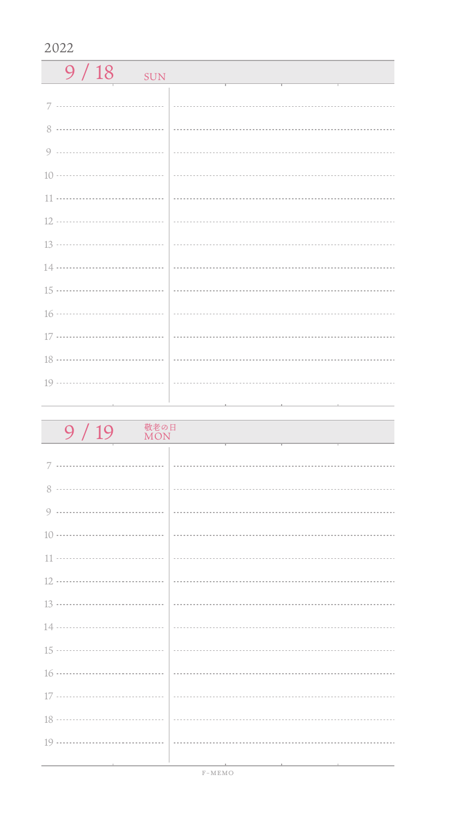$9/18$  SUN 7 ................................. 8 0 ------------------------------------10 11 .................................. 12 13 ................................... 14 15 ................................... 16 .................................. 17 ................................. 18 ................................... 19 ................................. 

| 敬老の日<br>9/19<br><b>MON</b> |                                                                                                                                                                                                                                      |
|----------------------------|--------------------------------------------------------------------------------------------------------------------------------------------------------------------------------------------------------------------------------------|
|                            |                                                                                                                                                                                                                                      |
|                            |                                                                                                                                                                                                                                      |
|                            |                                                                                                                                                                                                                                      |
|                            |                                                                                                                                                                                                                                      |
|                            |                                                                                                                                                                                                                                      |
|                            |                                                                                                                                                                                                                                      |
|                            |                                                                                                                                                                                                                                      |
|                            |                                                                                                                                                                                                                                      |
|                            |                                                                                                                                                                                                                                      |
|                            |                                                                                                                                                                                                                                      |
|                            |                                                                                                                                                                                                                                      |
|                            |                                                                                                                                                                                                                                      |
|                            |                                                                                                                                                                                                                                      |
|                            | <u> 1989 - Andrea State Andrea State Andrea State Andrea State Andrea State Andrea State Andrea State Andrea State Andrea State Andrea State Andrea State Andrea State Andrea State Andrea State Andrea State Andrea State Andre</u> |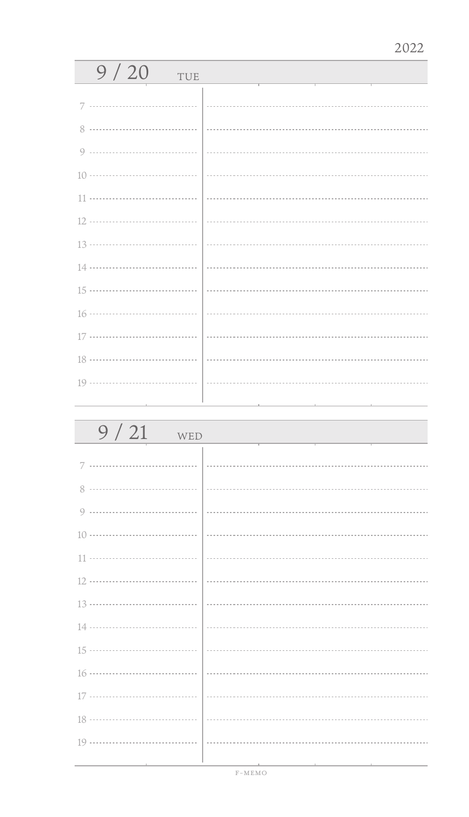| 9/20<br>TUE                     |                                     |
|---------------------------------|-------------------------------------|
| 7                               |                                     |
| 8                               |                                     |
|                                 |                                     |
| 9                               |                                     |
|                                 |                                     |
|                                 |                                     |
|                                 |                                     |
|                                 |                                     |
|                                 |                                     |
|                                 |                                     |
|                                 |                                     |
|                                 |                                     |
|                                 |                                     |
|                                 |                                     |
| the contract of the contract of | the contract of the contract of the |

| 9/21<br>WED                   |                                                                    |
|-------------------------------|--------------------------------------------------------------------|
|                               |                                                                    |
| 8                             |                                                                    |
|                               |                                                                    |
|                               |                                                                    |
|                               |                                                                    |
|                               |                                                                    |
|                               |                                                                    |
|                               |                                                                    |
|                               |                                                                    |
|                               |                                                                    |
|                               |                                                                    |
|                               |                                                                    |
|                               |                                                                    |
| the control of the control of | the contract of the con-<br>the control of the control of the con- |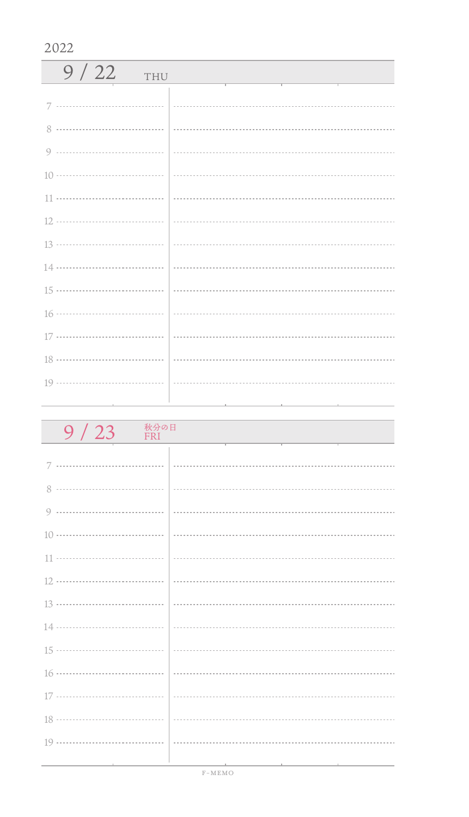| 9/22<br>THU |  |
|-------------|--|
| 7           |  |
| 8           |  |
|             |  |
|             |  |
|             |  |
|             |  |
|             |  |
|             |  |
|             |  |
|             |  |
|             |  |
|             |  |
|             |  |
|             |  |

| 秋分の日<br>9/23<br>FRI                          |                                                                                                 |
|----------------------------------------------|-------------------------------------------------------------------------------------------------|
|                                              |                                                                                                 |
|                                              |                                                                                                 |
|                                              |                                                                                                 |
|                                              |                                                                                                 |
|                                              |                                                                                                 |
|                                              |                                                                                                 |
|                                              |                                                                                                 |
|                                              |                                                                                                 |
|                                              |                                                                                                 |
|                                              |                                                                                                 |
|                                              |                                                                                                 |
|                                              |                                                                                                 |
|                                              |                                                                                                 |
|                                              |                                                                                                 |
| the control of the control of the control of | the contract of the contract of the contract of the contract of the contract of the contract of |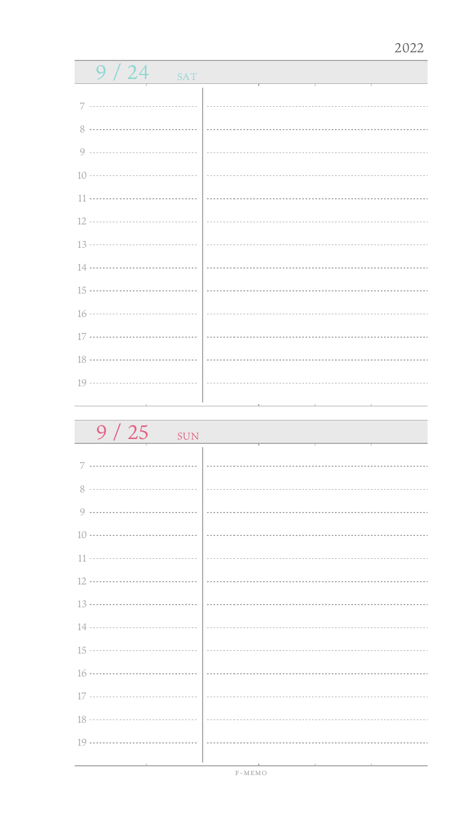| 9/24<br><b>SAT</b> |  |
|--------------------|--|
|                    |  |
|                    |  |
|                    |  |
|                    |  |
|                    |  |
|                    |  |
|                    |  |
|                    |  |
|                    |  |
|                    |  |
|                    |  |
| $17 \cdots 17$     |  |
|                    |  |
|                    |  |
|                    |  |

| $9/25$ SUN |  |
|------------|--|
| 7          |  |
|            |  |
|            |  |
|            |  |
|            |  |
|            |  |
|            |  |
|            |  |
|            |  |
|            |  |
|            |  |
|            |  |
|            |  |
|            |  |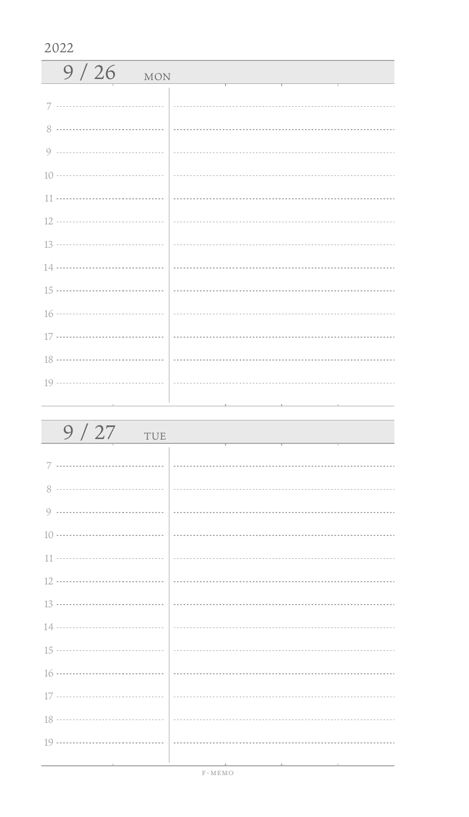| 9/26<br><b>MON</b>                                                              |  |
|---------------------------------------------------------------------------------|--|
|                                                                                 |  |
|                                                                                 |  |
|                                                                                 |  |
|                                                                                 |  |
|                                                                                 |  |
|                                                                                 |  |
|                                                                                 |  |
|                                                                                 |  |
|                                                                                 |  |
|                                                                                 |  |
|                                                                                 |  |
|                                                                                 |  |
|                                                                                 |  |
| the contract of the contract of the contract of the contract of the contract of |  |

| 9/27<br>TUE                   |  |
|-------------------------------|--|
|                               |  |
|                               |  |
|                               |  |
|                               |  |
|                               |  |
|                               |  |
|                               |  |
|                               |  |
|                               |  |
|                               |  |
|                               |  |
|                               |  |
|                               |  |
|                               |  |
| the control of the control of |  |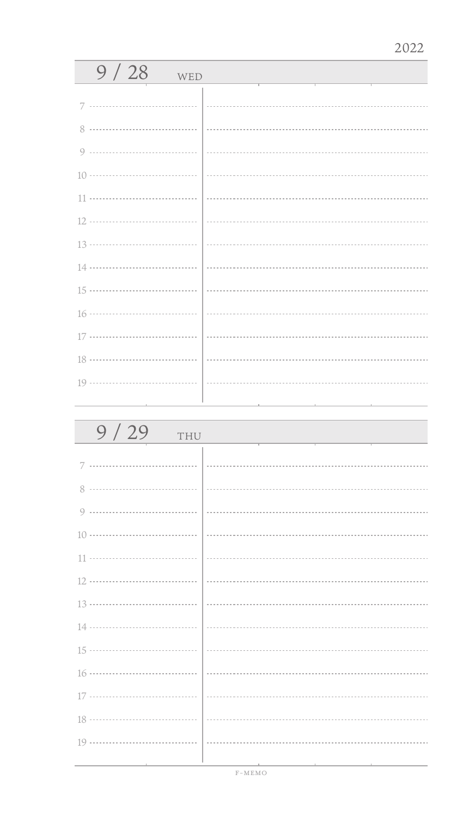| 9/28<br>WED |  |
|-------------|--|
|             |  |
| 8           |  |
| 9           |  |
|             |  |
| 11          |  |
|             |  |
|             |  |
|             |  |
|             |  |
|             |  |
|             |  |
|             |  |
|             |  |
|             |  |

| 9/29<br>THU |  |
|-------------|--|
| 7           |  |
| 8           |  |
| 9           |  |
|             |  |
|             |  |
|             |  |
|             |  |
|             |  |
|             |  |
|             |  |
|             |  |
|             |  |
|             |  |
|             |  |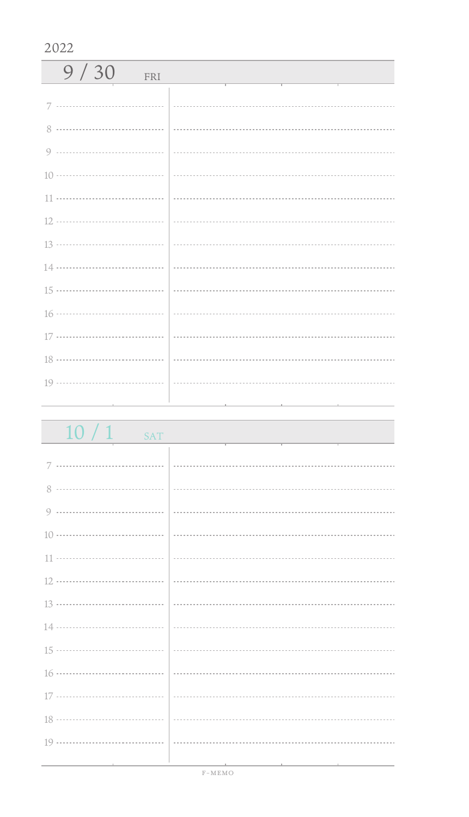| 9/30<br>FRI            |  |
|------------------------|--|
| 7 ………………………………   …………… |  |
|                        |  |
|                        |  |
|                        |  |
|                        |  |
|                        |  |
|                        |  |
|                        |  |
|                        |  |
|                        |  |
|                        |  |
|                        |  |
|                        |  |
|                        |  |

| $10/1$ sat                                   | and the control of the control of the control of the control of the control of the control of the control of the                                                                                                              |
|----------------------------------------------|-------------------------------------------------------------------------------------------------------------------------------------------------------------------------------------------------------------------------------|
|                                              |                                                                                                                                                                                                                               |
|                                              |                                                                                                                                                                                                                               |
|                                              |                                                                                                                                                                                                                               |
|                                              |                                                                                                                                                                                                                               |
|                                              |                                                                                                                                                                                                                               |
|                                              |                                                                                                                                                                                                                               |
|                                              |                                                                                                                                                                                                                               |
|                                              | $\frac{13 \dots}{13 \dots}$                                                                                                                                                                                                   |
|                                              |                                                                                                                                                                                                                               |
|                                              |                                                                                                                                                                                                                               |
|                                              |                                                                                                                                                                                                                               |
|                                              |                                                                                                                                                                                                                               |
|                                              |                                                                                                                                                                                                                               |
|                                              |                                                                                                                                                                                                                               |
| the control of the control of the control of | the control of the control of the control of the control of the control of the control of the control of the control of the control of the control of the control of the control of the control of the control of the control |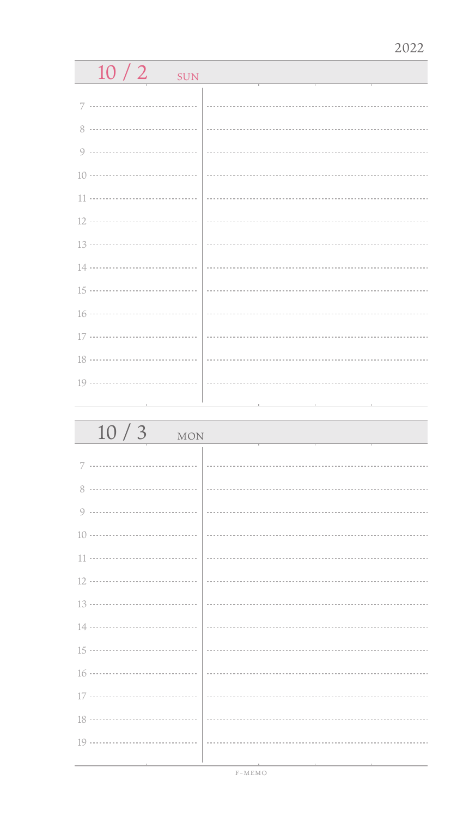| 10/2<br><b>SUN</b> |  |
|--------------------|--|
|                    |  |
| <br>7              |  |
| 8                  |  |
| 9                  |  |
| 10 ………………………………    |  |
|                    |  |
| 12 ………………………………    |  |
| 13 ………………………………    |  |
| 14 ………………………………    |  |
| 15 ………………………………    |  |
| 16 ………………………………    |  |
| 17 ………………………………    |  |
| 18                 |  |
|                    |  |
|                    |  |
|                    |  |
|                    |  |
| 10/3<br><b>MON</b> |  |
|                    |  |
| 7                  |  |
| 8.                 |  |

| $10/3$ MON |  |
|------------|--|
|            |  |
|            |  |
|            |  |
|            |  |
|            |  |
|            |  |
|            |  |
|            |  |
|            |  |
|            |  |
|            |  |
|            |  |
|            |  |
|            |  |
|            |  |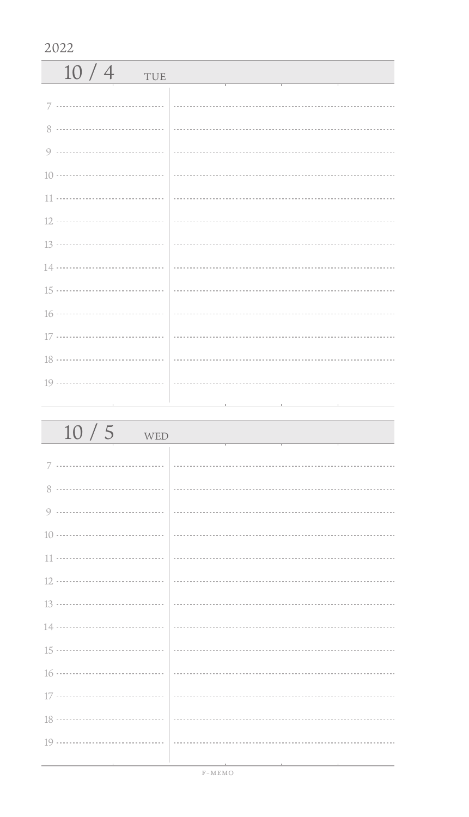| 10/4<br>TUE |  |
|-------------|--|
|             |  |
|             |  |
|             |  |
|             |  |
|             |  |
|             |  |
|             |  |
|             |  |
|             |  |
|             |  |
|             |  |
|             |  |
|             |  |
|             |  |

| 10/5<br>WED                                  |                                                                                                                 |
|----------------------------------------------|-----------------------------------------------------------------------------------------------------------------|
|                                              |                                                                                                                 |
|                                              |                                                                                                                 |
|                                              |                                                                                                                 |
|                                              |                                                                                                                 |
|                                              |                                                                                                                 |
|                                              |                                                                                                                 |
|                                              |                                                                                                                 |
|                                              |                                                                                                                 |
|                                              |                                                                                                                 |
|                                              |                                                                                                                 |
|                                              |                                                                                                                 |
|                                              |                                                                                                                 |
|                                              |                                                                                                                 |
|                                              |                                                                                                                 |
| the control of the control of the control of | the contract of the contract of the contract of the contract of the contract of the contract of the contract of |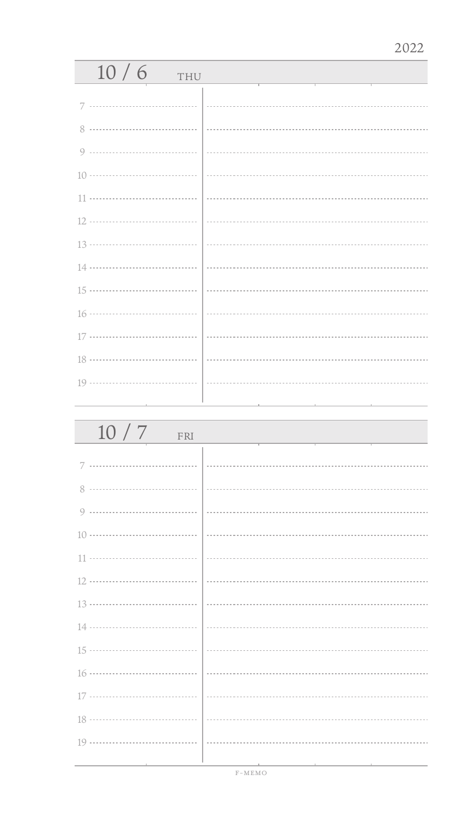| 10/6<br>THU |  |
|-------------|--|
| 7           |  |
| 8           |  |
|             |  |
|             |  |
|             |  |
|             |  |
|             |  |
|             |  |
|             |  |
|             |  |
|             |  |
|             |  |
|             |  |
|             |  |

| 10/7<br>FRI |  |
|-------------|--|
|             |  |
| 8           |  |
| 9           |  |
|             |  |
|             |  |
|             |  |
|             |  |
|             |  |
|             |  |
|             |  |
|             |  |
|             |  |
|             |  |
|             |  |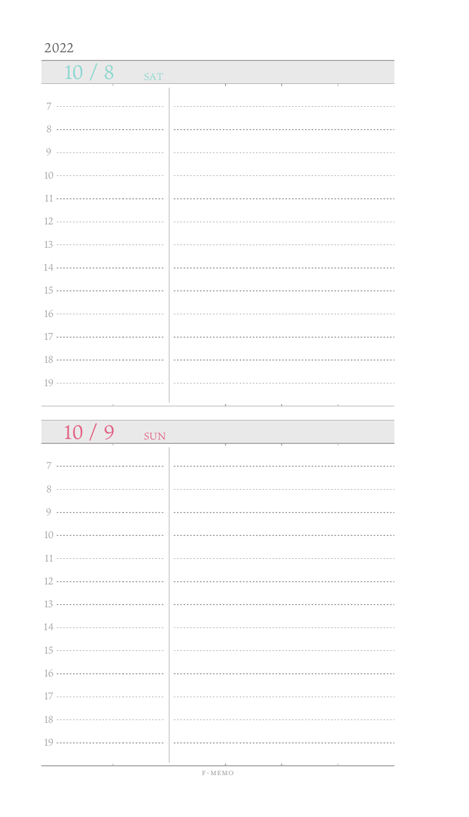$10/8$  SAT 0 ------------------------------------ 11 ................................. 13 ................................... 16 ................................... 17 ................................. 18 ................................... 19 ................................. 

| 10/9<br><b>SUN</b>                  |  |
|-------------------------------------|--|
|                                     |  |
|                                     |  |
|                                     |  |
|                                     |  |
|                                     |  |
|                                     |  |
|                                     |  |
|                                     |  |
|                                     |  |
|                                     |  |
|                                     |  |
|                                     |  |
|                                     |  |
|                                     |  |
| the contract of the contract of the |  |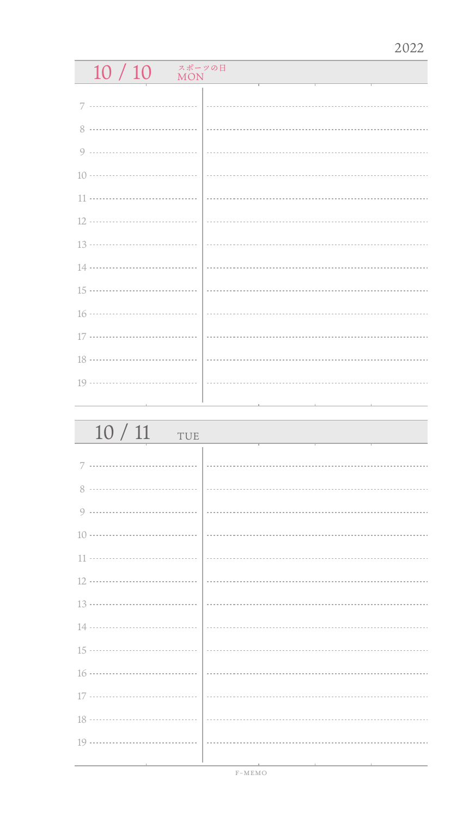## $10 / 10$  MON

| 10/11<br>TUE |  |
|--------------|--|
|              |  |
| 8            |  |
| 9            |  |
|              |  |
|              |  |
|              |  |
|              |  |
|              |  |
|              |  |
|              |  |
|              |  |
|              |  |
|              |  |
|              |  |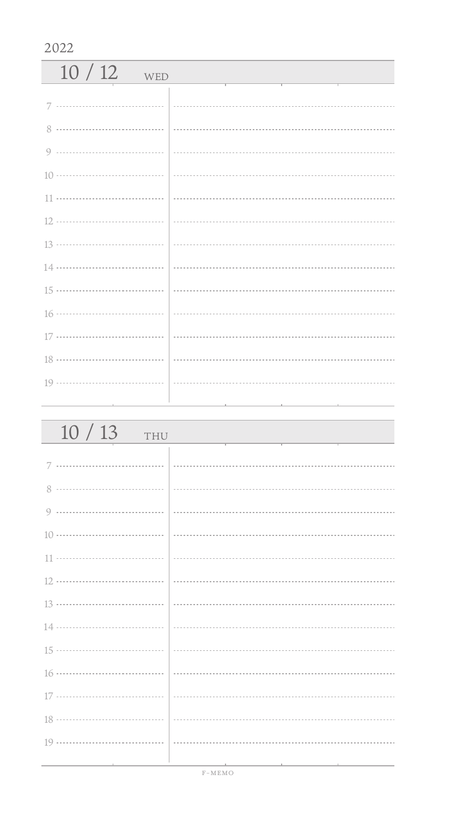| $10/12$ WED |  |
|-------------|--|
|             |  |
|             |  |
|             |  |
|             |  |
|             |  |
|             |  |
|             |  |
|             |  |
|             |  |
|             |  |
|             |  |
|             |  |
|             |  |

| 10/13<br>THU                      |                                                                                                                 |
|-----------------------------------|-----------------------------------------------------------------------------------------------------------------|
|                                   |                                                                                                                 |
|                                   |                                                                                                                 |
|                                   |                                                                                                                 |
|                                   |                                                                                                                 |
|                                   |                                                                                                                 |
|                                   |                                                                                                                 |
|                                   |                                                                                                                 |
|                                   |                                                                                                                 |
|                                   |                                                                                                                 |
|                                   |                                                                                                                 |
|                                   |                                                                                                                 |
|                                   |                                                                                                                 |
|                                   |                                                                                                                 |
|                                   |                                                                                                                 |
| the control of the control of the | the contract of the contract of the contract of the contract of the contract of the contract of the contract of |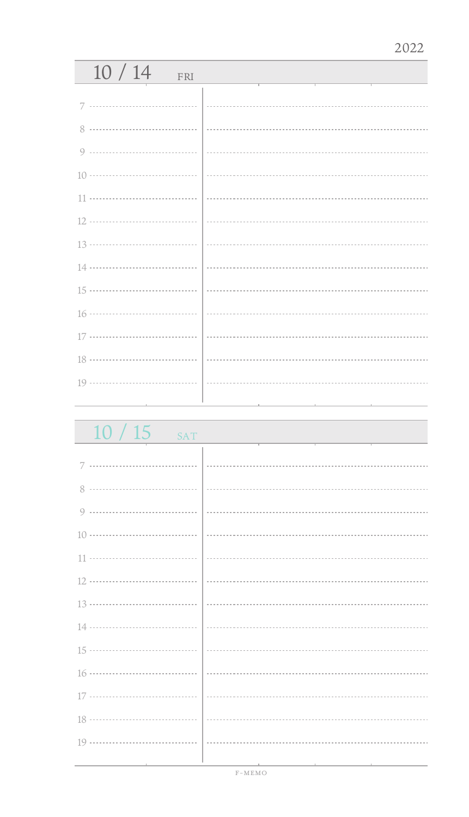## 10 / 14 FRI 7 ................................. i. 8 0 ................................. 10 11 12 13 ................................... 14 ...................................  $\mathbb{R}^2$ 15 16 .................................. 17 ................................ 18 19 ................................

 $10/15$ 

| $10710$ $541$                                       |                                                                                 |  |
|-----------------------------------------------------|---------------------------------------------------------------------------------|--|
|                                                     |                                                                                 |  |
|                                                     |                                                                                 |  |
|                                                     |                                                                                 |  |
|                                                     |                                                                                 |  |
|                                                     |                                                                                 |  |
|                                                     |                                                                                 |  |
|                                                     |                                                                                 |  |
|                                                     |                                                                                 |  |
|                                                     |                                                                                 |  |
|                                                     |                                                                                 |  |
|                                                     |                                                                                 |  |
|                                                     |                                                                                 |  |
|                                                     |                                                                                 |  |
|                                                     |                                                                                 |  |
|                                                     |                                                                                 |  |
|                                                     |                                                                                 |  |
|                                                     |                                                                                 |  |
|                                                     |                                                                                 |  |
|                                                     |                                                                                 |  |
|                                                     |                                                                                 |  |
|                                                     |                                                                                 |  |
|                                                     |                                                                                 |  |
|                                                     |                                                                                 |  |
|                                                     |                                                                                 |  |
|                                                     |                                                                                 |  |
|                                                     |                                                                                 |  |
|                                                     |                                                                                 |  |
|                                                     |                                                                                 |  |
|                                                     |                                                                                 |  |
|                                                     |                                                                                 |  |
|                                                     |                                                                                 |  |
|                                                     |                                                                                 |  |
|                                                     |                                                                                 |  |
|                                                     |                                                                                 |  |
|                                                     |                                                                                 |  |
|                                                     |                                                                                 |  |
|                                                     |                                                                                 |  |
|                                                     |                                                                                 |  |
|                                                     |                                                                                 |  |
|                                                     |                                                                                 |  |
|                                                     |                                                                                 |  |
|                                                     |                                                                                 |  |
|                                                     |                                                                                 |  |
|                                                     |                                                                                 |  |
|                                                     |                                                                                 |  |
|                                                     |                                                                                 |  |
|                                                     |                                                                                 |  |
|                                                     |                                                                                 |  |
|                                                     |                                                                                 |  |
|                                                     |                                                                                 |  |
|                                                     |                                                                                 |  |
|                                                     |                                                                                 |  |
|                                                     |                                                                                 |  |
|                                                     |                                                                                 |  |
|                                                     |                                                                                 |  |
|                                                     |                                                                                 |  |
|                                                     |                                                                                 |  |
|                                                     |                                                                                 |  |
|                                                     |                                                                                 |  |
| the contract of the contract of the contract of the | the contract of the contract of the contract of the contract of the contract of |  |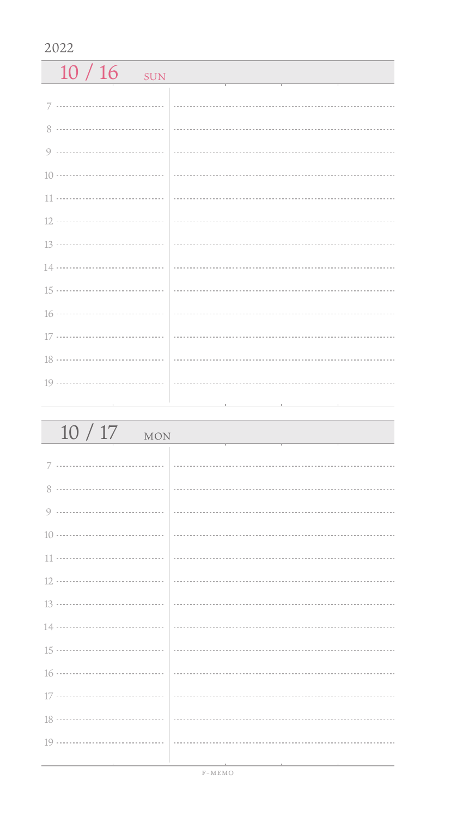$10 / 16$  SUN 7 ................................. 8 0 ------------------------------------10 11 ................................. 12 13 ................................... 14 15 ................................... 16 ................................... 17 ................................. 18 ................................... 19 ................................. 

| 10/17<br><b>MON</b>      |                                                                                                                 |
|--------------------------|-----------------------------------------------------------------------------------------------------------------|
|                          |                                                                                                                 |
|                          |                                                                                                                 |
|                          |                                                                                                                 |
|                          |                                                                                                                 |
|                          |                                                                                                                 |
|                          |                                                                                                                 |
|                          |                                                                                                                 |
|                          |                                                                                                                 |
|                          |                                                                                                                 |
|                          |                                                                                                                 |
|                          |                                                                                                                 |
|                          |                                                                                                                 |
|                          |                                                                                                                 |
| the contract of the con- | the contract of the contract of the contract of the contract of the contract of the contract of the contract of |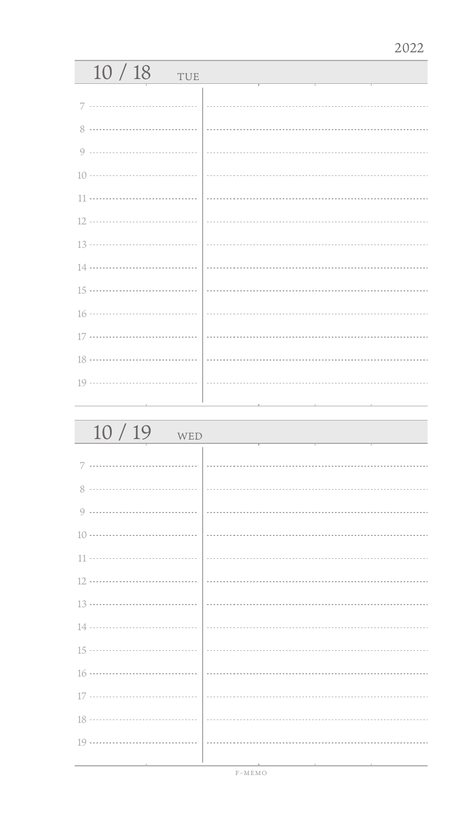## 10 / 18 TUE 7 ................................. 0 ................................. 14 ...................................  $\sim$  16 .................................. 17 ................................ 19 ..................................

| 10/19<br>WED |  |
|--------------|--|
|              |  |
|              |  |
|              |  |
|              |  |
|              |  |
|              |  |
|              |  |
|              |  |
|              |  |
|              |  |
|              |  |
|              |  |
|              |  |
|              |  |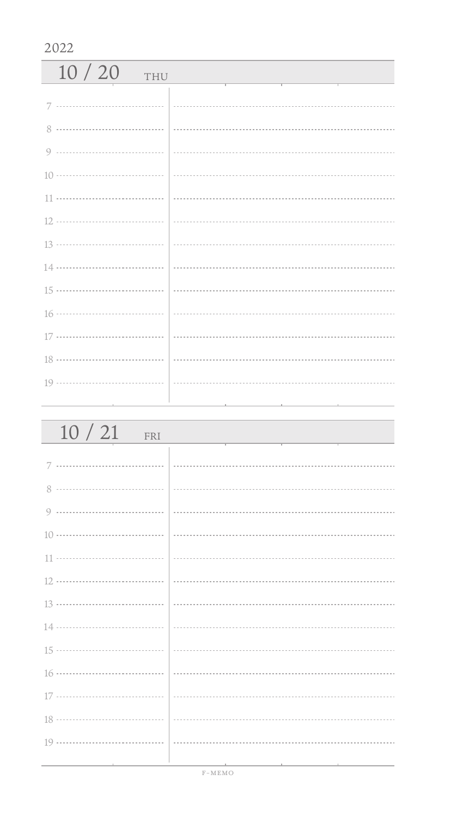| 2022         |                                                      |  |
|--------------|------------------------------------------------------|--|
| 10/20<br>THU | and the control of the control of the control of the |  |
|              |                                                      |  |
|              |                                                      |  |
|              |                                                      |  |
|              |                                                      |  |
|              |                                                      |  |
|              |                                                      |  |
|              |                                                      |  |
|              |                                                      |  |
|              |                                                      |  |
|              |                                                      |  |
|              |                                                      |  |
|              |                                                      |  |
|              |                                                      |  |
|              |                                                      |  |
|              |                                                      |  |

| 10/21<br>FRI                    |                                                                                                                 |
|---------------------------------|-----------------------------------------------------------------------------------------------------------------|
|                                 |                                                                                                                 |
|                                 |                                                                                                                 |
|                                 |                                                                                                                 |
|                                 |                                                                                                                 |
|                                 |                                                                                                                 |
|                                 |                                                                                                                 |
|                                 |                                                                                                                 |
|                                 |                                                                                                                 |
|                                 |                                                                                                                 |
|                                 |                                                                                                                 |
|                                 |                                                                                                                 |
|                                 |                                                                                                                 |
|                                 |                                                                                                                 |
| the contract of the contract of | the contract of the contract of the contract of the contract of the contract of the contract of the contract of |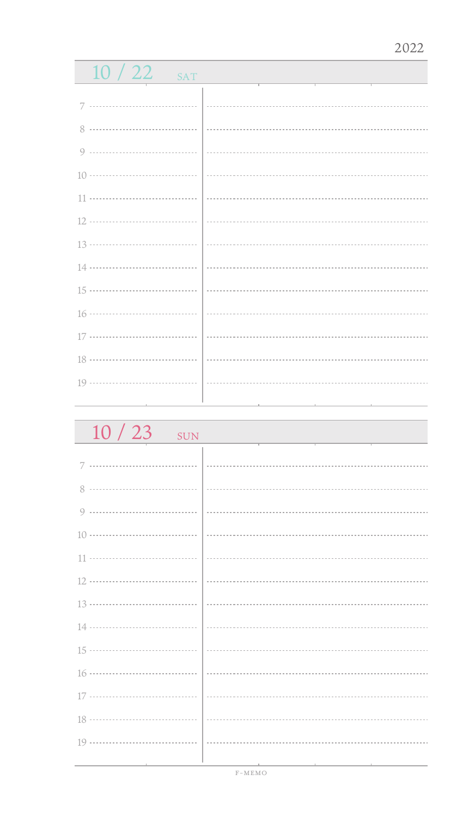## $10/22$  SAT 7 ................................. 8 0 .................................. 10 11 ................................... 12 13 14 ................................... 15 16 ..................................  $\ddot{\phantom{a}}$ 17 ................................ 18 ...................................  $\ddot{\phantom{a}}$ 19 ................................

 $10 / 23$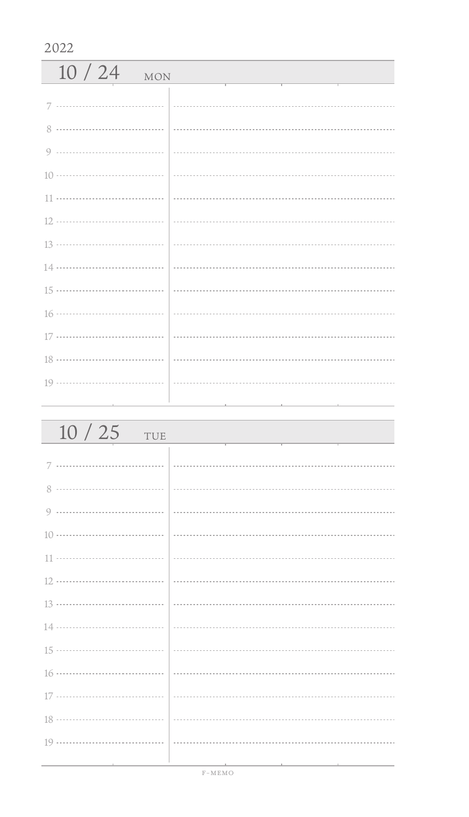| 2022                |  |  |
|---------------------|--|--|
| 10/24<br><b>MON</b> |  |  |
|                     |  |  |
|                     |  |  |
|                     |  |  |
|                     |  |  |
|                     |  |  |
|                     |  |  |
|                     |  |  |
|                     |  |  |
|                     |  |  |
|                     |  |  |
|                     |  |  |
|                     |  |  |
|                     |  |  |
|                     |  |  |
|                     |  |  |

| 10/25<br>TUE                    |  |
|---------------------------------|--|
|                                 |  |
|                                 |  |
|                                 |  |
|                                 |  |
|                                 |  |
|                                 |  |
|                                 |  |
|                                 |  |
|                                 |  |
|                                 |  |
|                                 |  |
|                                 |  |
|                                 |  |
|                                 |  |
| the contract of the contract of |  |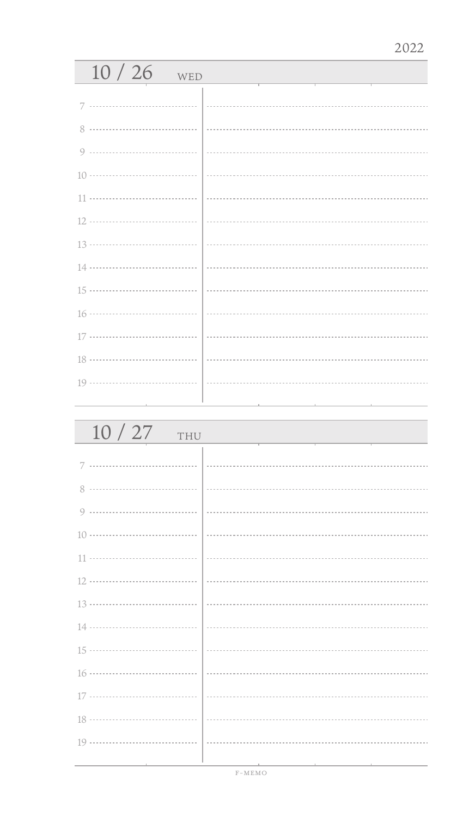## 10 / 26 WED7 ................................. 0 ................................. 14 ...................................  $\mathbb{R}^2$  16 .................................. 17 ................................ 19 .................................

| 10/27<br>THU |  |
|--------------|--|
| 7            |  |
|              |  |
|              |  |
|              |  |
|              |  |
|              |  |
|              |  |
|              |  |
|              |  |
|              |  |
|              |  |
|              |  |
|              |  |
|              |  |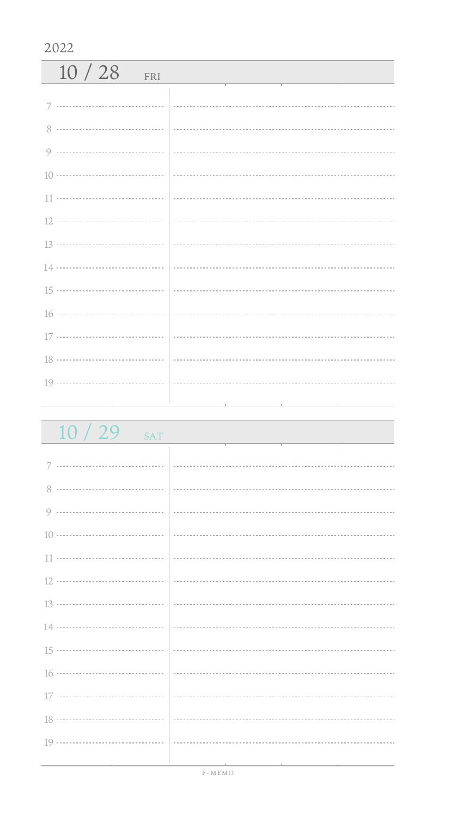| 10/28<br>FRI |  |
|--------------|--|
|              |  |
|              |  |
|              |  |
|              |  |
|              |  |
|              |  |
|              |  |
|              |  |
|              |  |
|              |  |
|              |  |
|              |  |
|              |  |
|              |  |

| 10/29<br><b>SAT</b> |                                                                                                                       |
|---------------------|-----------------------------------------------------------------------------------------------------------------------|
|                     |                                                                                                                       |
|                     |                                                                                                                       |
|                     |                                                                                                                       |
|                     |                                                                                                                       |
|                     |                                                                                                                       |
|                     |                                                                                                                       |
|                     |                                                                                                                       |
|                     |                                                                                                                       |
|                     |                                                                                                                       |
|                     |                                                                                                                       |
|                     |                                                                                                                       |
|                     |                                                                                                                       |
|                     |                                                                                                                       |
| 19                  |                                                                                                                       |
|                     | <u> 1989 - Jan Samuel Barbara, margaret e popular e popular e popular e popular e popular e popular e popular e p</u> |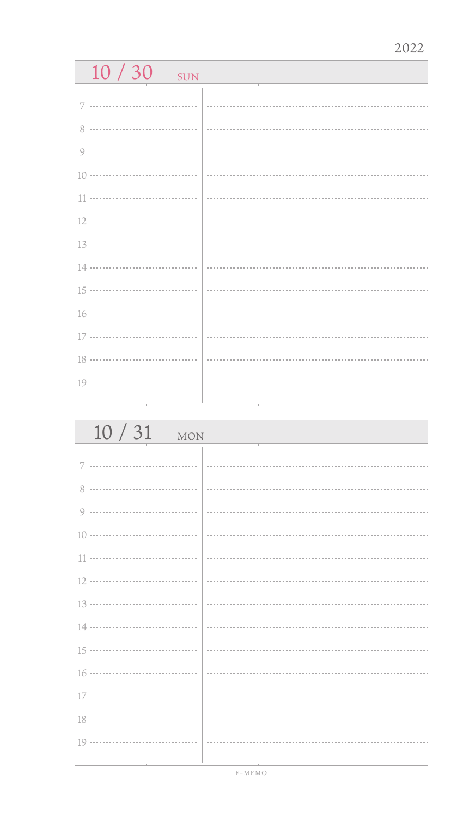| 10/30<br><b>SUN</b> |  |
|---------------------|--|
|                     |  |
| 7                   |  |
|                     |  |
|                     |  |
|                     |  |
|                     |  |
|                     |  |
| 13 ………………………………     |  |
| 14                  |  |
| 15 ………………………………     |  |
|                     |  |
| 17                  |  |
| 18 ………………………………     |  |
|                     |  |
|                     |  |

| 10/31<br><b>MON</b>                          |                                                                                                 |
|----------------------------------------------|-------------------------------------------------------------------------------------------------|
|                                              |                                                                                                 |
|                                              |                                                                                                 |
|                                              |                                                                                                 |
|                                              |                                                                                                 |
|                                              |                                                                                                 |
|                                              |                                                                                                 |
|                                              |                                                                                                 |
|                                              |                                                                                                 |
|                                              |                                                                                                 |
|                                              |                                                                                                 |
|                                              |                                                                                                 |
|                                              |                                                                                                 |
|                                              |                                                                                                 |
| the control of the control of the control of | the contract of the contract of the contract of the contract of the contract of the contract of |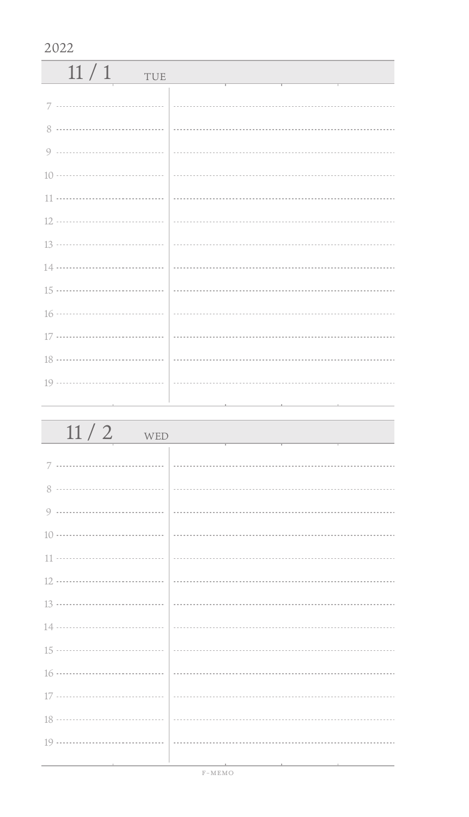| 11/1<br>TUE |  |
|-------------|--|
|             |  |
|             |  |
|             |  |
|             |  |
|             |  |
|             |  |
|             |  |
|             |  |
|             |  |
|             |  |
|             |  |
|             |  |
|             |  |
|             |  |

| 11/2<br>WED                            |  |
|----------------------------------------|--|
|                                        |  |
|                                        |  |
|                                        |  |
|                                        |  |
|                                        |  |
|                                        |  |
|                                        |  |
|                                        |  |
|                                        |  |
|                                        |  |
|                                        |  |
|                                        |  |
|                                        |  |
| the control of the control of the con- |  |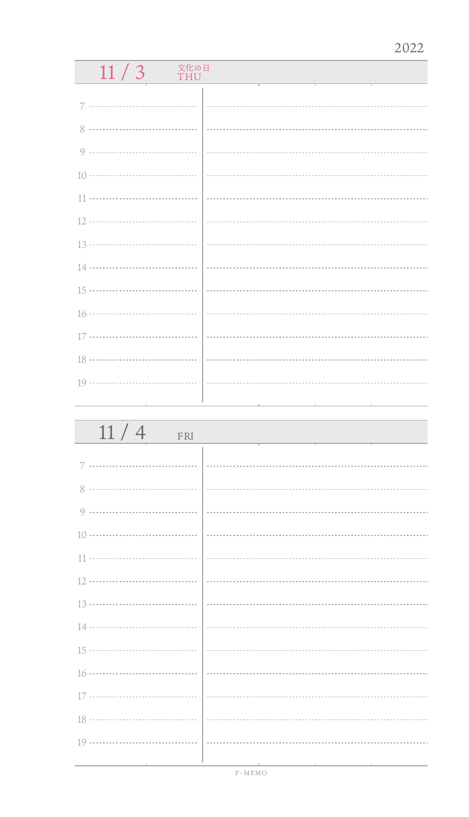# $\frac{11}{3}$   $\frac{100}{10}$

| 11/4<br>FRI                   |                         |
|-------------------------------|-------------------------|
|                               |                         |
| 8                             |                         |
|                               |                         |
|                               |                         |
|                               |                         |
|                               |                         |
|                               |                         |
|                               |                         |
|                               |                         |
|                               |                         |
|                               |                         |
|                               |                         |
|                               |                         |
| the control of the control of | the control of the con- |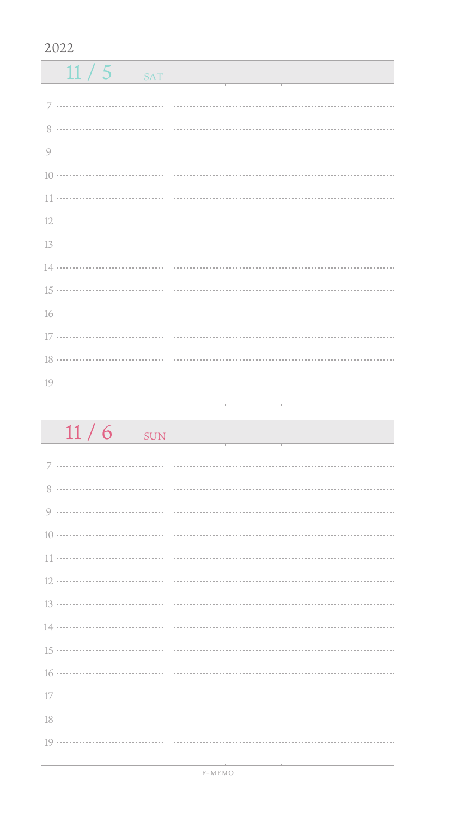$11/5$  SAT 7 ................................. 0 ------------------------------------ 11 .................................. 15 ................................... 16 ................................... 17 ................................. 18 ................................... 19 .................................. 

| $11/6$ sun                        |                                              |
|-----------------------------------|----------------------------------------------|
|                                   |                                              |
|                                   |                                              |
|                                   |                                              |
|                                   |                                              |
|                                   |                                              |
|                                   |                                              |
|                                   |                                              |
|                                   |                                              |
|                                   |                                              |
|                                   |                                              |
|                                   |                                              |
|                                   |                                              |
|                                   |                                              |
|                                   |                                              |
| the control of the control of the | the control of the control of the control of |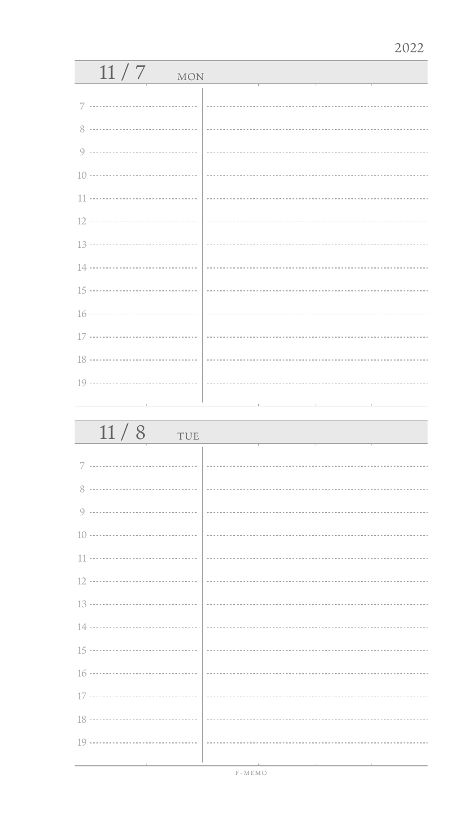| 11/7<br><b>MON</b>   |  |  |
|----------------------|--|--|
|                      |  |  |
| 7                    |  |  |
| 8                    |  |  |
| 9                    |  |  |
|                      |  |  |
| 11                   |  |  |
|                      |  |  |
|                      |  |  |
|                      |  |  |
|                      |  |  |
|                      |  |  |
|                      |  |  |
| 18 ………………………………      |  |  |
|                      |  |  |
|                      |  |  |
| $\sim$ $\sim$ $\sim$ |  |  |

| 11 / 8                                                              | TUE |                               |  |  |
|---------------------------------------------------------------------|-----|-------------------------------|--|--|
| $7$                                                                 | .   |                               |  |  |
|                                                                     |     |                               |  |  |
| 0                                                                   |     |                               |  |  |
| $10 \ldots \ldots \ldots \ldots \ldots \ldots \ldots \ldots \ldots$ |     | --------------------------    |  |  |
|                                                                     |     |                               |  |  |
|                                                                     |     | ----------------------------- |  |  |
|                                                                     |     |                               |  |  |
|                                                                     |     |                               |  |  |
|                                                                     |     |                               |  |  |
|                                                                     |     | .                             |  |  |
| 17                                                                  |     |                               |  |  |
|                                                                     |     |                               |  |  |
| 19                                                                  |     |                               |  |  |
|                                                                     |     |                               |  |  |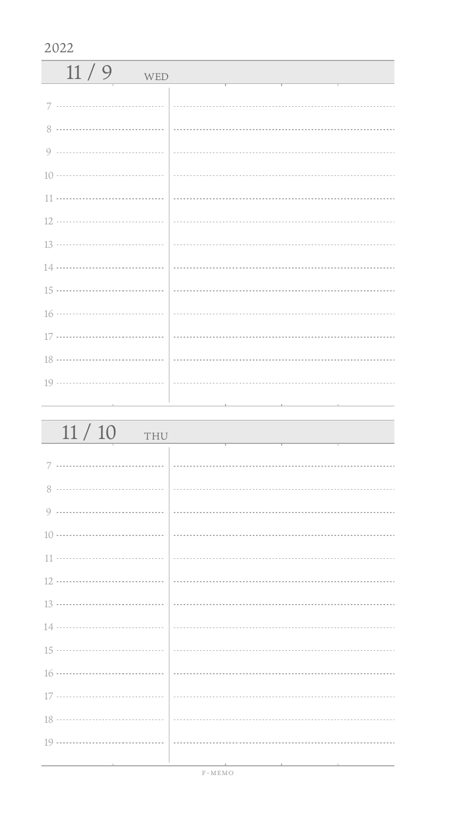| 11/9<br>WED |                                                                                                          |
|-------------|----------------------------------------------------------------------------------------------------------|
|             |                                                                                                          |
|             |                                                                                                          |
|             |                                                                                                          |
|             |                                                                                                          |
|             | $\left  \begin{array}{ccc} \rule{0.2cm}{0.15mm} \rule{0.2cm}{0.15mm} \end{array} \right. \hspace{0.0cm}$ |
|             |                                                                                                          |
|             |                                                                                                          |
|             |                                                                                                          |
|             |                                                                                                          |
|             |                                                                                                          |
|             |                                                                                                          |
|             |                                                                                                          |
|             |                                                                                                          |

| 11/10<br>THU                           |                                                  |
|----------------------------------------|--------------------------------------------------|
|                                        |                                                  |
|                                        |                                                  |
|                                        |                                                  |
|                                        |                                                  |
|                                        |                                                  |
|                                        |                                                  |
|                                        |                                                  |
|                                        |                                                  |
|                                        |                                                  |
|                                        |                                                  |
|                                        |                                                  |
|                                        |                                                  |
|                                        |                                                  |
| the control of the control of the con- | the control of the control of the control of the |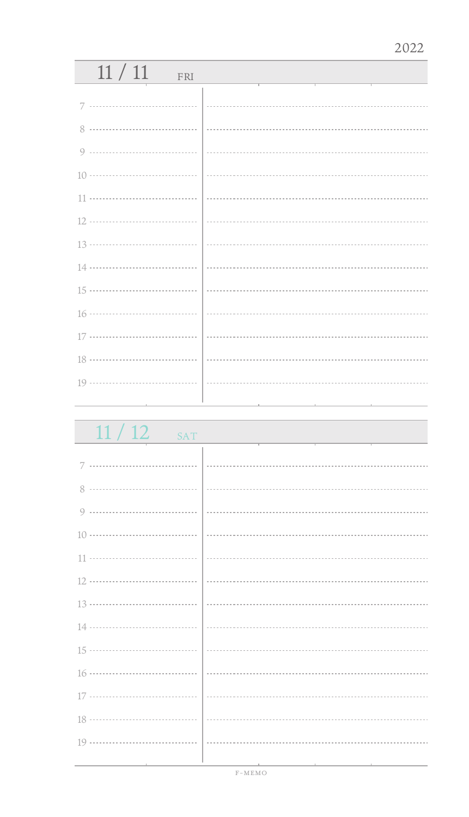| 11/11<br>FRI            |  |
|-------------------------|--|
|                         |  |
|                         |  |
| 8                       |  |
|                         |  |
|                         |  |
|                         |  |
|                         |  |
|                         |  |
|                         |  |
|                         |  |
|                         |  |
|                         |  |
|                         |  |
|                         |  |
| the control of the con- |  |

 $11 / 12$  s

|  | C N |  |
|--|-----|--|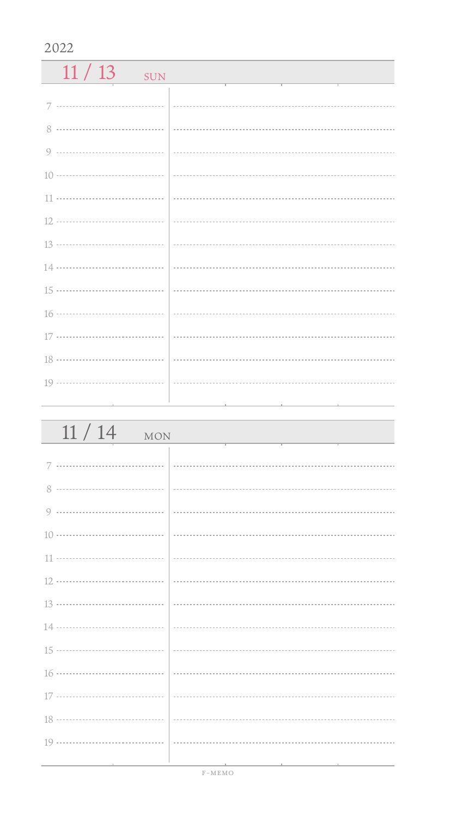$11 / 13$  SUN 7 ................................. 8 0 ------------------------------------10 11 .................................. 12 13 14 ................................... 15 ................................... 16 ................................... 17 ................................. 18 ................................... 19 .................................. 

| 11/14<br><b>MON</b>               |                                                                                                                 |
|-----------------------------------|-----------------------------------------------------------------------------------------------------------------|
|                                   |                                                                                                                 |
|                                   |                                                                                                                 |
|                                   |                                                                                                                 |
|                                   |                                                                                                                 |
|                                   |                                                                                                                 |
|                                   |                                                                                                                 |
|                                   |                                                                                                                 |
|                                   |                                                                                                                 |
|                                   |                                                                                                                 |
|                                   |                                                                                                                 |
|                                   |                                                                                                                 |
|                                   |                                                                                                                 |
|                                   |                                                                                                                 |
| the control of the control of the | the contract of the contract of the contract of the contract of the contract of the contract of the contract of |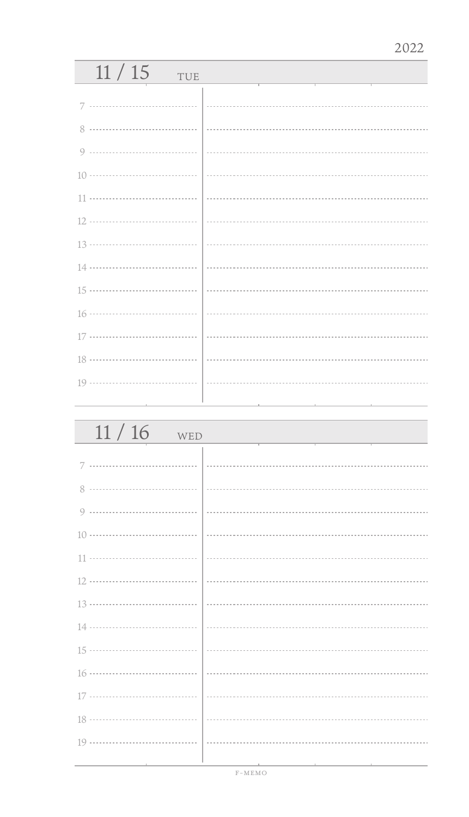| 11/15<br>TUE                  |  |
|-------------------------------|--|
|                               |  |
|                               |  |
|                               |  |
|                               |  |
|                               |  |
|                               |  |
|                               |  |
|                               |  |
|                               |  |
|                               |  |
|                               |  |
|                               |  |
|                               |  |
|                               |  |
| the control of the control of |  |

| 11/16<br>WED |  |
|--------------|--|
|              |  |
| 8            |  |
| 9            |  |
|              |  |
|              |  |
|              |  |
|              |  |
|              |  |
|              |  |
|              |  |
|              |  |
|              |  |
|              |  |
|              |  |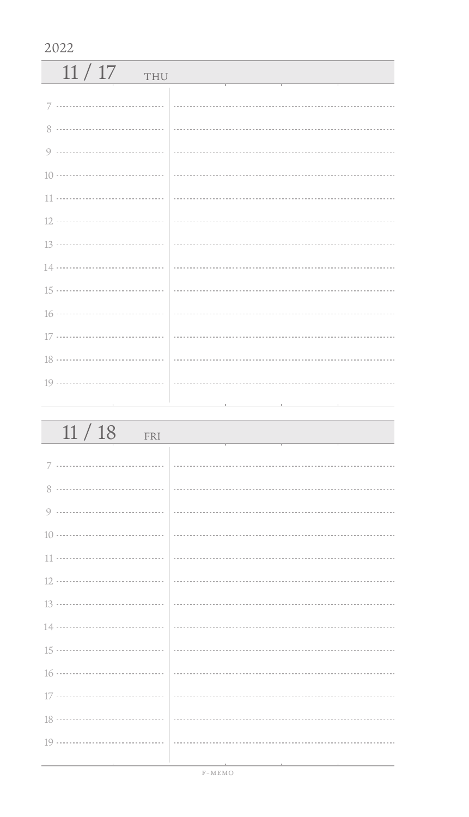| 11/17<br>THU |                                                                                                                                                                      |
|--------------|----------------------------------------------------------------------------------------------------------------------------------------------------------------------|
|              |                                                                                                                                                                      |
| 8            |                                                                                                                                                                      |
|              |                                                                                                                                                                      |
|              |                                                                                                                                                                      |
|              | $\left  \begin{array}{ccc} \rule{0.2cm}{0.15mm} \rule{0.2cm}{0.15mm} \rule{0.2cm}{0.15mm} \end{array} \right $ . The contract contract contract contract contract of |
|              |                                                                                                                                                                      |
|              |                                                                                                                                                                      |
|              |                                                                                                                                                                      |
|              |                                                                                                                                                                      |
|              |                                                                                                                                                                      |
|              |                                                                                                                                                                      |
|              |                                                                                                                                                                      |
|              |                                                                                                                                                                      |
|              |                                                                                                                                                                      |

| 11/18<br>FRI             |                             |
|--------------------------|-----------------------------|
|                          |                             |
|                          |                             |
|                          |                             |
|                          |                             |
|                          |                             |
|                          |                             |
|                          | $\frac{13 \dots}{13 \dots}$ |
|                          |                             |
|                          |                             |
|                          |                             |
|                          |                             |
|                          |                             |
|                          |                             |
| the contract of the con- |                             |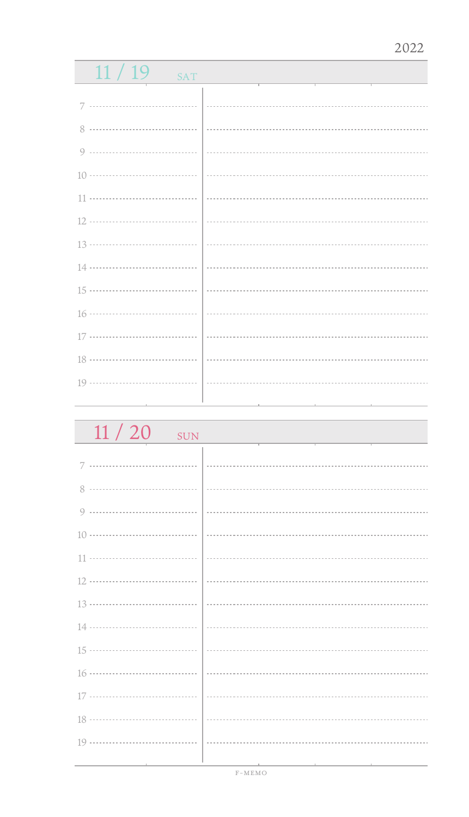| 11/19<br>SAT |  |
|--------------|--|
|              |  |
|              |  |
|              |  |
|              |  |
|              |  |
|              |  |
|              |  |
|              |  |
|              |  |
|              |  |
|              |  |
|              |  |
|              |  |
|              |  |
|              |  |

 $11 / 20$  sun

| $\cup$ $\cup$ $\cup$ $\cup$ |  |
|-----------------------------|--|
|                             |  |
|                             |  |
|                             |  |
|                             |  |
|                             |  |
|                             |  |
|                             |  |
|                             |  |
|                             |  |
|                             |  |
|                             |  |
|                             |  |
|                             |  |
|                             |  |
|                             |  |
|                             |  |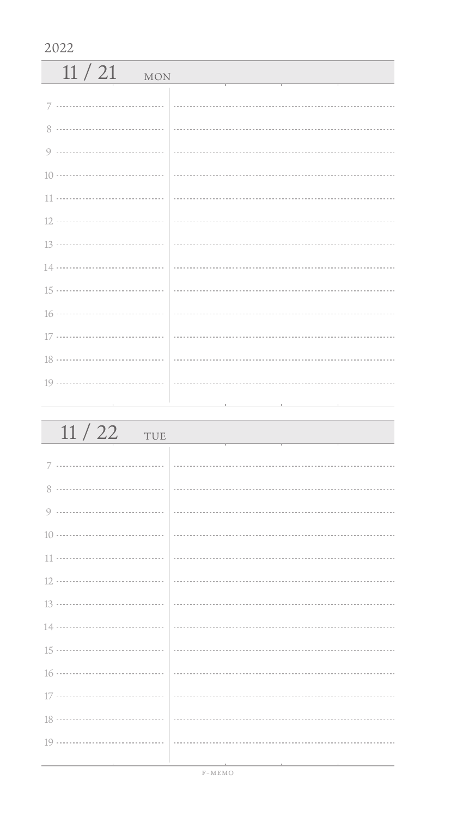| $11/21$ MON |  |
|-------------|--|
|             |  |
| 8           |  |
|             |  |
|             |  |
|             |  |
|             |  |
|             |  |
|             |  |
|             |  |
|             |  |
|             |  |
|             |  |
|             |  |
|             |  |

| 11/22<br>TUE                        |                                                                                                                                                                                                                                                                                                                                                                                                                                                                                                                                               |
|-------------------------------------|-----------------------------------------------------------------------------------------------------------------------------------------------------------------------------------------------------------------------------------------------------------------------------------------------------------------------------------------------------------------------------------------------------------------------------------------------------------------------------------------------------------------------------------------------|
|                                     |                                                                                                                                                                                                                                                                                                                                                                                                                                                                                                                                               |
|                                     |                                                                                                                                                                                                                                                                                                                                                                                                                                                                                                                                               |
|                                     |                                                                                                                                                                                                                                                                                                                                                                                                                                                                                                                                               |
|                                     |                                                                                                                                                                                                                                                                                                                                                                                                                                                                                                                                               |
|                                     | $\begin{array}{ l } \hline \begin{array}{c} \hline \begin{array}{c} \hline \begin{array}{c} \hline \begin{array}{c} \hline \begin{array}{c} \hline \begin{array}{c} \hline \begin{array}{c} \hline \end{array} \\ \hline \end{array} \\ \hline \end{array} \\ \hline \end{array} \end{array} \end{array} \end{array} \end{array} \end{array} \end{array} \begin{array}{ l } \hline \begin{array}{c} \hline \begin{array}{c} \hline \begin{array}{c} \hline \begin{array}{c} \hline \begin{array}{c} \hline \end{array} \\ \hline \end{array}$ |
|                                     |                                                                                                                                                                                                                                                                                                                                                                                                                                                                                                                                               |
|                                     |                                                                                                                                                                                                                                                                                                                                                                                                                                                                                                                                               |
|                                     |                                                                                                                                                                                                                                                                                                                                                                                                                                                                                                                                               |
|                                     |                                                                                                                                                                                                                                                                                                                                                                                                                                                                                                                                               |
|                                     |                                                                                                                                                                                                                                                                                                                                                                                                                                                                                                                                               |
|                                     |                                                                                                                                                                                                                                                                                                                                                                                                                                                                                                                                               |
|                                     |                                                                                                                                                                                                                                                                                                                                                                                                                                                                                                                                               |
|                                     |                                                                                                                                                                                                                                                                                                                                                                                                                                                                                                                                               |
| the contract of the contract of the |                                                                                                                                                                                                                                                                                                                                                                                                                                                                                                                                               |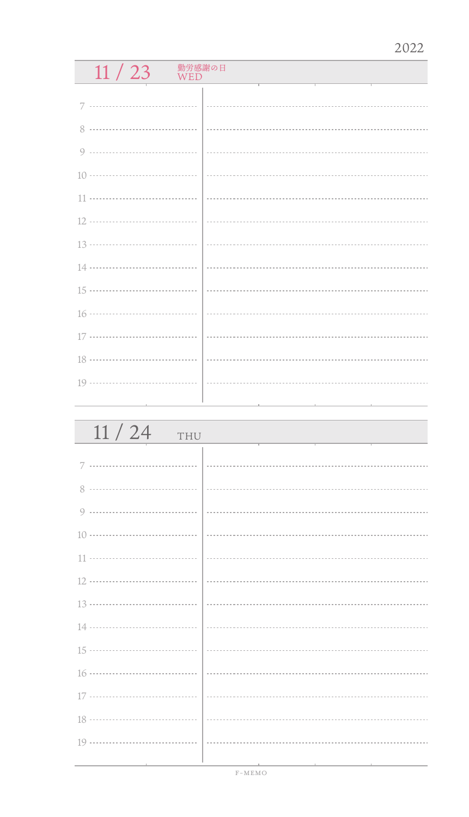# $11 / 23$  WED

| 11/24<br>THU                  |                                                                                        |
|-------------------------------|----------------------------------------------------------------------------------------|
|                               |                                                                                        |
| 8                             |                                                                                        |
|                               |                                                                                        |
|                               |                                                                                        |
|                               |                                                                                        |
|                               |                                                                                        |
|                               |                                                                                        |
|                               |                                                                                        |
|                               |                                                                                        |
|                               |                                                                                        |
|                               |                                                                                        |
|                               |                                                                                        |
|                               |                                                                                        |
| the control of the control of | the control of the control of the control of<br>the control of the control of the con- |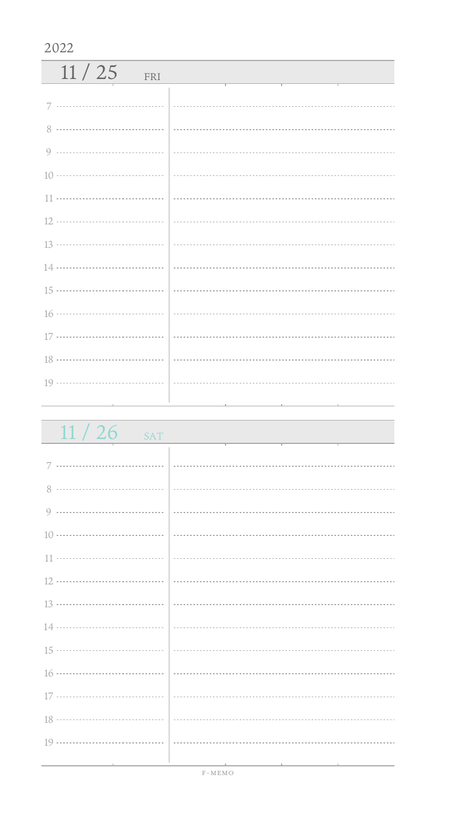| 11/25<br>FRI |  |
|--------------|--|
|              |  |
|              |  |
|              |  |
|              |  |
|              |  |
|              |  |
|              |  |
|              |  |
|              |  |
|              |  |
|              |  |
|              |  |
|              |  |

| 11/26<br><b>SAT</b>           |  |
|-------------------------------|--|
|                               |  |
|                               |  |
|                               |  |
|                               |  |
|                               |  |
|                               |  |
|                               |  |
|                               |  |
|                               |  |
|                               |  |
|                               |  |
|                               |  |
|                               |  |
|                               |  |
| the control of the control of |  |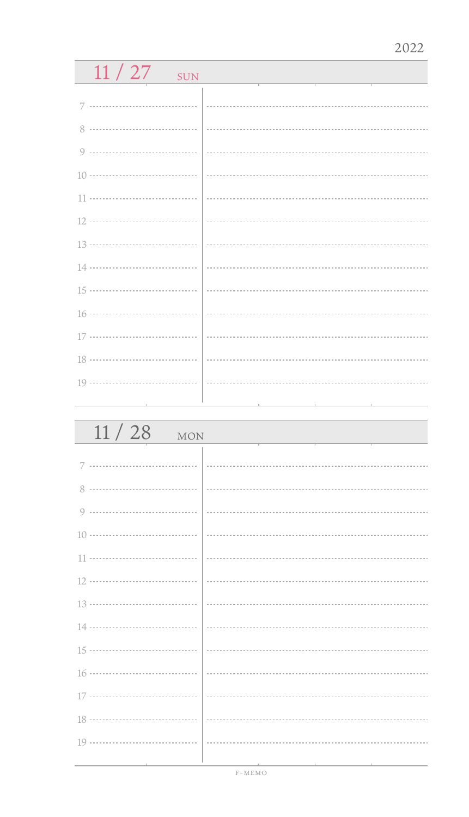| 11/27<br>SUN |  |
|--------------|--|
|              |  |
|              |  |
|              |  |
|              |  |
|              |  |
|              |  |
|              |  |
|              |  |
|              |  |
|              |  |
|              |  |
|              |  |
|              |  |
|              |  |
|              |  |

| 11/28<br><b>MON</b> |  |
|---------------------|--|
|                     |  |
| 8                   |  |
| 9                   |  |
|                     |  |
|                     |  |
|                     |  |
|                     |  |
|                     |  |
|                     |  |
|                     |  |
|                     |  |
|                     |  |
|                     |  |
|                     |  |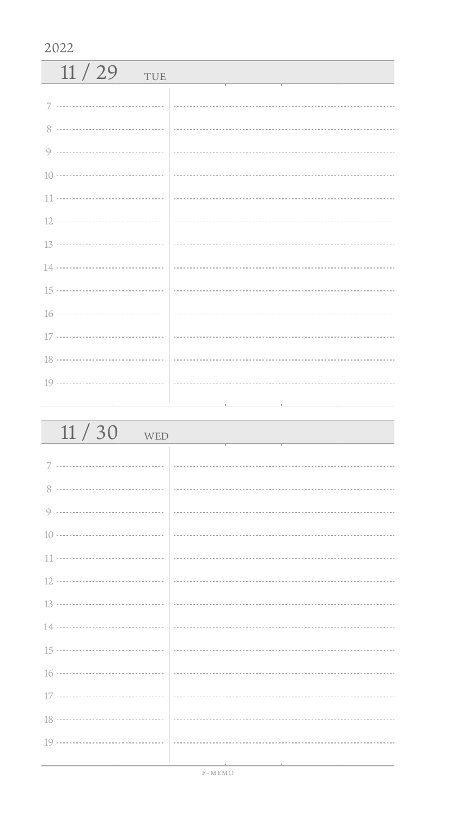| 11/29<br>TUE |  |
|--------------|--|
|              |  |
|              |  |
| $8^{\circ}$  |  |
|              |  |
|              |  |
|              |  |
|              |  |
|              |  |
|              |  |
|              |  |
|              |  |
|              |  |
|              |  |
|              |  |
|              |  |

| 11/30<br>WED                      |                                                                                                                 |
|-----------------------------------|-----------------------------------------------------------------------------------------------------------------|
|                                   |                                                                                                                 |
|                                   |                                                                                                                 |
|                                   |                                                                                                                 |
|                                   |                                                                                                                 |
|                                   |                                                                                                                 |
|                                   |                                                                                                                 |
|                                   |                                                                                                                 |
|                                   | $\frac{13 \dots}{13 \dots}$                                                                                     |
|                                   |                                                                                                                 |
|                                   |                                                                                                                 |
|                                   |                                                                                                                 |
|                                   |                                                                                                                 |
|                                   |                                                                                                                 |
|                                   |                                                                                                                 |
| the control of the control of the | the contract of the contract of the contract of the contract of the contract of the contract of the contract of |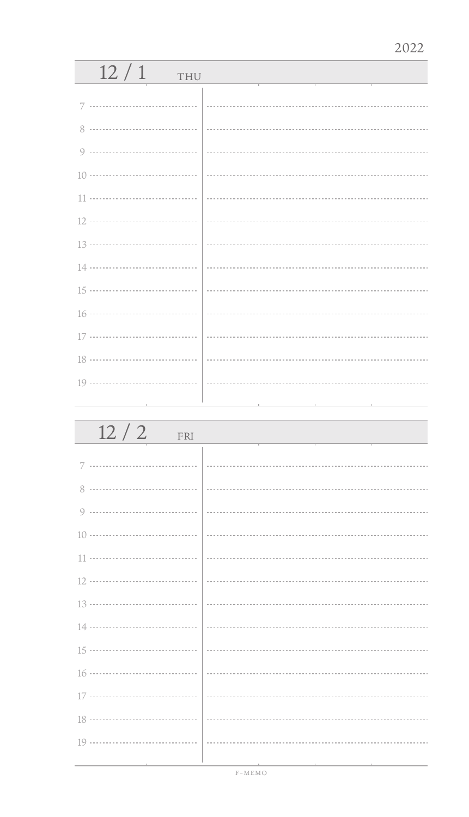| 12/1<br>THU |  |
|-------------|--|
| 7           |  |
| 8           |  |
| 9           |  |
|             |  |
| 11          |  |
|             |  |
|             |  |
|             |  |
|             |  |
|             |  |
|             |  |
|             |  |
|             |  |
|             |  |

| 12/2<br>FRI |                             |
|-------------|-----------------------------|
|             |                             |
| 8           |                             |
| 9           |                             |
|             |                             |
|             |                             |
|             |                             |
|             | $\frac{13 \dots}{13 \dots}$ |
|             |                             |
|             |                             |
|             |                             |
|             |                             |
|             |                             |
|             |                             |
|             |                             |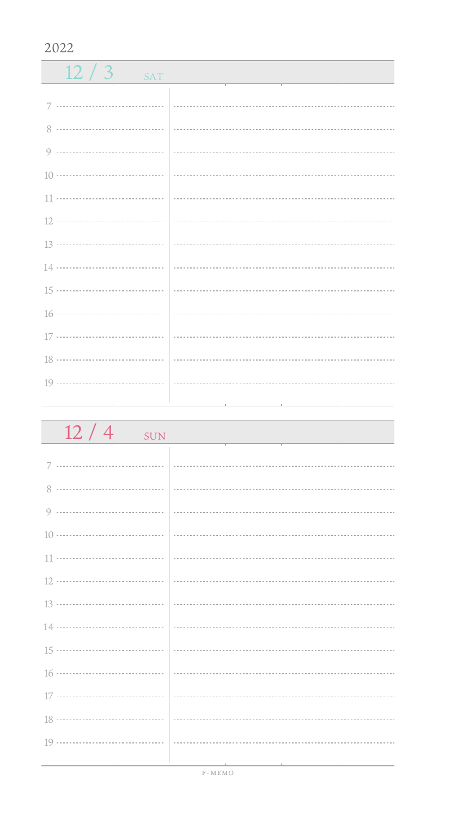| $12/3$ SAT |  |
|------------|--|
|            |  |
|            |  |
|            |  |
|            |  |
|            |  |
|            |  |
|            |  |
|            |  |
|            |  |
|            |  |
|            |  |
|            |  |
|            |  |
|            |  |

| 12/4<br>SUN |  |
|-------------|--|
|             |  |
|             |  |
|             |  |
|             |  |
|             |  |
|             |  |
|             |  |
|             |  |
|             |  |
|             |  |
|             |  |
|             |  |
|             |  |
|             |  |
|             |  |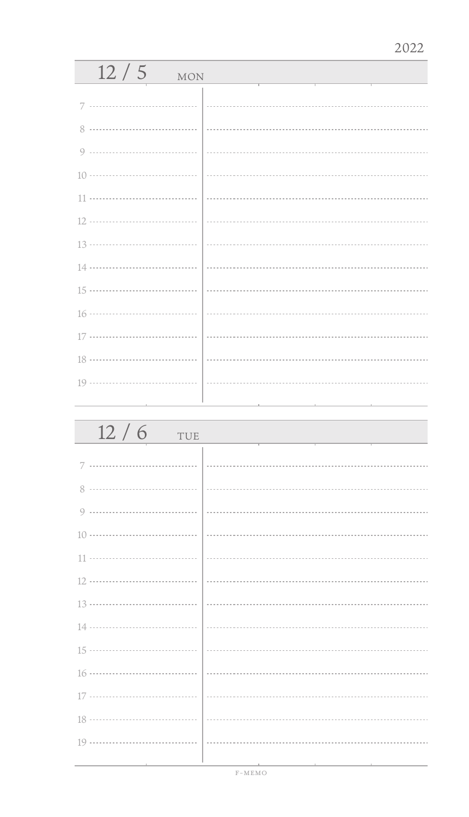| 12/5<br><b>MON</b> |  |
|--------------------|--|
|                    |  |
| 7                  |  |
| 8                  |  |
| 9                  |  |
|                    |  |
| 11                 |  |
|                    |  |
|                    |  |
|                    |  |
|                    |  |
|                    |  |
|                    |  |
|                    |  |
|                    |  |
|                    |  |
|                    |  |
| 12/6<br>THE        |  |

| $12/6$ TUE |                                                                                                                 |
|------------|-----------------------------------------------------------------------------------------------------------------|
|            |                                                                                                                 |
|            |                                                                                                                 |
|            |                                                                                                                 |
|            |                                                                                                                 |
|            |                                                                                                                 |
|            |                                                                                                                 |
|            |                                                                                                                 |
|            |                                                                                                                 |
|            |                                                                                                                 |
|            |                                                                                                                 |
|            |                                                                                                                 |
|            |                                                                                                                 |
|            |                                                                                                                 |
|            |                                                                                                                 |
|            | the contract of the contract of the contract of the contract of the contract of the contract of the contract of |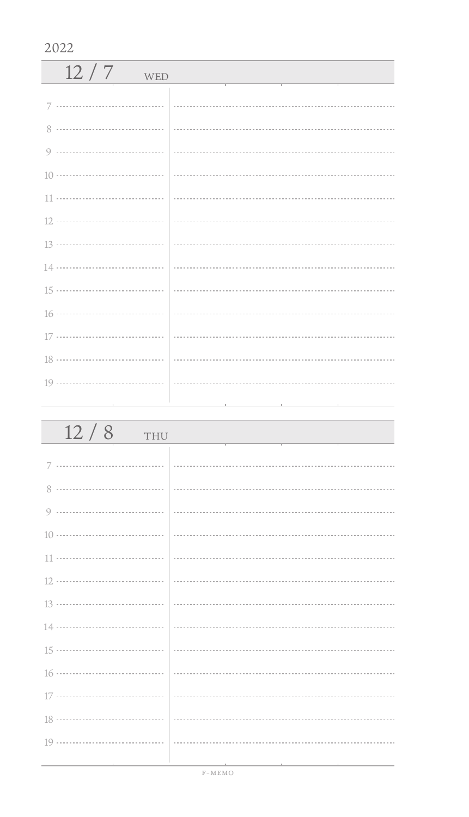| 12/7<br>WED |  |
|-------------|--|
|             |  |
|             |  |
| 8           |  |
|             |  |
|             |  |
|             |  |
|             |  |
|             |  |
|             |  |
|             |  |
|             |  |
|             |  |
|             |  |
|             |  |
|             |  |

| 12/8<br>THU                            |                                              |
|----------------------------------------|----------------------------------------------|
|                                        |                                              |
|                                        |                                              |
|                                        |                                              |
|                                        |                                              |
|                                        |                                              |
|                                        |                                              |
|                                        |                                              |
|                                        |                                              |
|                                        |                                              |
|                                        |                                              |
|                                        |                                              |
|                                        |                                              |
|                                        |                                              |
| the control of the control of the con- | the control of the control of the control of |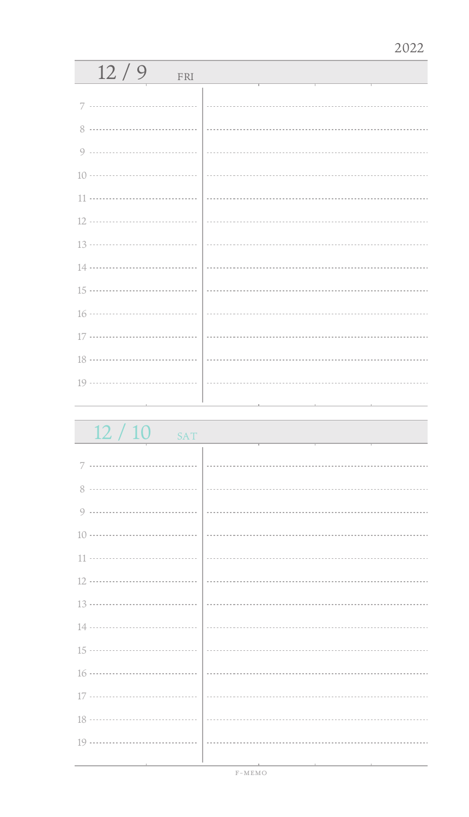| 12/9<br>FRI |  |
|-------------|--|
| 7           |  |
|             |  |
|             |  |
|             |  |
|             |  |
|             |  |
|             |  |
|             |  |
|             |  |
|             |  |
|             |  |
|             |  |
|             |  |
|             |  |
|             |  |

| 12/10<br><b>SAT</b> |   |
|---------------------|---|
|                     |   |
|                     |   |
|                     |   |
|                     |   |
|                     |   |
|                     |   |
|                     |   |
|                     |   |
|                     |   |
|                     |   |
|                     |   |
|                     | . |
|                     |   |
|                     |   |
|                     |   |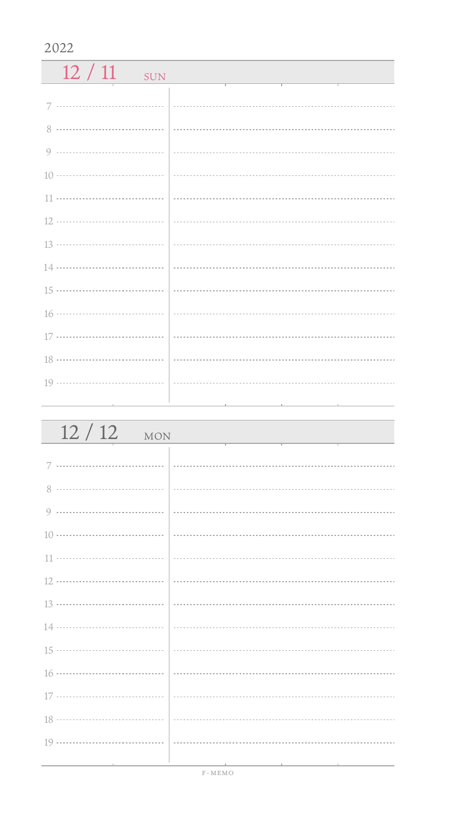| 12/11<br>SUN |  |
|--------------|--|
|              |  |
|              |  |
|              |  |
|              |  |
|              |  |
|              |  |
|              |  |
|              |  |
|              |  |
|              |  |
|              |  |
|              |  |
|              |  |

| 12/12<br><b>MON</b>             |  |
|---------------------------------|--|
|                                 |  |
|                                 |  |
|                                 |  |
|                                 |  |
|                                 |  |
|                                 |  |
|                                 |  |
|                                 |  |
|                                 |  |
|                                 |  |
|                                 |  |
|                                 |  |
| the contract of the contract of |  |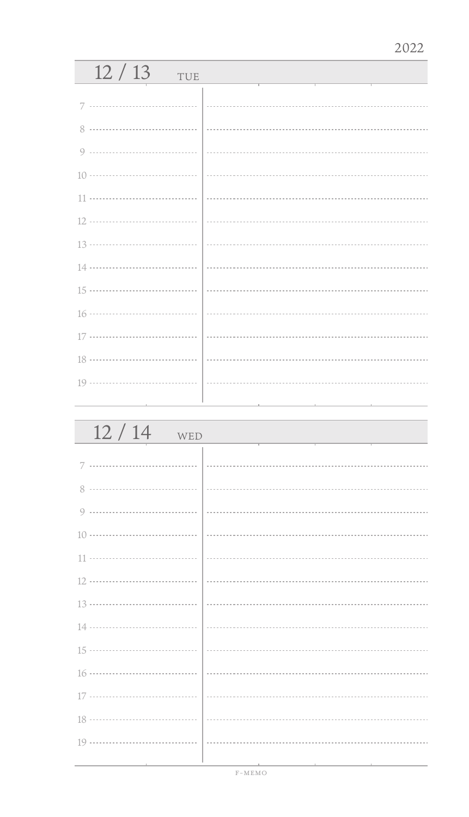| 12/13<br>TUE                                                |                    |
|-------------------------------------------------------------|--------------------|
| 7                                                           |                    |
| 8                                                           |                    |
| 9                                                           |                    |
|                                                             |                    |
| 11                                                          |                    |
|                                                             |                    |
|                                                             |                    |
|                                                             |                    |
|                                                             |                    |
|                                                             |                    |
|                                                             |                    |
|                                                             |                    |
|                                                             |                    |
| the control of the control of the control of the control of | and the control of |

| 12/14<br>WED |                             |
|--------------|-----------------------------|
| 7            |                             |
| 8            |                             |
| 9            |                             |
|              |                             |
|              |                             |
|              |                             |
|              | $\frac{13 \dots}{13 \dots}$ |
|              |                             |
|              |                             |
|              |                             |
|              |                             |
|              |                             |
|              |                             |
|              |                             |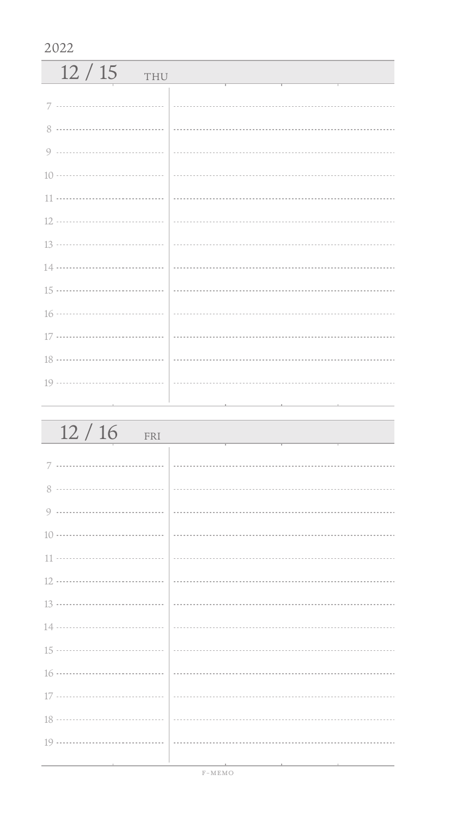| 12/15<br>THU  |  |
|---------------|--|
|               |  |
| $\mathcal{R}$ |  |
|               |  |
|               |  |
|               |  |
|               |  |
|               |  |
|               |  |
|               |  |
|               |  |
|               |  |
|               |  |
|               |  |
|               |  |

| 12/16<br>FRI                                    |                                                                                                                |
|-------------------------------------------------|----------------------------------------------------------------------------------------------------------------|
| 7                                               |                                                                                                                |
|                                                 |                                                                                                                |
|                                                 |                                                                                                                |
|                                                 |                                                                                                                |
|                                                 |                                                                                                                |
|                                                 |                                                                                                                |
|                                                 |                                                                                                                |
|                                                 |                                                                                                                |
|                                                 |                                                                                                                |
|                                                 |                                                                                                                |
|                                                 |                                                                                                                |
|                                                 |                                                                                                                |
|                                                 |                                                                                                                |
| the contract of the contract of the contract of | 그 사람들은 아이들이 아니라 아이들은 아이들이 아니라 아이들이 아니라 아이들이 아니라 아이들이 아니라 아이들이 아니라 아이들이 아니라 아이들이 아니라 아이들이 아니라 아이들이 아니라 아이들이 아니라 |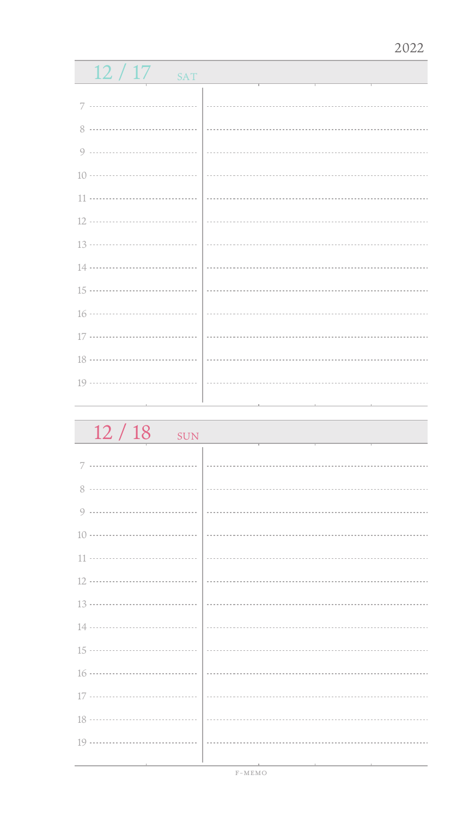| $12/17$ sat |  |
|-------------|--|
|             |  |
|             |  |
|             |  |
|             |  |
|             |  |
|             |  |
|             |  |
|             |  |
|             |  |
|             |  |
|             |  |
|             |  |
|             |  |
|             |  |
|             |  |

 $12 / 18$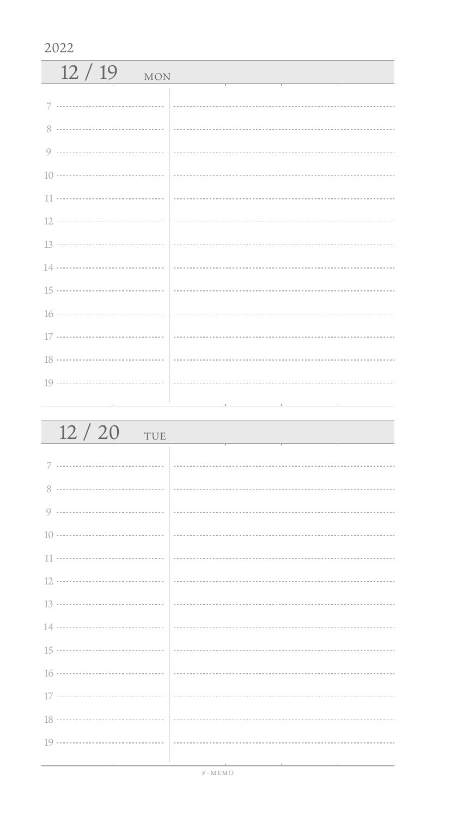| 12/19<br><b>MON</b> |  |
|---------------------|--|
|                     |  |
|                     |  |
| 8                   |  |
|                     |  |
|                     |  |
|                     |  |
|                     |  |
|                     |  |
|                     |  |
|                     |  |
|                     |  |
|                     |  |
|                     |  |
|                     |  |

| 12/20<br>TUE                  |  |
|-------------------------------|--|
|                               |  |
|                               |  |
|                               |  |
|                               |  |
|                               |  |
|                               |  |
|                               |  |
|                               |  |
|                               |  |
|                               |  |
|                               |  |
|                               |  |
|                               |  |
|                               |  |
| the control of the control of |  |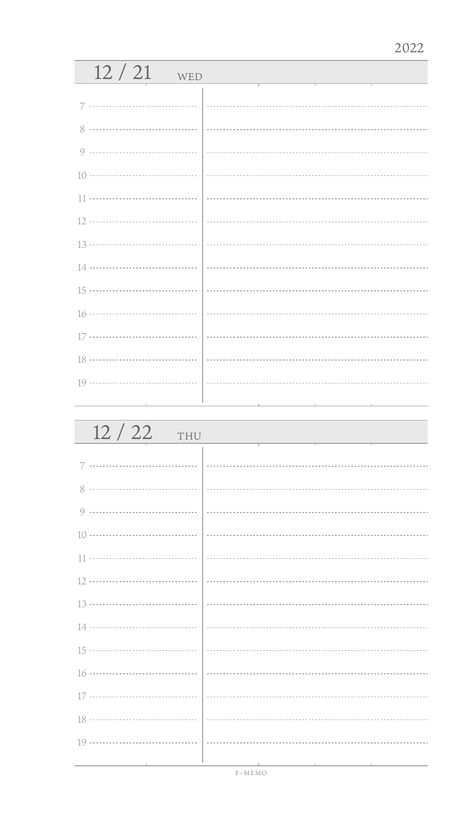| 12/21<br>WED |  |
|--------------|--|
| 7            |  |
| 8            |  |
| 9            |  |
|              |  |
|              |  |
|              |  |
|              |  |
|              |  |
|              |  |
|              |  |
|              |  |
|              |  |
|              |  |
|              |  |

| 12/22<br>THU |  |
|--------------|--|
|              |  |
| 8            |  |
| 9            |  |
|              |  |
|              |  |
|              |  |
|              |  |
|              |  |
|              |  |
|              |  |
|              |  |
|              |  |
|              |  |
|              |  |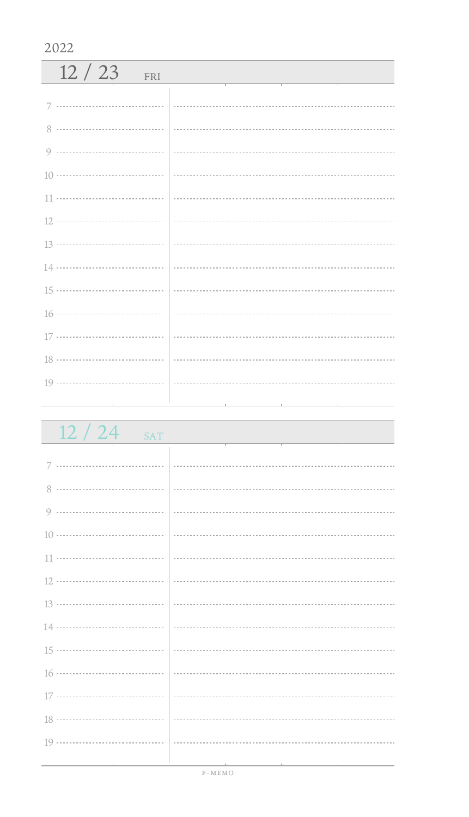| 12/23<br>FRI |  |
|--------------|--|
|              |  |
|              |  |
|              |  |
|              |  |
|              |  |
|              |  |
|              |  |
|              |  |
|              |  |
|              |  |
|              |  |
|              |  |
|              |  |
|              |  |

| 12/24<br><b>SAT</b>                                                                                             |  |
|-----------------------------------------------------------------------------------------------------------------|--|
|                                                                                                                 |  |
|                                                                                                                 |  |
|                                                                                                                 |  |
|                                                                                                                 |  |
|                                                                                                                 |  |
|                                                                                                                 |  |
|                                                                                                                 |  |
|                                                                                                                 |  |
|                                                                                                                 |  |
|                                                                                                                 |  |
|                                                                                                                 |  |
|                                                                                                                 |  |
|                                                                                                                 |  |
| the contract of the contract of the contract of the contract of the contract of the contract of the contract of |  |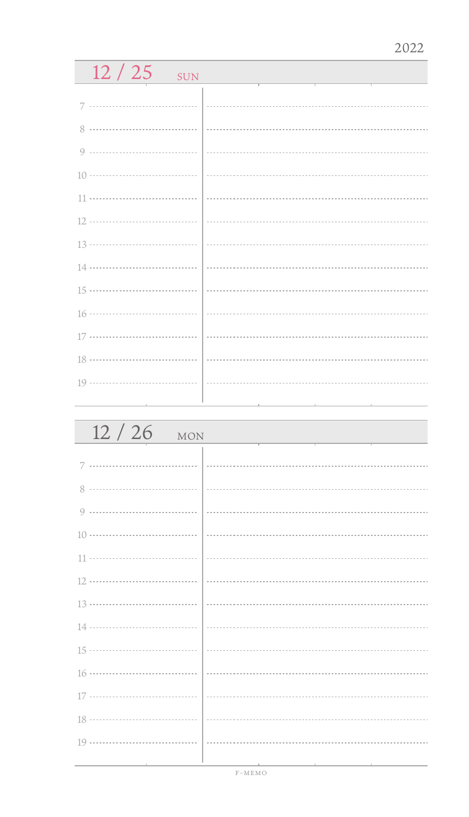| 12/25<br>SUN    |                                                          |
|-----------------|----------------------------------------------------------|
|                 |                                                          |
|                 |                                                          |
| 8               |                                                          |
| 9               |                                                          |
|                 |                                                          |
|                 |                                                          |
|                 |                                                          |
|                 |                                                          |
| 14 ……………………………… |                                                          |
| 15 ……………………………… |                                                          |
|                 |                                                          |
|                 |                                                          |
|                 |                                                          |
|                 |                                                          |
|                 | the contract of the contract of the contract of the con- |

| 12/26<br><b>MON</b> |  |
|---------------------|--|
| 7                   |  |
| 8                   |  |
| 9                   |  |
|                     |  |
|                     |  |
|                     |  |
|                     |  |
|                     |  |
|                     |  |
|                     |  |
|                     |  |
|                     |  |
|                     |  |
|                     |  |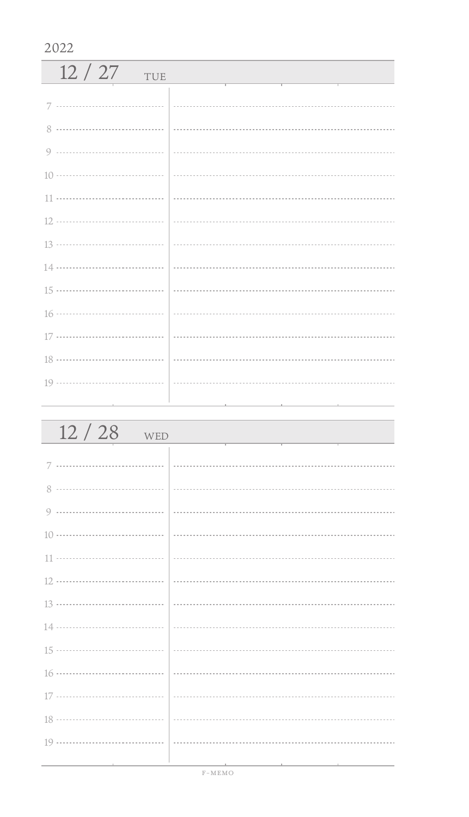| 12/27<br>TUE |                                                                                                           |
|--------------|-----------------------------------------------------------------------------------------------------------|
|              |                                                                                                           |
| 8            |                                                                                                           |
|              |                                                                                                           |
|              |                                                                                                           |
|              |                                                                                                           |
|              | $\left  \begin{array}{ccc} \rule{0.2cm}{0.15mm} \rule{0.2cm}{0.15mm} \end{array} \right. \hspace{0.08cm}$ |
|              |                                                                                                           |
|              |                                                                                                           |
|              |                                                                                                           |
|              |                                                                                                           |
|              |                                                                                                           |
|              |                                                                                                           |
|              |                                                                                                           |
|              |                                                                                                           |
|              |                                                                                                           |

| $12/28$ WED                     |  |
|---------------------------------|--|
|                                 |  |
|                                 |  |
|                                 |  |
|                                 |  |
|                                 |  |
|                                 |  |
|                                 |  |
|                                 |  |
|                                 |  |
|                                 |  |
|                                 |  |
|                                 |  |
|                                 |  |
|                                 |  |
| the contract of the contract of |  |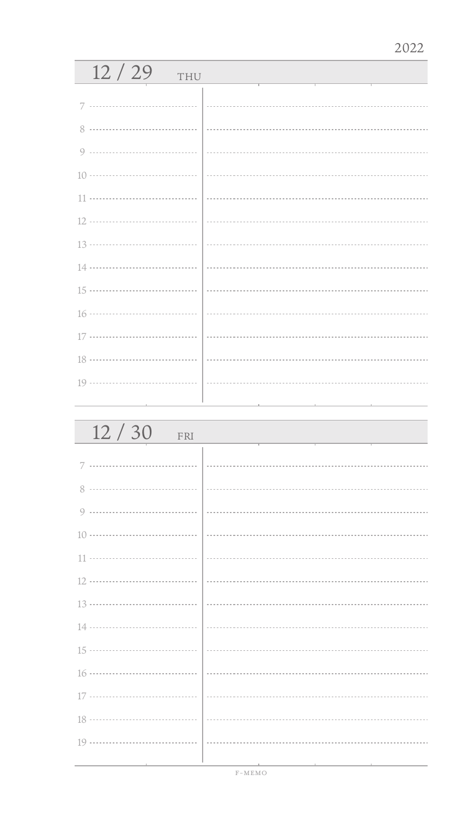| 12/29<br>THU |                                                                                                                                                                                                                                                                                                                                              |
|--------------|----------------------------------------------------------------------------------------------------------------------------------------------------------------------------------------------------------------------------------------------------------------------------------------------------------------------------------------------|
| 7            |                                                                                                                                                                                                                                                                                                                                              |
| 8            |                                                                                                                                                                                                                                                                                                                                              |
| 9            |                                                                                                                                                                                                                                                                                                                                              |
|              |                                                                                                                                                                                                                                                                                                                                              |
| 11           |                                                                                                                                                                                                                                                                                                                                              |
|              |                                                                                                                                                                                                                                                                                                                                              |
|              |                                                                                                                                                                                                                                                                                                                                              |
|              |                                                                                                                                                                                                                                                                                                                                              |
|              |                                                                                                                                                                                                                                                                                                                                              |
|              | $16 \cdots$ $\cdots$ $\cdots$ $\cdots$ $\cdots$ $\cdots$ $\cdots$ $\cdots$ $\cdots$ $\cdots$ $\cdots$ $\cdots$ $\cdots$ $\cdots$ $\cdots$ $\cdots$ $\cdots$ $\cdots$ $\cdots$ $\cdots$ $\cdots$ $\cdots$ $\cdots$ $\cdots$ $\cdots$ $\cdots$ $\cdots$ $\cdots$ $\cdots$ $\cdots$ $\cdots$ $\cdots$ $\cdots$ $\cdots$ $\cdots$ $\cdots$ $\cd$ |
|              |                                                                                                                                                                                                                                                                                                                                              |
|              |                                                                                                                                                                                                                                                                                                                                              |
|              |                                                                                                                                                                                                                                                                                                                                              |
|              |                                                                                                                                                                                                                                                                                                                                              |

| 12/30<br>FRI |  |
|--------------|--|
| 7            |  |
|              |  |
| Q            |  |
|              |  |
|              |  |
|              |  |
|              |  |
|              |  |
|              |  |
|              |  |
|              |  |
|              |  |
|              |  |
|              |  |